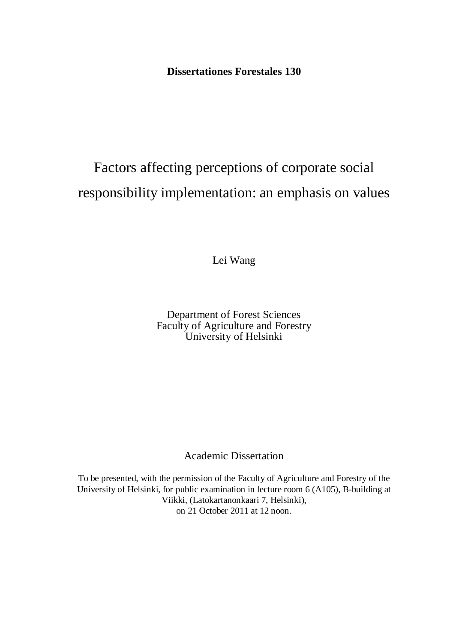**Dissertationes Forestales 130** 

# Factors affecting perceptions of corporate social responsibility implementation: an emphasis on values

Lei Wang

Department of Forest Sciences Faculty of Agriculture and Forestry University of Helsinki

Academic Dissertation

To be presented, with the permission of the Faculty of Agriculture and Forestry of the University of Helsinki, for public examination in lecture room 6 (A105), B-building at Viikki, (Latokartanonkaari 7, Helsinki), on 21 October 2011 at 12 noon.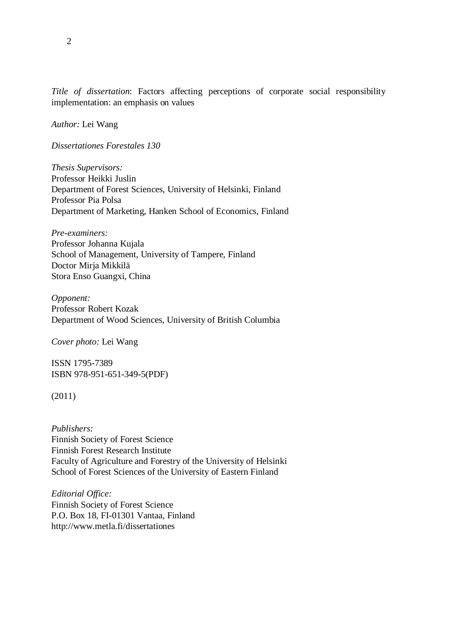*Title of dissertation*: Factors affecting perceptions of corporate social responsibility implementation: an emphasis on values

*Author:* Lei Wang

*Dissertationes Forestales 130* 

*Thesis Supervisors:*  Professor Heikki Juslin Department of Forest Sciences, University of Helsinki, Finland Professor Pia Polsa Department of Marketing, Hanken School of Economics, Finland

*Pre-examiners:*  Professor Johanna Kujala School of Management, University of Tampere, Finland Doctor Mirja Mikkilä Stora Enso Guangxi, China

*Opponent:*  Professor Robert Kozak Department of Wood Sciences, University of British Columbia

*Cover photo:* Lei Wang

ISSN 1795-7389 ISBN 978-951-651-349-5(PDF)

(2011)

*Publishers:*  Finnish Society of Forest Science Finnish Forest Research Institute Faculty of Agriculture and Forestry of the University of Helsinki School of Forest Sciences of the University of Eastern Finland

*Editorial Office:*  Finnish Society of Forest Science P.O. Box 18, FI-01301 Vantaa, Finland http://www.metla.fi/dissertationes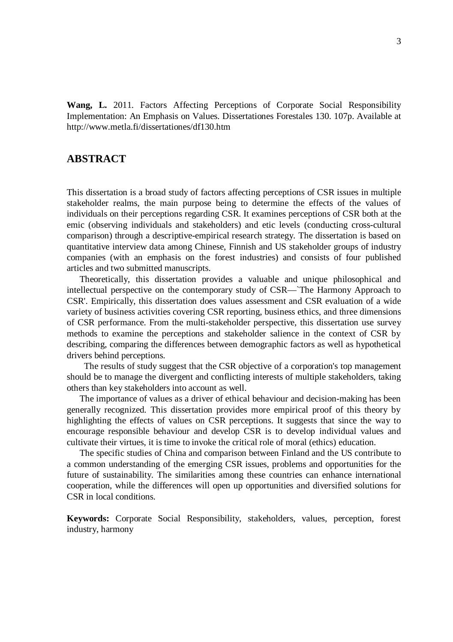<span id="page-2-0"></span>**Wang, L.** 2011. Factors Affecting Perceptions of Corporate Social Responsibility Implementation: An Emphasis on Values. Dissertationes Forestales 130. 107p. Available at http://www.metla.fi/dissertationes/df130.htm

### <span id="page-2-1"></span>**ABSTRACT**

This dissertation is a broad study of factors affecting perceptions of CSR issues in multiple stakeholder realms, the main purpose being to determine the effects of the values of individuals on their perceptions regarding CSR. It examines perceptions of CSR both at the emic (observing individuals and stakeholders) and etic levels (conducting cross-cultural comparison) through a descriptive-empirical research strategy. The dissertation is based on quantitative interview data among Chinese, Finnish and US stakeholder groups of industry companies (with an emphasis on the forest industries) and consists of four published articles and two submitted manuscripts.

Theoretically, this dissertation provides a valuable and unique philosophical and intellectual perspective on the contemporary study of CSR—`The Harmony Approach to CSR'. Empirically, this dissertation does values assessment and CSR evaluation of a wide variety of business activities covering CSR reporting, business ethics, and three dimensions of CSR performance. From the multi-stakeholder perspective, this dissertation use survey methods to examine the perceptions and stakeholder salience in the context of CSR by describing, comparing the differences between demographic factors as well as hypothetical drivers behind perceptions.

 The results of study suggest that the CSR objective of a corporation's top management should be to manage the divergent and conflicting interests of multiple stakeholders, taking others than key stakeholders into account as well.

The importance of values as a driver of ethical behaviour and decision-making has been generally recognized. This dissertation provides more empirical proof of this theory by highlighting the effects of values on CSR perceptions. It suggests that since the way to encourage responsible behaviour and develop CSR is to develop individual values and cultivate their virtues, it is time to invoke the critical role of moral (ethics) education.

The specific studies of China and comparison between Finland and the US contribute to a common understanding of the emerging CSR issues, problems and opportunities for the future of sustainability. The similarities among these countries can enhance international cooperation, while the differences will open up opportunities and diversified solutions for CSR in local conditions.

**Keywords:** Corporate Social Responsibility, stakeholders, values, perception, forest industry, harmony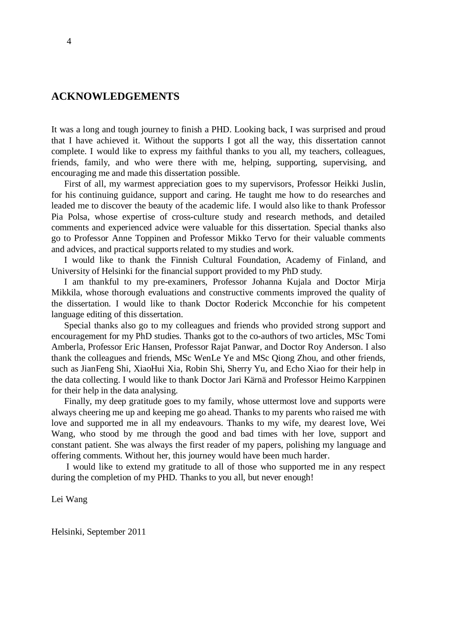#### <span id="page-3-0"></span>**ACKNOWLEDGEMENTS**

It was a long and tough journey to finish a PHD. Looking back, I was surprised and proud that I have achieved it. Without the supports I got all the way, this dissertation cannot complete. I would like to express my faithful thanks to you all, my teachers, colleagues, friends, family, and who were there with me, helping, supporting, supervising, and encouraging me and made this dissertation possible.

First of all, my warmest appreciation goes to my supervisors, Professor Heikki Juslin, for his continuing guidance, support and caring. He taught me how to do researches and leaded me to discover the beauty of the academic life. I would also like to thank Professor Pia Polsa, whose expertise of cross-culture study and research methods, and detailed comments and experienced advice were valuable for this dissertation. Special thanks also go to Professor Anne Toppinen and Professor Mikko Tervo for their valuable comments and advices, and practical supports related to my studies and work.

I would like to thank the Finnish Cultural Foundation, Academy of Finland, and University of Helsinki for the financial support provided to my PhD study.

I am thankful to my pre-examiners, Professor Johanna Kujala and Doctor Mirja Mikkila, whose thorough evaluations and constructive comments improved the quality of the dissertation. I would like to thank Doctor Roderick Mcconchie for his competent language editing of this dissertation.

Special thanks also go to my colleagues and friends who provided strong support and encouragement for my PhD studies. Thanks got to the co-authors of two articles, MSc Tomi Amberla, Professor Eric Hansen, Professor Rajat Panwar, and Doctor Roy Anderson. I also thank the colleagues and friends, MSc WenLe Ye and MSc Qiong Zhou, and other friends, such as JianFeng Shi, XiaoHui Xia, Robin Shi, Sherry Yu, and Echo Xiao for their help in the data collecting. I would like to thank Doctor Jari Kärnä and Professor Heimo Karppinen for their help in the data analysing.

Finally, my deep gratitude goes to my family, whose uttermost love and supports were always cheering me up and keeping me go ahead. Thanks to my parents who raised me with love and supported me in all my endeavours. Thanks to my wife, my dearest love, Wei Wang, who stood by me through the good and bad times with her love, support and constant patient. She was always the first reader of my papers, polishing my language and offering comments. Without her, this journey would have been much harder.

 I would like to extend my gratitude to all of those who supported me in any respect during the completion of my PHD. Thanks to you all, but never enough!

Lei Wang

Helsinki, September 2011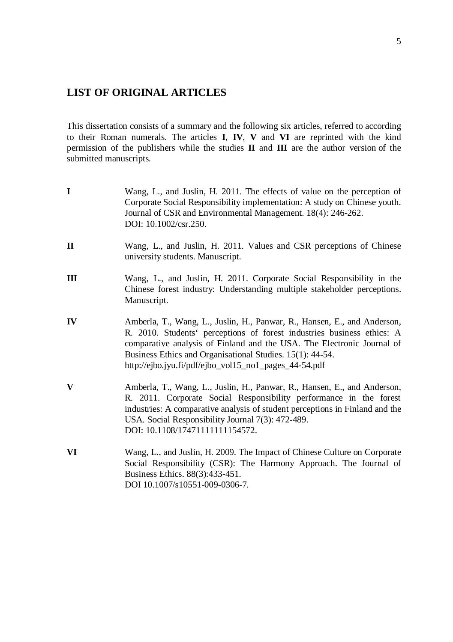# <span id="page-4-0"></span>**LIST OF ORIGINAL ARTICLES**

This dissertation consists of a summary and the following six articles, referred to according to their Roman numerals. The articles **I**, **IV**, **V** and **VI** are reprinted with the kind permission of the publishers while the studies **II** and **III** are the author version of the submitted manuscripts.

| $\mathbf I$  | Wang, L., and Juslin, H. 2011. The effects of value on the perception of<br>Corporate Social Responsibility implementation: A study on Chinese youth.<br>Journal of CSR and Environmental Management. 18(4): 246-262.<br>DOI: 10.1002/csr.250.                                                                                                     |
|--------------|----------------------------------------------------------------------------------------------------------------------------------------------------------------------------------------------------------------------------------------------------------------------------------------------------------------------------------------------------|
| $\mathbf{I}$ | Wang, L., and Juslin, H. 2011. Values and CSR perceptions of Chinese<br>university students. Manuscript.                                                                                                                                                                                                                                           |
| III          | Wang, L., and Juslin, H. 2011. Corporate Social Responsibility in the<br>Chinese forest industry: Understanding multiple stakeholder perceptions.<br>Manuscript.                                                                                                                                                                                   |
| IV           | Amberla, T., Wang, L., Juslin, H., Panwar, R., Hansen, E., and Anderson,<br>R. 2010. Students' perceptions of forest industries business ethics: A<br>comparative analysis of Finland and the USA. The Electronic Journal of<br>Business Ethics and Organisational Studies. 15(1): 44-54.<br>http://ejbo.jyu.fi/pdf/ejbo_vol15_no1_pages_44-54.pdf |
| V            | Amberla, T., Wang, L., Juslin, H., Panwar, R., Hansen, E., and Anderson,<br>R. 2011. Corporate Social Responsibility performance in the forest<br>industries: A comparative analysis of student perceptions in Finland and the<br>USA. Social Responsibility Journal 7(3): 472-489.<br>DOI: 10.1108/17471111111154572.                             |
| VI           | Wang, L., and Juslin, H. 2009. The Impact of Chinese Culture on Corporate<br>Social Responsibility (CSR): The Harmony Approach. The Journal of<br>Business Ethics. 88(3):433-451.<br>DOI 10.1007/s10551-009-0306-7.                                                                                                                                |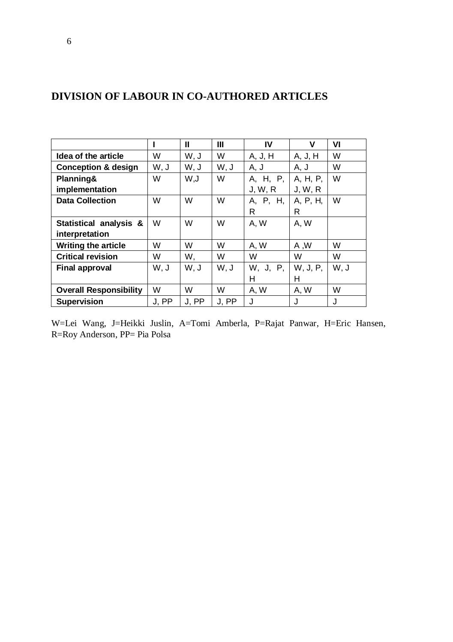|                                |       | Ш     | Ш     | IV       | v        | VI   |
|--------------------------------|-------|-------|-------|----------|----------|------|
| Idea of the article            | W     | W, J  | W     | A, J, H  | A, J, H  | W    |
| <b>Conception &amp; design</b> | W, J  | W, J  | W, J  | A, J     | A, J     | W    |
| Planning&                      | W     | U, W  | W     | A, H, P, | A, H, P, | W    |
| implementation                 |       |       |       | J, W, R  | J, W, R  |      |
| <b>Data Collection</b>         | W     | W     | W     | A, P, H, | A, P, H, | W    |
|                                |       |       |       | R        | R        |      |
| Statistical analysis &         | W     | W     | W     | A.W      | A.W      |      |
| interpretation                 |       |       |       |          |          |      |
| <b>Writing the article</b>     | W     | W     | W     | A, W     | A, W     | W    |
| <b>Critical revision</b>       | W     | W,    | W     | W        | W        | W    |
| <b>Final approval</b>          | W, J  | W, J  | W. J  | W, J, P, | W, J, P, | W, J |
|                                |       |       |       | н        | н        |      |
| <b>Overall Responsibility</b>  | W     | W     | W     | A, W     | A, W     | W    |
| <b>Supervision</b>             | J. PP | J. PP | J. PP | J        | J        | J    |

# <span id="page-5-0"></span>**DIVISION OF LABOUR IN CO-AUTHORED ARTICLES**

W=Lei Wang, J=Heikki Juslin, A=Tomi Amberla, P=Rajat Panwar, H=Eric Hansen, R=Roy Anderson, PP= Pia Polsa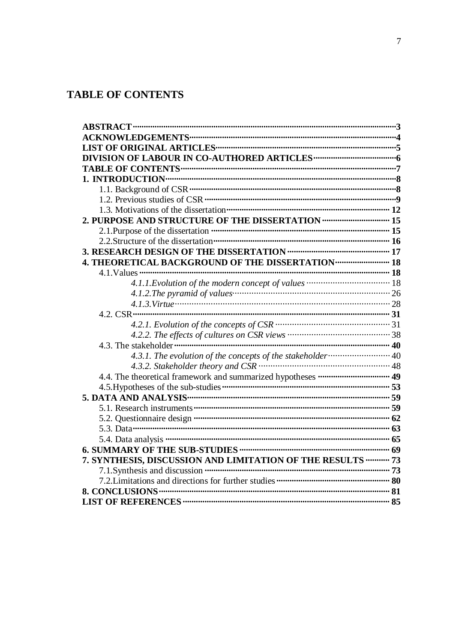# <span id="page-6-0"></span>**TABLE OF CONTENTS**

| 2.1. Purpose of the dissertation <b>manufacture in the contract of the dissertation manufacture</b> of the dissertation <b>manufacture</b> $16$ |  |
|-------------------------------------------------------------------------------------------------------------------------------------------------|--|
|                                                                                                                                                 |  |
|                                                                                                                                                 |  |
| 4. THEORETICAL BACKGROUND OF THE DISSERTATION  18                                                                                               |  |
|                                                                                                                                                 |  |
|                                                                                                                                                 |  |
|                                                                                                                                                 |  |
|                                                                                                                                                 |  |
|                                                                                                                                                 |  |
|                                                                                                                                                 |  |
|                                                                                                                                                 |  |
| 4.3. The stakeholder minimum in minimum in minimum in minimum in minimum 40                                                                     |  |
|                                                                                                                                                 |  |
|                                                                                                                                                 |  |
|                                                                                                                                                 |  |
|                                                                                                                                                 |  |
|                                                                                                                                                 |  |
|                                                                                                                                                 |  |
|                                                                                                                                                 |  |
|                                                                                                                                                 |  |
|                                                                                                                                                 |  |
| 7. SYNTHESIS, DISCUSSION AND LIMITATION OF THE RESULTS ---------- 73                                                                            |  |
|                                                                                                                                                 |  |
|                                                                                                                                                 |  |
|                                                                                                                                                 |  |
|                                                                                                                                                 |  |
|                                                                                                                                                 |  |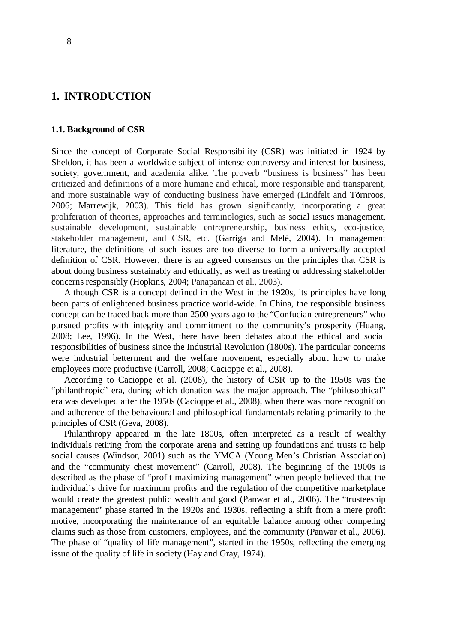### <span id="page-7-0"></span>**1. INTRODUCTION**

#### <span id="page-7-1"></span>**1.1. Background of CSR**

Since the concept of Corporate Social Responsibility (CSR) was initiated in 1924 by Sheldon, it has been a worldwide subject of intense controversy and interest for business, society, government, and academia alike. The proverb "business is business" has been criticized and definitions of a more humane and ethical, more responsible and transparent, and more sustainable way of conducting business have emerged (Lindfelt and Törnroos, 2006; Marrewijk, 2003). This field has grown significantly, incorporating a great proliferation of theories, approaches and terminologies, such as social issues management, sustainable development, sustainable entrepreneurship, business ethics, eco-justice, stakeholder management, and CSR, etc. (Garriga and Melé, 2004). In management literature, the definitions of such issues are too diverse to form a universally accepted definition of CSR. However, there is an agreed consensus on the principles that CSR is about doing business sustainably and ethically, as well as treating or addressing stakeholder concerns responsibly (Hopkins, 2004; Panapanaan et al., 2003).

Although CSR is a concept defined in the West in the 1920s, its principles have long been parts of enlightened business practice world-wide. In China, the responsible business concept can be traced back more than 2500 years ago to the "Confucian entrepreneurs" who pursued profits with integrity and commitment to the community's prosperity (Huang, 2008; Lee, 1996). In the West, there have been debates about the ethical and social responsibilities of business since the Industrial Revolution (1800s). The particular concerns were industrial betterment and the welfare movement, especially about how to make employees more productive (Carroll, 2008; Cacioppe et al., 2008).

According to Cacioppe et al. (2008), the history of CSR up to the 1950s was the "philanthropic" era, during which donation was the major approach. The "philosophical" era was developed after the 1950s (Cacioppe et al., 2008), when there was more recognition and adherence of the behavioural and philosophical fundamentals relating primarily to the principles of CSR (Geva, 2008).

Philanthropy appeared in the late 1800s, often interpreted as a result of wealthy individuals retiring from the corporate arena and setting up foundations and trusts to help social causes (Windsor, 2001) such as the YMCA (Young Men's Christian Association) and the "community chest movement" (Carroll, 2008). The beginning of the 1900s is described as the phase of "profit maximizing management" when people believed that the individual's drive for maximum profits and the regulation of the competitive marketplace would create the greatest public wealth and good (Panwar et al., 2006). The "trusteeship management" phase started in the 1920s and 1930s, reflecting a shift from a mere profit motive, incorporating the maintenance of an equitable balance among other competing claims such as those from customers, employees, and the community (Panwar et al., 2006). The phase of "quality of life management", started in the 1950s, reflecting the emerging issue of the quality of life in society (Hay and Gray, 1974).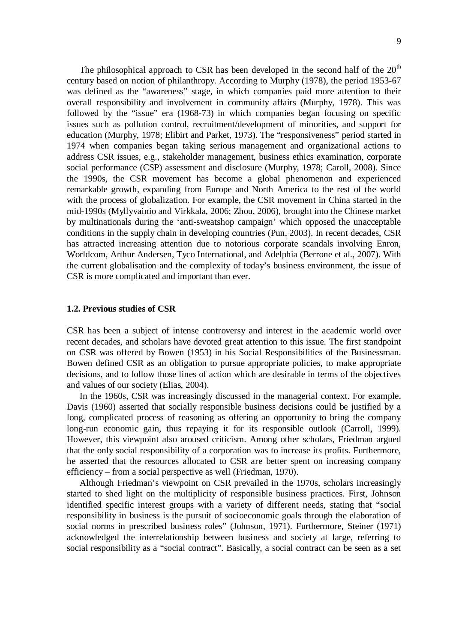The philosophical approach to CSR has been developed in the second half of the  $20<sup>th</sup>$ century based on notion of philanthropy. According to Murphy (1978), the period 1953-67 was defined as the "awareness" stage, in which companies paid more attention to their overall responsibility and involvement in community affairs (Murphy, 1978). This was followed by the "issue" era (1968-73) in which companies began focusing on specific issues such as pollution control, recruitment/development of minorities, and support for education (Murphy, 1978; Elibirt and Parket, 1973). The "responsiveness" period started in 1974 when companies began taking serious management and organizational actions to address CSR issues, e.g., stakeholder management, business ethics examination, corporate social performance (CSP) assessment and disclosure (Murphy, 1978; Caroll, 2008). Since the 1990s, the CSR movement has become a global phenomenon and experienced remarkable growth, expanding from Europe and North America to the rest of the world with the process of globalization. For example, the CSR movement in China started in the mid-1990s (Myllyvainio and Virkkala, 2006; Zhou, 2006), brought into the Chinese market by multinationals during the 'anti-sweatshop campaign' which opposed the unacceptable conditions in the supply chain in developing countries (Pun, 2003). In recent decades, CSR has attracted increasing attention due to notorious corporate scandals involving Enron, Worldcom, Arthur Andersen, Tyco International, and Adelphia (Berrone et al., 2007). With the current globalisation and the complexity of today's business environment, the issue of CSR is more complicated and important than ever.

#### <span id="page-8-0"></span>**1.2. Previous studies of CSR**

CSR has been a subject of intense controversy and interest in the academic world over recent decades, and scholars have devoted great attention to this issue. The first standpoint on CSR was offered by Bowen (1953) in his Social Responsibilities of the Businessman. Bowen defined CSR as an obligation to pursue appropriate policies, to make appropriate decisions, and to follow those lines of action which are desirable in terms of the objectives and values of our society (Elias, 2004).

In the 1960s, CSR was increasingly discussed in the managerial context. For example, Davis (1960) asserted that socially responsible business decisions could be justified by a long, complicated process of reasoning as offering an opportunity to bring the company long-run economic gain, thus repaying it for its responsible outlook (Carroll, 1999). However, this viewpoint also aroused criticism. Among other scholars, Friedman argued that the only social responsibility of a corporation was to increase its profits. Furthermore, he asserted that the resources allocated to CSR are better spent on increasing company efficiency – from a social perspective as well (Friedman, 1970).

Although Friedman's viewpoint on CSR prevailed in the 1970s, scholars increasingly started to shed light on the multiplicity of responsible business practices. First, Johnson identified specific interest groups with a variety of different needs, stating that "social responsibility in business is the pursuit of socioeconomic goals through the elaboration of social norms in prescribed business roles" (Johnson, 1971). Furthermore, Steiner (1971) acknowledged the interrelationship between business and society at large, referring to social responsibility as a "social contract". Basically, a social contract can be seen as a set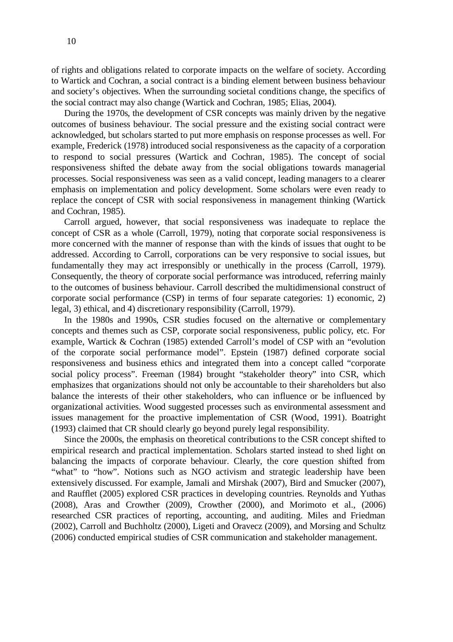of rights and obligations related to corporate impacts on the welfare of society. According to Wartick and Cochran, a social contract is a binding element between business behaviour and society's objectives. When the surrounding societal conditions change, the specifics of the social contract may also change (Wartick and Cochran, 1985; Elias, 2004).

During the 1970s, the development of CSR concepts was mainly driven by the negative outcomes of business behaviour. The social pressure and the existing social contract were acknowledged, but scholars started to put more emphasis on response processes as well. For example, Frederick (1978) introduced social responsiveness as the capacity of a corporation to respond to social pressures (Wartick and Cochran, 1985). The concept of social responsiveness shifted the debate away from the social obligations towards managerial processes. Social responsiveness was seen as a valid concept, leading managers to a clearer emphasis on implementation and policy development. Some scholars were even ready to replace the concept of CSR with social responsiveness in management thinking (Wartick and Cochran, 1985).

Carroll argued, however, that social responsiveness was inadequate to replace the concept of CSR as a whole (Carroll, 1979), noting that corporate social responsiveness is more concerned with the manner of response than with the kinds of issues that ought to be addressed. According to Carroll, corporations can be very responsive to social issues, but fundamentally they may act irresponsibly or unethically in the process (Carroll, 1979). Consequently, the theory of corporate social performance was introduced, referring mainly to the outcomes of business behaviour. Carroll described the multidimensional construct of corporate social performance (CSP) in terms of four separate categories: 1) economic, 2) legal, 3) ethical, and 4) discretionary responsibility (Carroll, 1979).

In the 1980s and 1990s, CSR studies focused on the alternative or complementary concepts and themes such as CSP, corporate social responsiveness, public policy, etc. For example, Wartick & Cochran (1985) extended Carroll's model of CSP with an "evolution of the corporate social performance model". Epstein (1987) defined corporate social responsiveness and business ethics and integrated them into a concept called "corporate social policy process". Freeman (1984) brought "stakeholder theory" into CSR, which emphasizes that organizations should not only be accountable to their shareholders but also balance the interests of their other stakeholders, who can influence or be influenced by organizational activities. Wood suggested processes such as environmental assessment and issues management for the proactive implementation of CSR (Wood, 1991). Boatright (1993) claimed that CR should clearly go beyond purely legal responsibility.

Since the 2000s, the emphasis on theoretical contributions to the CSR concept shifted to empirical research and practical implementation. Scholars started instead to shed light on balancing the impacts of corporate behaviour. Clearly, the core question shifted from "what" to "how". Notions such as NGO activism and strategic leadership have been extensively discussed. For example, Jamali and Mirshak (2007), Bird and Smucker (2007), and Raufflet (2005) explored CSR practices in developing countries. Reynolds and Yuthas (2008), Aras and Crowther (2009), Crowther (2000), and Morimoto et al., (2006) researched CSR practices of reporting, accounting, and auditing. Miles and Friedman (2002), Carroll and Buchholtz (2000), Ligeti and Oravecz (2009), and Morsing and Schultz (2006) conducted empirical studies of CSR communication and stakeholder management.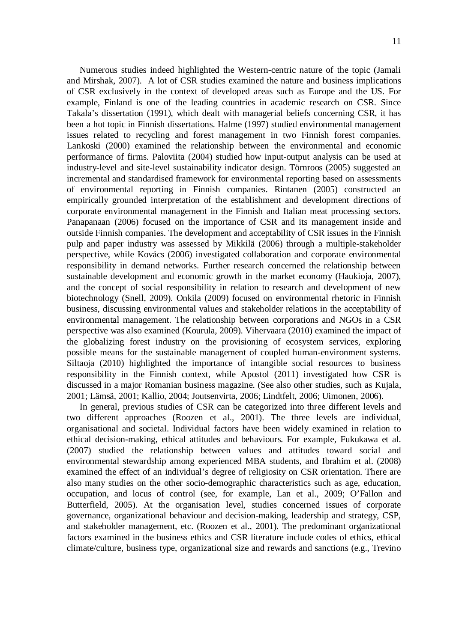Numerous studies indeed highlighted the Western-centric nature of the topic (Jamali and Mirshak, 2007). A lot of CSR studies examined the nature and business implications of CSR exclusively in the context of developed areas such as Europe and the US. For example, Finland is one of the leading countries in academic research on CSR. Since Takala's dissertation (1991), which dealt with managerial beliefs concerning CSR, it has been a hot topic in Finnish dissertations. Halme (1997) studied environmental management issues related to recycling and forest management in two Finnish forest companies. Lankoski (2000) examined the relationship between the environmental and economic performance of firms. Paloviita (2004) studied how input-output analysis can be used at industry-level and site-level sustainability indicator design. Törnroos (2005) suggested an incremental and standardised framework for environmental reporting based on assessments of environmental reporting in Finnish companies. Rintanen (2005) constructed an empirically grounded interpretation of the establishment and development directions of corporate environmental management in the Finnish and Italian meat processing sectors. Panapanaan (2006) focused on the importance of CSR and its management inside and outside Finnish companies. The development and acceptability of CSR issues in the Finnish pulp and paper industry was assessed by Mikkilä (2006) through a multiple-stakeholder perspective, while Kovács (2006) investigated collaboration and corporate environmental responsibility in demand networks. Further research concerned the relationship between sustainable development and economic growth in the market economy (Haukioja, 2007), and the concept of social responsibility in relation to research and development of new biotechnology (Snell, 2009). Onkila (2009) focused on environmental rhetoric in Finnish business, discussing environmental values and stakeholder relations in the acceptability of environmental management. The relationship between corporations and NGOs in a CSR perspective was also examined (Kourula, 2009). Vihervaara (2010) examined the impact of the globalizing forest industry on the provisioning of ecosystem services, exploring possible means for the sustainable management of coupled human-environment systems. Siltaoja (2010) highlighted the importance of intangible social resources to business responsibility in the Finnish context, while Apostol (2011) investigated how CSR is discussed in a major Romanian business magazine. (See also other studies, such as Kujala, 2001; Lämsä, 2001; Kallio, 2004; Joutsenvirta, 2006; Lindtfelt, 2006; Uimonen, 2006).

In general, previous studies of CSR can be categorized into three different levels and two different approaches (Roozen et al., 2001). The three levels are individual, organisational and societal. Individual factors have been widely examined in relation to ethical decision-making, ethical attitudes and behaviours. For example, Fukukawa et al. (2007) studied the relationship between values and attitudes toward social and environmental stewardship among experienced MBA students, and Ibrahim et al. (2008) examined the effect of an individual's degree of religiosity on CSR orientation. There are also many studies on the other socio-demographic characteristics such as age, education, occupation, and locus of control (see, for example, Lan et al., 2009; O'Fallon and Butterfield, 2005). At the organisation level, studies concerned issues of corporate governance, organizational behaviour and decision-making, leadership and strategy, CSP, and stakeholder management, etc. (Roozen et al., 2001). The predominant organizational factors examined in the business ethics and CSR literature include codes of ethics, ethical climate/culture, business type, organizational size and rewards and sanctions (e.g., Trevino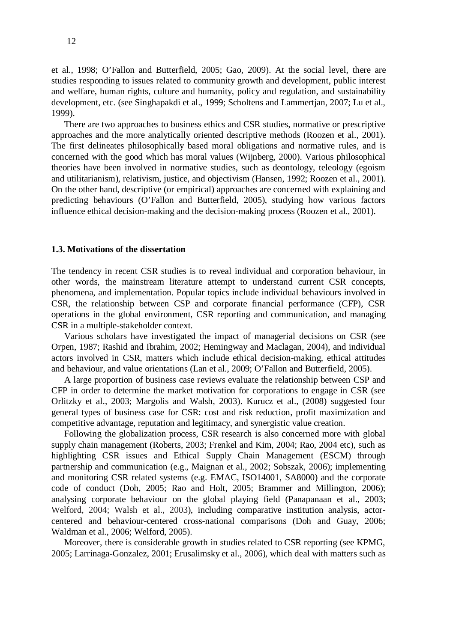et al., 1998; O'Fallon and Butterfield, 2005; Gao, 2009). At the social level, there are studies responding to issues related to community growth and development, public interest and welfare, human rights, culture and humanity, policy and regulation, and sustainability development, etc. (see Singhapakdi et al., 1999; Scholtens and Lammertjan, 2007; Lu et al., 1999).

There are two approaches to business ethics and CSR studies, normative or prescriptive approaches and the more analytically oriented descriptive methods (Roozen et al., 2001). The first delineates philosophically based moral obligations and normative rules, and is concerned with the good which has moral values (Wijnberg, 2000). Various philosophical theories have been involved in normative studies, such as deontology, teleology (egoism and utilitarianism), relativism, justice, and objectivism (Hansen, 1992; Roozen et al., 2001). On the other hand, descriptive (or empirical) approaches are concerned with explaining and predicting behaviours (O'Fallon and Butterfield, 2005), studying how various factors influence ethical decision-making and the decision-making process (Roozen et al., 2001).

#### <span id="page-11-0"></span>**1.3. Motivations of the dissertation**

The tendency in recent CSR studies is to reveal individual and corporation behaviour, in other words, the mainstream literature attempt to understand current CSR concepts, phenomena, and implementation. Popular topics include individual behaviours involved in CSR, the relationship between CSP and corporate financial performance (CFP), CSR operations in the global environment, CSR reporting and communication, and managing CSR in a multiple-stakeholder context.

Various scholars have investigated the impact of managerial decisions on CSR (see Orpen, 1987; Rashid and Ibrahim, 2002; Hemingway and Maclagan, 2004), and individual actors involved in CSR, matters which include ethical decision-making, ethical attitudes and behaviour, and value orientations (Lan et al., 2009; O'Fallon and Butterfield, 2005).

A large proportion of business case reviews evaluate the relationship between CSP and CFP in order to determine the market motivation for corporations to engage in CSR (see Orlitzky et al., 2003; Margolis and Walsh, 2003). Kurucz et al., (2008) suggested four general types of business case for CSR: cost and risk reduction, profit maximization and competitive advantage, reputation and legitimacy, and synergistic value creation.

Following the globalization process, CSR research is also concerned more with global supply chain management (Roberts, 2003; Frenkel and Kim, 2004; Rao, 2004 etc), such as highlighting CSR issues and Ethical Supply Chain Management (ESCM) through partnership and communication (e.g., Maignan et al., 2002; Sobszak, 2006); implementing and monitoring CSR related systems (e.g. EMAC, ISO14001, SA8000) and the corporate code of conduct (Doh, 2005; Rao and Holt, 2005; Brammer and Millington, 2006); analysing corporate behaviour on the global playing field (Panapanaan et al., 2003; Welford, 2004; Walsh et al., 2003), including comparative institution analysis, actorcentered and behaviour-centered cross-national comparisons (Doh and Guay, 2006; Waldman et al., 2006; Welford, 2005).

Moreover, there is considerable growth in studies related to CSR reporting (see KPMG, 2005; Larrinaga-Gonzalez, 2001; Erusalimsky et al., 2006), which deal with matters such as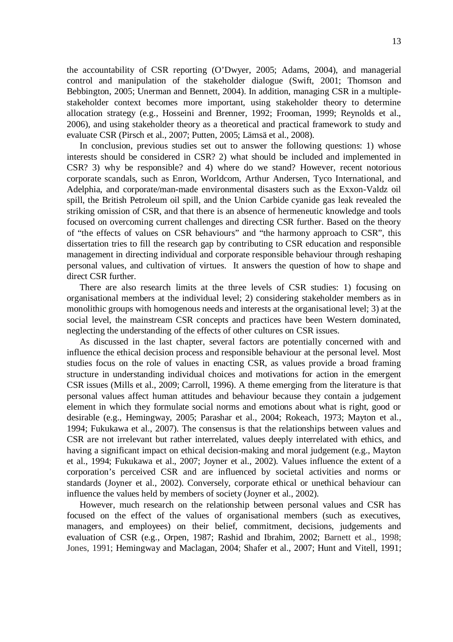the accountability of CSR reporting (O'Dwyer, 2005; Adams, 2004), and managerial control and manipulation of the stakeholder dialogue (Swift, 2001; Thomson and Bebbington, 2005; Unerman and Bennett, 2004). In addition, managing CSR in a multiplestakeholder context becomes more important, using stakeholder theory to determine allocation strategy (e.g., Hosseini and Brenner, 1992; Frooman, 1999; Reynolds et al., 2006), and using stakeholder theory as a theoretical and practical framework to study and evaluate CSR (Pirsch et al., 2007; Putten, 2005; Lämsä et al., 2008).

In conclusion, previous studies set out to answer the following questions: 1) whose interests should be considered in CSR? 2) what should be included and implemented in CSR? 3) why be responsible? and 4) where do we stand? However, recent notorious corporate scandals, such as Enron, Worldcom, Arthur Andersen, Tyco International, and Adelphia, and corporate/man-made environmental disasters such as the Exxon-Valdz oil spill, the British Petroleum oil spill, and the Union Carbide cyanide gas leak revealed the striking omission of CSR, and that there is an absence of hermeneutic knowledge and tools focused on overcoming current challenges and directing CSR further. Based on the theory of "the effects of values on CSR behaviours" and "the harmony approach to CSR", this dissertation tries to fill the research gap by contributing to CSR education and responsible management in directing individual and corporate responsible behaviour through reshaping personal values, and cultivation of virtues. It answers the question of how to shape and direct CSR further.

There are also research limits at the three levels of CSR studies: 1) focusing on organisational members at the individual level; 2) considering stakeholder members as in monolithic groups with homogenous needs and interests at the organisational level; 3) at the social level, the mainstream CSR concepts and practices have been Western dominated, neglecting the understanding of the effects of other cultures on CSR issues.

As discussed in the last chapter, several factors are potentially concerned with and influence the ethical decision process and responsible behaviour at the personal level. Most studies focus on the role of values in enacting CSR, as values provide a broad framing structure in understanding individual choices and motivations for action in the emergent CSR issues (Mills et al., 2009; Carroll, 1996). A theme emerging from the literature is that personal values affect human attitudes and behaviour because they contain a judgement element in which they formulate social norms and emotions about what is right, good or desirable (e.g., Hemingway, 2005; Parashar et al., 2004; Rokeach, 1973; Mayton et al*.*, 1994; Fukukawa et al*.*, 2007). The consensus is that the relationships between values and CSR are not irrelevant but rather interrelated, values deeply interrelated with ethics, and having a significant impact on ethical decision-making and moral judgement (e.g., Mayton et al., 1994; Fukukawa et al., 2007; Joyner et al., 2002). Values influence the extent of a corporation's perceived CSR and are influenced by societal activities and norms or standards (Joyner et al., 2002). Conversely, corporate ethical or unethical behaviour can influence the values held by members of society (Joyner et al., 2002).

However, much research on the relationship between personal values and CSR has focused on the effect of the values of organisational members (such as executives, managers, and employees) on their belief, commitment, decisions, judgements and evaluation of CSR (e.g., Orpen, 1987; Rashid and Ibrahim, 2002; Barnett et al., 1998; Jones, 1991; Hemingway and Maclagan, 2004; Shafer et al., 2007; Hunt and Vitell, 1991;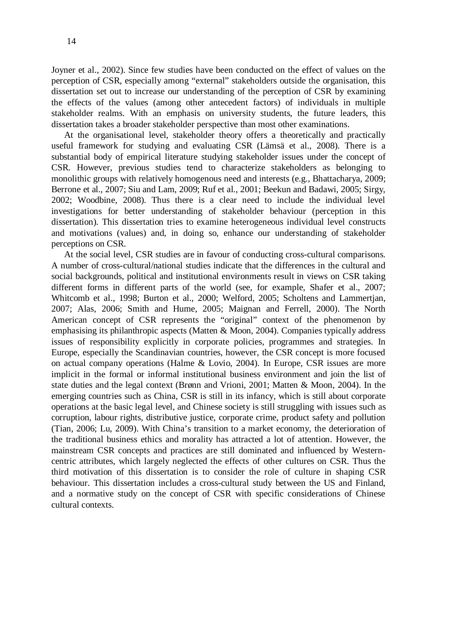Joyner et al., 2002). Since few studies have been conducted on the effect of values on the perception of CSR, especially among "external" stakeholders outside the organisation, this dissertation set out to increase our understanding of the perception of CSR by examining the effects of the values (among other antecedent factors) of individuals in multiple stakeholder realms. With an emphasis on university students, the future leaders, this dissertation takes a broader stakeholder perspective than most other examinations.

At the organisational level, stakeholder theory offers a theoretically and practically useful framework for studying and evaluating CSR (Lämsä et al., 2008). There is a substantial body of empirical literature studying stakeholder issues under the concept of CSR. However, previous studies tend to characterize stakeholders as belonging to monolithic groups with relatively homogenous need and interests (e.g., Bhattacharya, 2009; Berrone et al., 2007; Siu and Lam, 2009; Ruf et al., 2001; Beekun and Badawi, 2005; Sirgy, 2002; Woodbine, 2008). Thus there is a clear need to include the individual level investigations for better understanding of stakeholder behaviour (perception in this dissertation). This dissertation tries to examine heterogeneous individual level constructs and motivations (values) and, in doing so, enhance our understanding of stakeholder perceptions on CSR.

At the social level, CSR studies are in favour of conducting cross-cultural comparisons. A number of cross-cultural/national studies indicate that the differences in the cultural and social backgrounds, political and institutional environments result in views on CSR taking different forms in different parts of the world (see, for example, Shafer et al., 2007; Whitcomb et al., 1998; Burton et al., 2000; Welford, 2005; Scholtens and Lammertjan, 2007; Alas, 2006; Smith and Hume, 2005; Maignan and Ferrell, 2000). The North American concept of CSR represents the "original" context of the phenomenon by emphasising its philanthropic aspects (Matten & Moon, 2004). Companies typically address issues of responsibility explicitly in corporate policies, programmes and strategies. In Europe, especially the Scandinavian countries, however, the CSR concept is more focused on actual company operations (Halme & Lovio, 2004). In Europe, CSR issues are more implicit in the formal or informal institutional business environment and join the list of state duties and the legal context (Brønn and Vrioni, 2001; Matten & Moon, 2004). In the emerging countries such as China, CSR is still in its infancy, which is still about corporate operations at the basic legal level, and Chinese society is still struggling with issues such as corruption, labour rights, distributive justice, corporate crime, product safety and pollution (Tian, 2006; Lu, 2009). With China's transition to a market economy, the deterioration of the traditional business ethics and morality has attracted a lot of attention. However, the mainstream CSR concepts and practices are still dominated and influenced by Westerncentric attributes, which largely neglected the effects of other cultures on CSR. Thus the third motivation of this dissertation is to consider the role of culture in shaping CSR behaviour. This dissertation includes a cross-cultural study between the US and Finland, and a normative study on the concept of CSR with specific considerations of Chinese cultural contexts.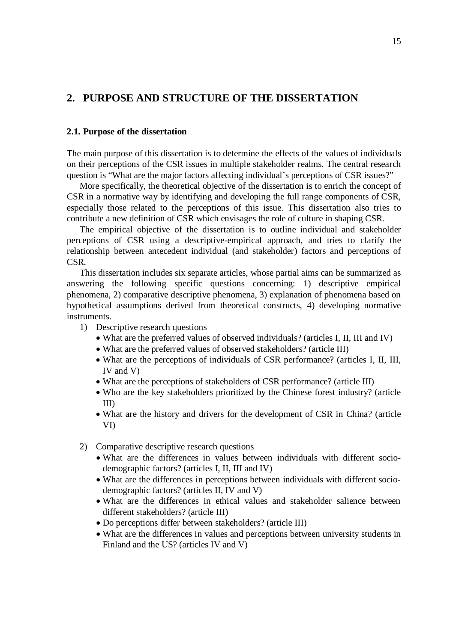### <span id="page-14-0"></span>**2. PURPOSE AND STRUCTURE OF THE DISSERTATION**

#### <span id="page-14-1"></span>**2.1. Purpose of the dissertation**

The main purpose of this dissertation is to determine the effects of the values of individuals on their perceptions of the CSR issues in multiple stakeholder realms. The central research question is "What are the major factors affecting individual's perceptions of CSR issues?"

More specifically, the theoretical objective of the dissertation is to enrich the concept of CSR in a normative way by identifying and developing the full range components of CSR, especially those related to the perceptions of this issue. This dissertation also tries to contribute a new definition of CSR which envisages the role of culture in shaping CSR.

The empirical objective of the dissertation is to outline individual and stakeholder perceptions of CSR using a descriptive-empirical approach, and tries to clarify the relationship between antecedent individual (and stakeholder) factors and perceptions of CSR.

This dissertation includes six separate articles, whose partial aims can be summarized as answering the following specific questions concerning: 1) descriptive empirical phenomena, 2) comparative descriptive phenomena, 3) explanation of phenomena based on hypothetical assumptions derived from theoretical constructs, 4) developing normative instruments.

- 1) Descriptive research questions
	- What are the preferred values of observed individuals? (articles I, II, III and IV)
	- What are the preferred values of observed stakeholders? (article III)
	- x What are the perceptions of individuals of CSR performance? (articles I, II, III, IV and V)
	- What are the perceptions of stakeholders of CSR performance? (article III)
	- Who are the key stakeholders prioritized by the Chinese forest industry? (article III)
	- What are the history and drivers for the development of CSR in China? (article VI)
- 2) Comparative descriptive research questions
	- x What are the differences in values between individuals with different sociodemographic factors? (articles I, II, III and IV)
	- What are the differences in perceptions between individuals with different sociodemographic factors? (articles II, IV and V)
	- What are the differences in ethical values and stakeholder salience between different stakeholders? (article III)
	- Do perceptions differ between stakeholders? (article III)
	- What are the differences in values and perceptions between university students in Finland and the US? (articles IV and V)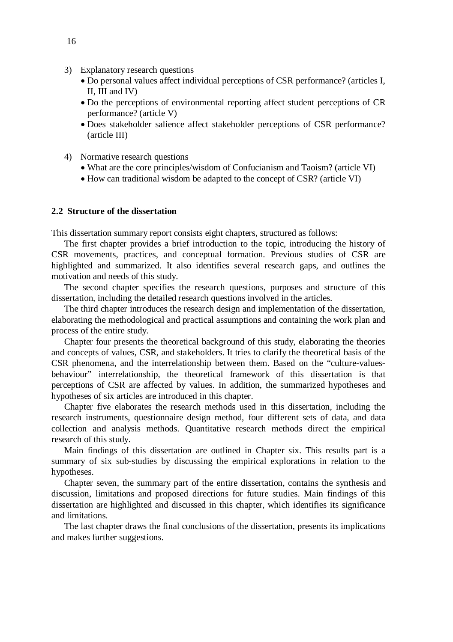- 3) Explanatory research questions
	- x Do personal values affect individual perceptions of CSR performance? (articles I, II, III and IV)
	- Do the perceptions of environmental reporting affect student perceptions of CR performance? (article V)
	- x Does stakeholder salience affect stakeholder perceptions of CSR performance? (article III)
- 4) Normative research questions
	- What are the core principles/wisdom of Confucianism and Taoism? (article VI)
	- How can traditional wisdom be adapted to the concept of CSR? (article VI)

#### <span id="page-15-0"></span>**2.2 Structure of the dissertation**

This dissertation summary report consists eight chapters, structured as follows:

The first chapter provides a brief introduction to the topic, introducing the history of CSR movements, practices, and conceptual formation. Previous studies of CSR are highlighted and summarized. It also identifies several research gaps, and outlines the motivation and needs of this study.

The second chapter specifies the research questions, purposes and structure of this dissertation, including the detailed research questions involved in the articles.

The third chapter introduces the research design and implementation of the dissertation, elaborating the methodological and practical assumptions and containing the work plan and process of the entire study.

Chapter four presents the theoretical background of this study, elaborating the theories and concepts of values, CSR, and stakeholders. It tries to clarify the theoretical basis of the CSR phenomena, and the interrelationship between them. Based on the "culture-valuesbehaviour" interrelationship, the theoretical framework of this dissertation is that perceptions of CSR are affected by values. In addition, the summarized hypotheses and hypotheses of six articles are introduced in this chapter.

Chapter five elaborates the research methods used in this dissertation, including the research instruments, questionnaire design method, four different sets of data, and data collection and analysis methods. Quantitative research methods direct the empirical research of this study.

Main findings of this dissertation are outlined in Chapter six. This results part is a summary of six sub-studies by discussing the empirical explorations in relation to the hypotheses.

Chapter seven, the summary part of the entire dissertation, contains the synthesis and discussion, limitations and proposed directions for future studies. Main findings of this dissertation are highlighted and discussed in this chapter, which identifies its significance and limitations.

The last chapter draws the final conclusions of the dissertation, presents its implications and makes further suggestions.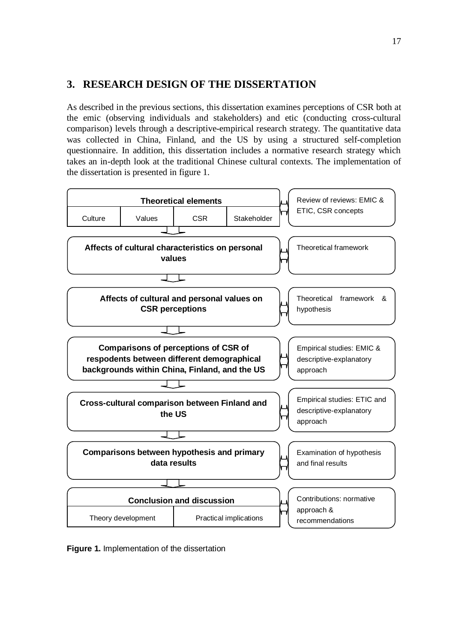## <span id="page-16-0"></span>**3. RESEARCH DESIGN OF THE DISSERTATION**

As described in the previous sections, this dissertation examines perceptions of CSR both at the emic (observing individuals and stakeholders) and etic (conducting cross-cultural comparison) levels through a descriptive-empirical research strategy. The quantitative data was collected in China, Finland, and the US by using a structured self-completion questionnaire. In addition, this dissertation includes a normative research strategy which takes an in-depth look at the traditional Chinese cultural contexts. The implementation of the dissertation is presented in figure 1.



**Figure 1.** Implementation of the dissertation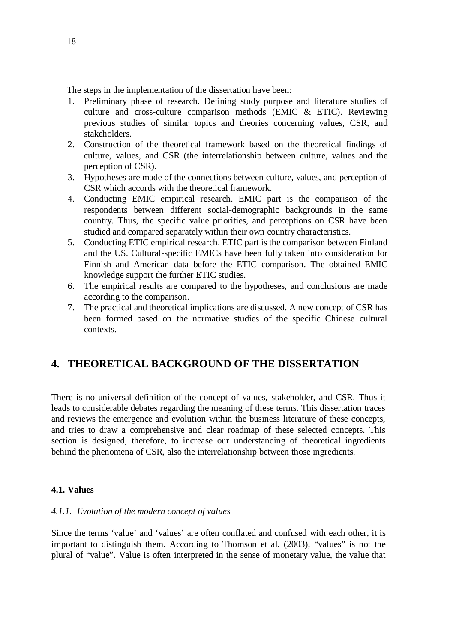The steps in the implementation of the dissertation have been:

- 1. Preliminary phase of research. Defining study purpose and literature studies of culture and cross-culture comparison methods (EMIC & ETIC). Reviewing previous studies of similar topics and theories concerning values, CSR, and stakeholders.
- 2. Construction of the theoretical framework based on the theoretical findings of culture, values, and CSR (the interrelationship between culture, values and the perception of CSR).
- 3. Hypotheses are made of the connections between culture, values, and perception of CSR which accords with the theoretical framework.
- 4. Conducting EMIC empirical research. EMIC part is the comparison of the respondents between different social-demographic backgrounds in the same country. Thus, the specific value priorities, and perceptions on CSR have been studied and compared separately within their own country characteristics.
- 5. Conducting ETIC empirical research. ETIC part is the comparison between Finland and the US. Cultural-specific EMICs have been fully taken into consideration for Finnish and American data before the ETIC comparison. The obtained EMIC knowledge support the further ETIC studies.
- 6. The empirical results are compared to the hypotheses, and conclusions are made according to the comparison.
- 7. The practical and theoretical implications are discussed. A new concept of CSR has been formed based on the normative studies of the specific Chinese cultural contexts.

### <span id="page-17-0"></span>**4. THEORETICAL BACKGROUND OF THE DISSERTATION**

There is no universal definition of the concept of values, stakeholder, and CSR. Thus it leads to considerable debates regarding the meaning of these terms. This dissertation traces and reviews the emergence and evolution within the business literature of these concepts, and tries to draw a comprehensive and clear roadmap of these selected concepts. This section is designed, therefore, to increase our understanding of theoretical ingredients behind the phenomena of CSR, also the interrelationship between those ingredients.

#### <span id="page-17-1"></span>**4.1. Values**

#### <span id="page-17-2"></span>*4.1.1. Evolution of the modern concept of values*

Since the terms 'value' and 'values' are often conflated and confused with each other, it is important to distinguish them. According to Thomson et al. (2003), "values" is not the plural of "value". Value is often interpreted in the sense of monetary value, the value that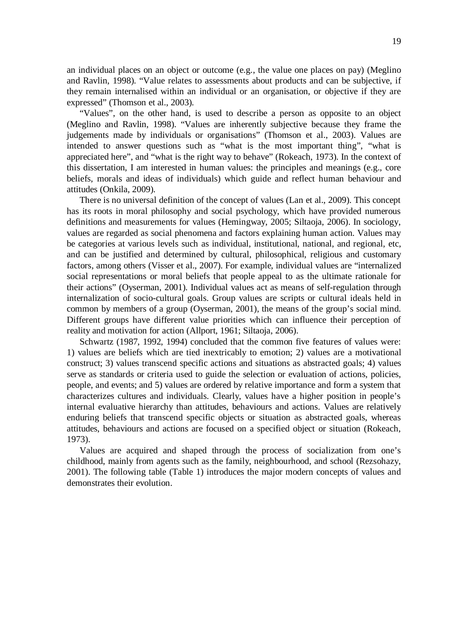an individual places on an object or outcome (e.g., the value one places on pay) (Meglino and Ravlin, 1998). "Value relates to assessments about products and can be subjective, if they remain internalised within an individual or an organisation, or objective if they are expressed" (Thomson et al., 2003).

"Values", on the other hand, is used to describe a person as opposite to an object (Meglino and Ravlin, 1998). "Values are inherently subjective because they frame the judgements made by individuals or organisations" (Thomson et al., 2003). Values are intended to answer questions such as "what is the most important thing", "what is appreciated here", and "what is the right way to behave" (Rokeach, 1973). In the context of this dissertation, I am interested in human values: the principles and meanings (e.g., core beliefs, morals and ideas of individuals) which guide and reflect human behaviour and attitudes (Onkila, 2009).

There is no universal definition of the concept of values (Lan et al., 2009). This concept has its roots in moral philosophy and social psychology, which have provided numerous definitions and measurements for values (Hemingway, 2005; Siltaoja, 2006). In sociology, values are regarded as social phenomena and factors explaining human action. Values may be categories at various levels such as individual, institutional, national, and regional, etc, and can be justified and determined by cultural, philosophical, religious and customary factors, among others (Visser et al., 2007). For example, individual values are "internalized social representations or moral beliefs that people appeal to as the ultimate rationale for their actions" (Oyserman, 2001). Individual values act as means of self-regulation through internalization of socio-cultural goals. Group values are scripts or cultural ideals held in common by members of a group (Oyserman, 2001), the means of the group's social mind. Different groups have different value priorities which can influence their perception of reality and motivation for action (Allport, 1961; Siltaoja, 2006).

Schwartz (1987, 1992, 1994) concluded that the common five features of values were: 1) values are beliefs which are tied inextricably to emotion; 2) values are a motivational construct; 3) values transcend specific actions and situations as abstracted goals; 4) values serve as standards or criteria used to guide the selection or evaluation of actions, policies, people, and events; and 5) values are ordered by relative importance and form a system that characterizes cultures and individuals. Clearly, values have a higher position in people's internal evaluative hierarchy than attitudes, behaviours and actions. Values are relatively enduring beliefs that transcend specific objects or situation as abstracted goals, whereas attitudes, behaviours and actions are focused on a specified object or situation (Rokeach, 1973).

Values are acquired and shaped through the process of socialization from one's childhood, mainly from agents such as the family, neighbourhood, and school (Rezsohazy, 2001). The following table (Table 1) introduces the major modern concepts of values and demonstrates their evolution.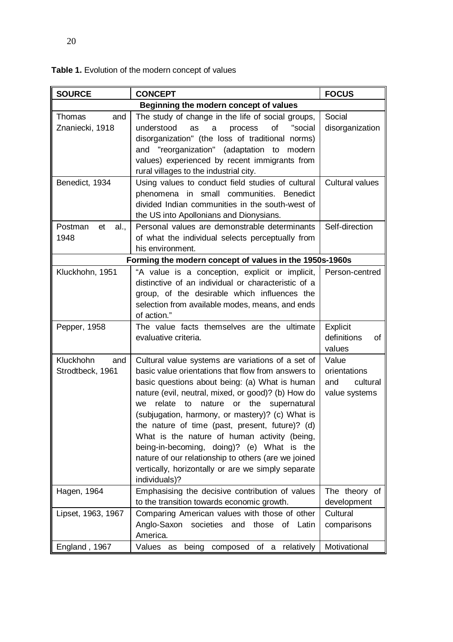| <b>CONCEPT</b>                                                                                                                                                                                                                                                                                                                                                                                                                                                                                                                                                                                     | <b>FOCUS</b>                                                                                                                                                                                                                                 |  |  |  |
|----------------------------------------------------------------------------------------------------------------------------------------------------------------------------------------------------------------------------------------------------------------------------------------------------------------------------------------------------------------------------------------------------------------------------------------------------------------------------------------------------------------------------------------------------------------------------------------------------|----------------------------------------------------------------------------------------------------------------------------------------------------------------------------------------------------------------------------------------------|--|--|--|
| Beginning the modern concept of values                                                                                                                                                                                                                                                                                                                                                                                                                                                                                                                                                             |                                                                                                                                                                                                                                              |  |  |  |
| The study of change in the life of social groups,<br>understood<br>as<br>of<br>"social<br>a<br>process<br>disorganization" (the loss of traditional norms)<br>and "reorganization" (adaptation to modern<br>values) experienced by recent immigrants from                                                                                                                                                                                                                                                                                                                                          | Social<br>disorganization                                                                                                                                                                                                                    |  |  |  |
| Using values to conduct field studies of cultural<br>phenomena in small communities.<br><b>Benedict</b><br>divided Indian communities in the south-west of<br>the US into Apollonians and Dionysians.                                                                                                                                                                                                                                                                                                                                                                                              | <b>Cultural values</b>                                                                                                                                                                                                                       |  |  |  |
| Personal values are demonstrable determinants<br>of what the individual selects perceptually from<br>his environment.                                                                                                                                                                                                                                                                                                                                                                                                                                                                              | Self-direction                                                                                                                                                                                                                               |  |  |  |
| Forming the modern concept of values in the 1950s-1960s                                                                                                                                                                                                                                                                                                                                                                                                                                                                                                                                            |                                                                                                                                                                                                                                              |  |  |  |
| distinctive of an individual or characteristic of a<br>group, of the desirable which influences the<br>selection from available modes, means, and ends<br>of action."                                                                                                                                                                                                                                                                                                                                                                                                                              | Person-centred                                                                                                                                                                                                                               |  |  |  |
| The value facts themselves are the ultimate<br>evaluative criteria.                                                                                                                                                                                                                                                                                                                                                                                                                                                                                                                                | Explicit<br>definitions<br>of<br>values                                                                                                                                                                                                      |  |  |  |
| Cultural value systems are variations of a set of<br>basic value orientations that flow from answers to<br>basic questions about being: (a) What is human<br>nature (evil, neutral, mixed, or good)? (b) How do<br>nature or the supernatural<br>we<br>relate to<br>(subjugation, harmony, or mastery)? (c) What is<br>the nature of time (past, present, future)? (d)<br>What is the nature of human activity (being,<br>being-in-becoming, doing)? (e) What is the<br>nature of our relationship to others (are we joined<br>vertically, horizontally or are we simply separate<br>individuals)? | Value<br>orientations<br>cultural<br>and<br>value systems                                                                                                                                                                                    |  |  |  |
|                                                                                                                                                                                                                                                                                                                                                                                                                                                                                                                                                                                                    | The theory of<br>development                                                                                                                                                                                                                 |  |  |  |
| Comparing American values with those of other<br>Anglo-Saxon<br>societies<br>and<br>those of Latin<br>America.                                                                                                                                                                                                                                                                                                                                                                                                                                                                                     | Cultural<br>comparisons<br>Motivational                                                                                                                                                                                                      |  |  |  |
|                                                                                                                                                                                                                                                                                                                                                                                                                                                                                                                                                                                                    | rural villages to the industrial city.<br>"A value is a conception, explicit or implicit,<br>Emphasising the decisive contribution of values<br>to the transition towards economic growth.<br>Values as<br>being<br>composed of a relatively |  |  |  |

**Table 1.** Evolution of the modern concept of values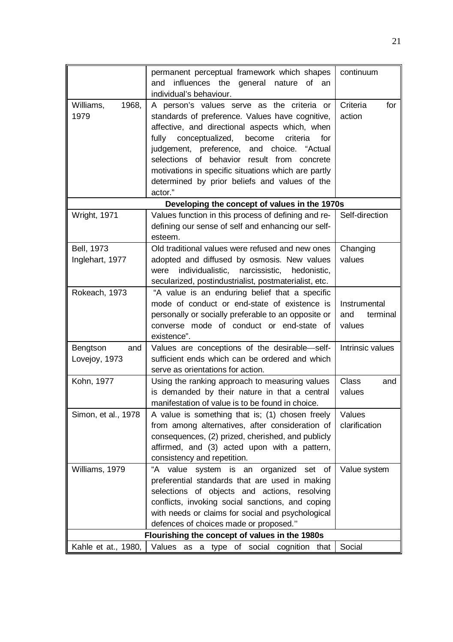|                     | permanent perceptual framework which shapes                                                             | continuum                 |
|---------------------|---------------------------------------------------------------------------------------------------------|---------------------------|
|                     | influences the general nature of<br>and<br>an                                                           |                           |
|                     | individual's behaviour.                                                                                 |                           |
| Williams,<br>1968,  | A person's values serve as the criteria or                                                              | Criteria<br>for           |
| 1979                | standards of preference. Values have cognitive,                                                         | action                    |
|                     | affective, and directional aspects which, when                                                          |                           |
|                     | conceptualized,<br>fully<br>become<br>criteria<br>for                                                   |                           |
|                     | judgement, preference, and choice.<br>"Actual                                                           |                           |
|                     | selections of behavior result from concrete                                                             |                           |
|                     | motivations in specific situations which are partly                                                     |                           |
|                     | determined by prior beliefs and values of the                                                           |                           |
|                     | actor."                                                                                                 |                           |
|                     | Developing the concept of values in the 1970s                                                           |                           |
| Wright, 1971        | Values function in this process of defining and re-                                                     | Self-direction            |
|                     | defining our sense of self and enhancing our self-                                                      |                           |
|                     | esteem.                                                                                                 |                           |
| Bell, 1973          | Old traditional values were refused and new ones                                                        | Changing                  |
| Inglehart, 1977     | adopted and diffused by osmosis. New values                                                             | values                    |
|                     | individualistic,<br>narcissistic,<br>hedonistic,<br>were                                                |                           |
|                     | secularized, postindustrialist, postmaterialist, etc.                                                   |                           |
| Rokeach, 1973       | "A value is an enduring belief that a specific                                                          |                           |
|                     | mode of conduct or end-state of existence is                                                            | Instrumental              |
|                     | personally or socially preferable to an opposite or<br>converse mode of conduct or end-state of         | and<br>terminal<br>values |
|                     | existence".                                                                                             |                           |
| Bengtson<br>and     | Values are conceptions of the desirable-self-                                                           | Intrinsic values          |
| Lovejoy, 1973       | sufficient ends which can be ordered and which                                                          |                           |
|                     | serve as orientations for action.                                                                       |                           |
| Kohn, 1977          |                                                                                                         |                           |
|                     | Using the ranking approach to measuring values                                                          | <b>Class</b><br>and       |
|                     | is demanded by their nature in that a central                                                           | values                    |
|                     | manifestation of value is to be found in choice.                                                        |                           |
| Simon, et al., 1978 | A value is something that is; (1) chosen freely                                                         | Values                    |
|                     | from among alternatives, after consideration of                                                         | clarification             |
|                     | consequences, (2) prized, cherished, and publicly                                                       |                           |
|                     | affirmed, and (3) acted upon with a pattern,                                                            |                           |
|                     | consistency and repetition.                                                                             |                           |
| Williams, 1979      | "A value system is an organized set of Value system                                                     |                           |
|                     | preferential standards that are used in making                                                          |                           |
|                     | selections of objects and actions, resolving                                                            |                           |
|                     | conflicts, invoking social sanctions, and coping                                                        |                           |
|                     | with needs or claims for social and psychological                                                       |                           |
|                     | defences of choices made or proposed."                                                                  |                           |
| Kahle et at., 1980, | Flourishing the concept of values in the 1980s<br>Values<br>type of social<br>cognition<br>as a<br>that | Social                    |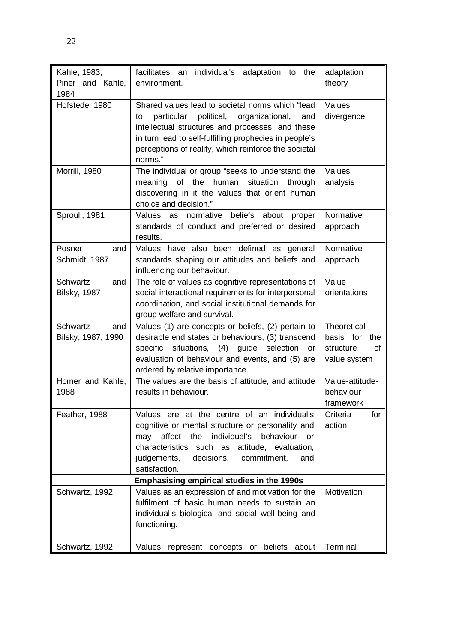| Kahle, 1983,<br>Piner and Kahle,<br>1984 | facilitates an<br>individual's adaptation to<br>the<br>environment.                                                                                                                                                                                                                           | adaptation<br>theory                                               |
|------------------------------------------|-----------------------------------------------------------------------------------------------------------------------------------------------------------------------------------------------------------------------------------------------------------------------------------------------|--------------------------------------------------------------------|
| Hofstede, 1980                           | Shared values lead to societal norms which "lead<br>political,<br>organizational,<br>particular<br>to<br>and<br>intellectual structures and processes, and these<br>in turn lead to self-fulfilling prophecies in people's<br>perceptions of reality, which reinforce the societal<br>norms." | Values<br>divergence                                               |
| Morrill, 1980                            | The individual or group "seeks to understand the<br>meaning of the human situation<br>through<br>discovering in it the values that orient human<br>choice and decision."                                                                                                                      | Values<br>analysis                                                 |
| Sproull, 1981                            | beliefs about<br>Values<br>as normative<br>proper<br>standards of conduct and preferred or desired<br>results.                                                                                                                                                                                | Normative<br>approach                                              |
| Posner<br>and<br>Schmidt, 1987           | Values have also been defined as general<br>standards shaping our attitudes and beliefs and<br>influencing our behaviour.                                                                                                                                                                     | Normative<br>approach                                              |
| Schwartz<br>and<br><b>Bilsky, 1987</b>   | The role of values as cognitive representations of<br>social interactional requirements for interpersonal<br>coordination, and social institutional demands for<br>group welfare and survival.                                                                                                | Value<br>orientations                                              |
| Schwartz<br>and<br>Bilsky, 1987, 1990    | Values (1) are concepts or beliefs, (2) pertain to<br>desirable end states or behaviours, (3) transcend<br>guide<br>selection<br>specific<br>situations, (4)<br>or<br>evaluation of behaviour and events, and (5) are<br>ordered by relative importance.                                      | Theoretical<br>basis for<br>the<br>structure<br>οf<br>value system |
| Homer and Kahle,<br>1988                 | The values are the basis of attitude, and attitude<br>results in behaviour.                                                                                                                                                                                                                   | Value-attitude-<br>behaviour<br>framework                          |
| Feather, 1988                            | Values are at the centre of an individual's<br>cognitive or mental structure or personality and<br>affect<br>individual's<br>behaviour<br>may<br>the<br>or<br>characteristics such as attitude, evaluation,<br>judgements,<br>decisions, commitment,<br>and<br>satisfaction.                  | Criteria<br>for<br>action                                          |
|                                          | Emphasising empirical studies in the 1990s                                                                                                                                                                                                                                                    |                                                                    |
| Schwartz, 1992                           | Values as an expression of and motivation for the<br>fulfilment of basic human needs to sustain an<br>individual's biological and social well-being and<br>functioning.                                                                                                                       | Motivation                                                         |
| Schwartz, 1992                           | beliefs<br>Values<br>represent concepts<br>about<br>or                                                                                                                                                                                                                                        | Terminal                                                           |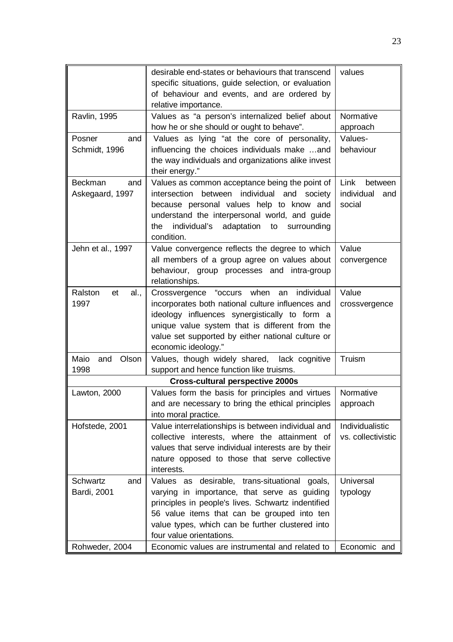|                       | desirable end-states or behaviours that transcend<br>specific situations, guide selection, or evaluation<br>of behaviour and events, and are ordered by<br>relative importance. | values             |
|-----------------------|---------------------------------------------------------------------------------------------------------------------------------------------------------------------------------|--------------------|
| <b>Ravlin, 1995</b>   | Values as "a person's internalized belief about                                                                                                                                 | Normative          |
|                       | how he or she should or ought to behave".                                                                                                                                       | approach           |
| Posner<br>and         | Values as lying "at the core of personality,                                                                                                                                    | Values-            |
| Schmidt, 1996         | influencing the choices individuals make and<br>the way individuals and organizations alike invest<br>their energy."                                                            | behaviour          |
| <b>Beckman</b><br>and | Values as common acceptance being the point of                                                                                                                                  | Link<br>between    |
| Askegaard, 1997       | intersection between<br>individual<br>and society                                                                                                                               | individual<br>and  |
|                       | because personal values help to know and                                                                                                                                        | social             |
|                       | understand the interpersonal world, and guide                                                                                                                                   |                    |
|                       | adaptation<br>the<br>individual's<br>to<br>surrounding                                                                                                                          |                    |
|                       | condition.                                                                                                                                                                      |                    |
| Jehn et al., 1997     | Value convergence reflects the degree to which                                                                                                                                  | Value              |
|                       | all members of a group agree on values about                                                                                                                                    | convergence        |
|                       | behaviour, group processes and intra-group                                                                                                                                      |                    |
|                       | relationships.                                                                                                                                                                  |                    |
| Ralston<br>et<br>al., | "occurs<br>when<br>individual<br>Crossvergence<br>an                                                                                                                            | Value              |
| 1997                  | incorporates both national culture influences and                                                                                                                               | crossvergence      |
|                       | ideology influences synergistically to form a                                                                                                                                   |                    |
|                       | unique value system that is different from the                                                                                                                                  |                    |
|                       | value set supported by either national culture or                                                                                                                               |                    |
|                       | economic ideology."                                                                                                                                                             |                    |
| Maio<br>and<br>Olson  | Values, though widely shared, lack cognitive                                                                                                                                    | Truism             |
| 1998                  | support and hence function like truisms.                                                                                                                                        |                    |
|                       | <b>Cross-cultural perspective 2000s</b>                                                                                                                                         |                    |
| Lawton, 2000          | Values form the basis for principles and virtues                                                                                                                                | Normative          |
|                       | and are necessary to bring the ethical principles                                                                                                                               | approach           |
|                       | into moral practice.                                                                                                                                                            |                    |
| Hofstede, 2001        | Value interrelationships is between individual and                                                                                                                              | Individualistic    |
|                       | collective interests, where the attainment of                                                                                                                                   | vs. collectivistic |
|                       | values that serve individual interests are by their                                                                                                                             |                    |
|                       | nature opposed to those that serve collective                                                                                                                                   |                    |
|                       | interests.                                                                                                                                                                      |                    |
| Schwartz<br>and       | Values as desirable, trans-situational goals,                                                                                                                                   | Universal          |
| Bardi, 2001           | varying in importance, that serve as guiding                                                                                                                                    | typology           |
|                       | principles in people's lives. Schwartz indentified                                                                                                                              |                    |
|                       | 56 value items that can be grouped into ten                                                                                                                                     |                    |
|                       | value types, which can be further clustered into                                                                                                                                |                    |
|                       | four value orientations.                                                                                                                                                        |                    |
| Rohweder, 2004        | Economic values are instrumental and related to                                                                                                                                 | Economic and       |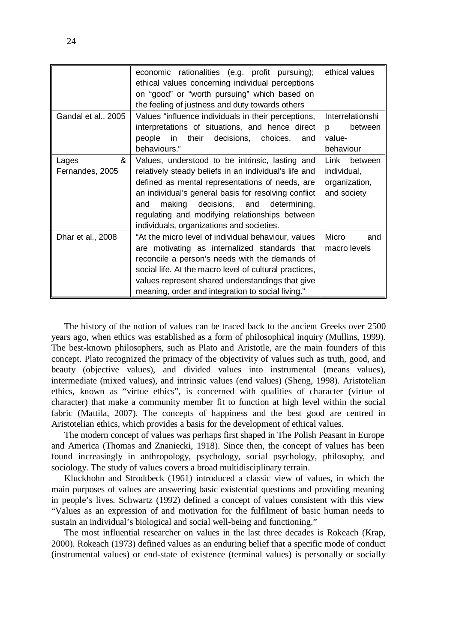|                               | economic rationalities (e.g. profit pursuing);<br>ethical values concerning individual perceptions<br>on "good" or "worth pursuing" which based on<br>the feeling of justness and duty towards others                                                                                                                                                           | ethical values                                                 |
|-------------------------------|-----------------------------------------------------------------------------------------------------------------------------------------------------------------------------------------------------------------------------------------------------------------------------------------------------------------------------------------------------------------|----------------------------------------------------------------|
| Gandal et al., 2005           | Values "influence individuals in their perceptions,<br>interpretations of situations, and hence direct<br>in their decisions, choices,<br>people<br>and<br>behaviours."                                                                                                                                                                                         | <b>Interrelationshi</b><br>between<br>D<br>value-<br>behaviour |
| &<br>Lages<br>Fernandes, 2005 | Values, understood to be intrinsic, lasting and<br>relatively steady beliefs in an individual's life and<br>defined as mental representations of needs, are<br>an individual's general basis for resolving conflict<br>making decisions, and determining,<br>and<br>regulating and modifying relationships between<br>individuals, organizations and societies. | Link<br>between<br>individual,<br>organization,<br>and society |
| Dhar et al., 2008             | "At the micro level of individual behaviour, values<br>are motivating as internalized standards that<br>reconcile a person's needs with the demands of<br>social life. At the macro level of cultural practices,<br>values represent shared understandings that give<br>meaning, order and integration to social living."                                       | Micro<br>and<br>macro levels                                   |

The history of the notion of values can be traced back to the ancient Greeks over 2500 years ago, when ethics was established as a form of philosophical inquiry (Mullins, 1999). The best-known philosophers, such as Plato and Aristotle, are the main founders of this concept. Plato recognized the primacy of the objectivity of values such as truth, good, and beauty (objective values), and divided values into instrumental (means values), intermediate (mixed values), and intrinsic values (end values) (Sheng, 1998). Aristotelian ethics, known as "virtue ethics", is concerned with qualities of character (virtue of character) that make a community member fit to function at high level within the social fabric (Mattila, 2007). The concepts of happiness and the best good are centred in Aristotelian ethics, which provides a basis for the development of ethical values.

The modern concept of values was perhaps first shaped in The Polish Peasant in Europe and America (Thomas and Znaniecki, 1918). Since then, the concept of values has been found increasingly in anthropology, psychology, social psychology, philosophy, and sociology. The study of values covers a broad multidisciplinary terrain.

Kluckhohn and Strodtbeck (1961) introduced a classic view of values, in which the main purposes of values are answering basic existential questions and providing meaning in people's lives. Schwartz (1992) defined a concept of values consistent with this view "Values as an expression of and motivation for the fulfilment of basic human needs to sustain an individual's biological and social well-being and functioning."

The most influential researcher on values in the last three decades is Rokeach (Krap, 2000). Rokeach (1973) defined values as an enduring belief that a specific mode of conduct (instrumental values) or end-state of existence (terminal values) is personally or socially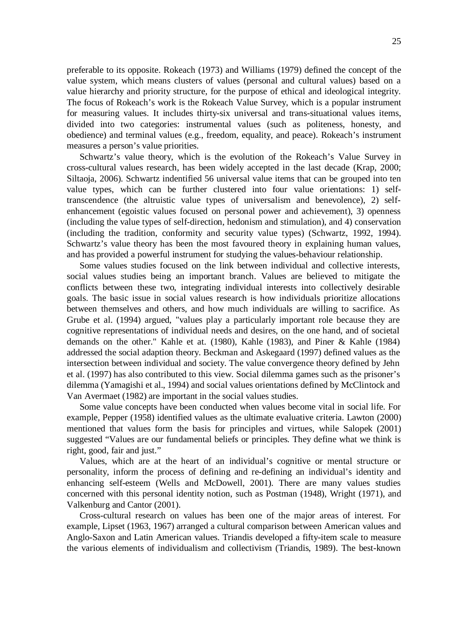preferable to its opposite. Rokeach (1973) and Williams (1979) defined the concept of the value system, which means clusters of values (personal and cultural values) based on a value hierarchy and priority structure, for the purpose of ethical and ideological integrity. The focus of Rokeach's work is the Rokeach Value Survey, which is a popular instrument for measuring values. It includes thirty-six universal and trans-situational values items, divided into two categories: instrumental values (such as politeness, honesty, and obedience) and terminal values (e.g., freedom, equality, and peace). Rokeach's instrument measures a person's value priorities.

Schwartz's value theory, which is the evolution of the Rokeach's Value Survey in cross-cultural values research, has been widely accepted in the last decade (Krap, 2000; Siltaoja, 2006). Schwartz indentified 56 universal value items that can be grouped into ten value types, which can be further clustered into four value orientations: 1) selftranscendence (the altruistic value types of universalism and benevolence), 2) selfenhancement (egoistic values focused on personal power and achievement), 3) openness (including the value types of self-direction, hedonism and stimulation), and 4) conservation (including the tradition, conformity and security value types) (Schwartz, 1992, 1994). Schwartz's value theory has been the most favoured theory in explaining human values, and has provided a powerful instrument for studying the values-behaviour relationship.

Some values studies focused on the link between individual and collective interests, social values studies being an important branch. Values are believed to mitigate the conflicts between these two, integrating individual interests into collectively desirable goals. The basic issue in social values research is how individuals prioritize allocations between themselves and others, and how much individuals are willing to sacrifice. As Grube et al. (1994) argued, "values play a particularly important role because they are cognitive representations of individual needs and desires, on the one hand, and of societal demands on the other." Kahle et at. (1980), Kahle (1983), and Piner & Kahle (1984) addressed the social adaption theory. Beckman and Askegaard (1997) defined values as the intersection between individual and society. The value convergence theory defined by Jehn et al. (1997) has also contributed to this view. Social dilemma games such as the prisoner's dilemma (Yamagishi et al., 1994) and social values orientations defined by McClintock and Van Avermaet (1982) are important in the social values studies.

Some value concepts have been conducted when values become vital in social life. For example, Pepper (1958) identified values as the ultimate evaluative criteria. Lawton (2000) mentioned that values form the basis for principles and virtues, while Salopek (2001) suggested "Values are our fundamental beliefs or principles. They define what we think is right, good, fair and just."

Values, which are at the heart of an individual's cognitive or mental structure or personality, inform the process of defining and re-defining an individual's identity and enhancing self-esteem (Wells and McDowell, 2001). There are many values studies concerned with this personal identity notion, such as Postman (1948), Wright (1971), and Valkenburg and Cantor (2001).

Cross-cultural research on values has been one of the major areas of interest. For example, Lipset (1963, 1967) arranged a cultural comparison between American values and Anglo-Saxon and Latin American values. Triandis developed a fifty-item scale to measure the various elements of individualism and collectivism (Triandis, 1989). The best-known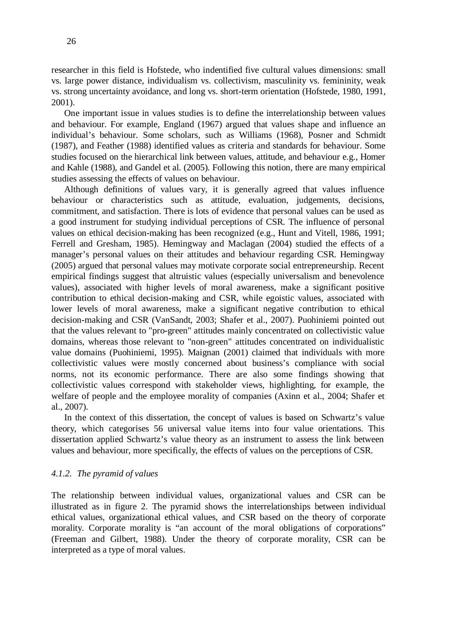researcher in this field is Hofstede, who indentified five cultural values dimensions: small vs. large power distance, individualism vs. collectivism, masculinity vs. femininity, weak vs. strong uncertainty avoidance, and long vs. short-term orientation (Hofstede, 1980, 1991, 2001).

One important issue in values studies is to define the interrelationship between values and behaviour. For example, England (1967) argued that values shape and influence an individual's behaviour. Some scholars, such as Williams (1968), Posner and Schmidt (1987), and Feather (1988) identified values as criteria and standards for behaviour. Some studies focused on the hierarchical link between values, attitude, and behaviour e.g., Homer and Kahle (1988), and Gandel et al. (2005). Following this notion, there are many empirical studies assessing the effects of values on behaviour.

Although definitions of values vary, it is generally agreed that values influence behaviour or characteristics such as attitude, evaluation, judgements, decisions, commitment, and satisfaction. There is lots of evidence that personal values can be used as a good instrument for studying individual perceptions of CSR. The influence of personal values on ethical decision-making has been recognized (e.g., Hunt and Vitell, 1986, 1991; Ferrell and Gresham, 1985). Hemingway and Maclagan (2004) studied the effects of a manager's personal values on their attitudes and behaviour regarding CSR. Hemingway (2005) argued that personal values may motivate corporate social entrepreneurship. Recent empirical findings suggest that altruistic values (especially universalism and benevolence values), associated with higher levels of moral awareness, make a significant positive contribution to ethical decision-making and CSR, while egoistic values, associated with lower levels of moral awareness, make a significant negative contribution to ethical decision-making and CSR (VanSandt, 2003; Shafer et al., 2007). Puohiniemi pointed out that the values relevant to "pro-green" attitudes mainly concentrated on collectivistic value domains, whereas those relevant to "non-green" attitudes concentrated on individualistic value domains (Puohiniemi, 1995). Maignan (2001) claimed that individuals with more collectivistic values were mostly concerned about business's compliance with social norms, not its economic performance. There are also some findings showing that collectivistic values correspond with stakeholder views, highlighting, for example, the welfare of people and the employee morality of companies (Axinn et al., 2004; Shafer et al., 2007).

In the context of this dissertation, the concept of values is based on Schwartz's value theory, which categorises 56 universal value items into four value orientations. This dissertation applied Schwartz's value theory as an instrument to assess the link between values and behaviour, more specifically, the effects of values on the perceptions of CSR.

#### <span id="page-25-0"></span>*4.1.2. The pyramid of values*

The relationship between individual values, organizational values and CSR can be illustrated as in figure 2. The pyramid shows the interrelationships between individual ethical values, organizational ethical values, and CSR based on the theory of corporate morality. Corporate morality is "an account of the moral obligations of corporations" (Freeman and Gilbert, 1988). Under the theory of corporate morality, CSR can be interpreted as a type of moral values.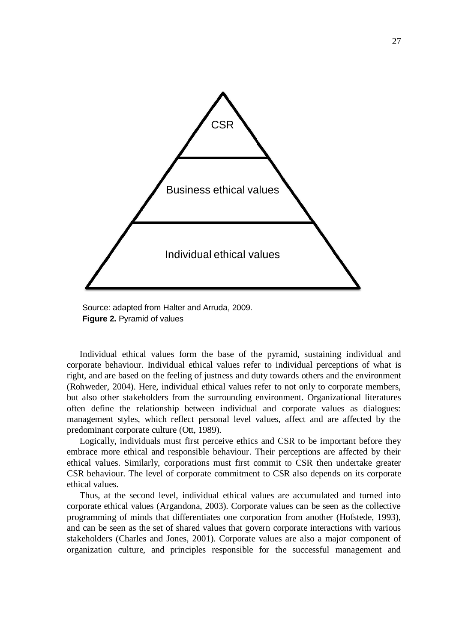

Source: adapted from Halter and Arruda, 2009. **Figure 2.** Pyramid of values

Individual ethical values form the base of the pyramid, sustaining individual and corporate behaviour. Individual ethical values refer to individual perceptions of what is right, and are based on the feeling of justness and duty towards others and the environment (Rohweder, 2004). Here, individual ethical values refer to not only to corporate members, but also other stakeholders from the surrounding environment. Organizational literatures often define the relationship between individual and corporate values as dialogues: management styles, which reflect personal level values, affect and are affected by the predominant corporate culture (Ott, 1989).

Logically, individuals must first perceive ethics and CSR to be important before they embrace more ethical and responsible behaviour. Their perceptions are affected by their ethical values. Similarly, corporations must first commit to CSR then undertake greater CSR behaviour. The level of corporate commitment to CSR also depends on its corporate ethical values.

Thus, at the second level, individual ethical values are accumulated and turned into corporate ethical values (Argandona, 2003). Corporate values can be seen as the collective programming of minds that differentiates one corporation from another (Hofstede, 1993), and can be seen as the set of shared values that govern corporate interactions with various stakeholders (Charles and Jones, 2001). Corporate values are also a major component of organization culture, and principles responsible for the successful management and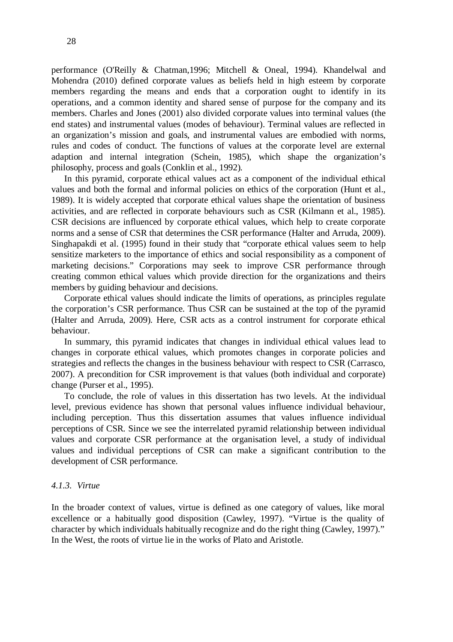performance (O'Reilly & Chatman,1996; Mitchell & Oneal, 1994). Khandelwal and Mohendra (2010) defined corporate values as beliefs held in high esteem by corporate members regarding the means and ends that a corporation ought to identify in its operations, and a common identity and shared sense of purpose for the company and its members. Charles and Jones (2001) also divided corporate values into terminal values (the end states) and instrumental values (modes of behaviour). Terminal values are reflected in an organization's mission and goals, and instrumental values are embodied with norms, rules and codes of conduct. The functions of values at the corporate level are external adaption and internal integration (Schein, 1985), which shape the organization's philosophy, process and goals (Conklin et al., 1992).

In this pyramid, corporate ethical values act as a component of the individual ethical values and both the formal and informal policies on ethics of the corporation (Hunt et al., 1989). It is widely accepted that corporate ethical values shape the orientation of business activities, and are reflected in corporate behaviours such as CSR (Kilmann et al., 1985). CSR decisions are influenced by corporate ethical values, which help to create corporate norms and a sense of CSR that determines the CSR performance (Halter and Arruda, 2009). Singhapakdi et al. (1995) found in their study that "corporate ethical values seem to help sensitize marketers to the importance of ethics and social responsibility as a component of marketing decisions." Corporations may seek to improve CSR performance through creating common ethical values which provide direction for the organizations and theirs members by guiding behaviour and decisions.

Corporate ethical values should indicate the limits of operations, as principles regulate the corporation's CSR performance. Thus CSR can be sustained at the top of the pyramid (Halter and Arruda, 2009). Here, CSR acts as a control instrument for corporate ethical behaviour.

In summary, this pyramid indicates that changes in individual ethical values lead to changes in corporate ethical values, which promotes changes in corporate policies and strategies and reflects the changes in the business behaviour with respect to CSR (Carrasco, 2007). A precondition for CSR improvement is that values (both individual and corporate) change (Purser et al., 1995).

To conclude, the role of values in this dissertation has two levels. At the individual level, previous evidence has shown that personal values influence individual behaviour, including perception. Thus this dissertation assumes that values influence individual perceptions of CSR. Since we see the interrelated pyramid relationship between individual values and corporate CSR performance at the organisation level, a study of individual values and individual perceptions of CSR can make a significant contribution to the development of CSR performance.

#### <span id="page-27-0"></span>*4.1.3. Virtue*

In the broader context of values, virtue is defined as one category of values, like moral excellence or a habitually good disposition (Cawley, 1997). "Virtue is the quality of character by which individuals habitually recognize and do the right thing (Cawley, 1997)." In the West, the roots of virtue lie in the works of Plato and Aristotle.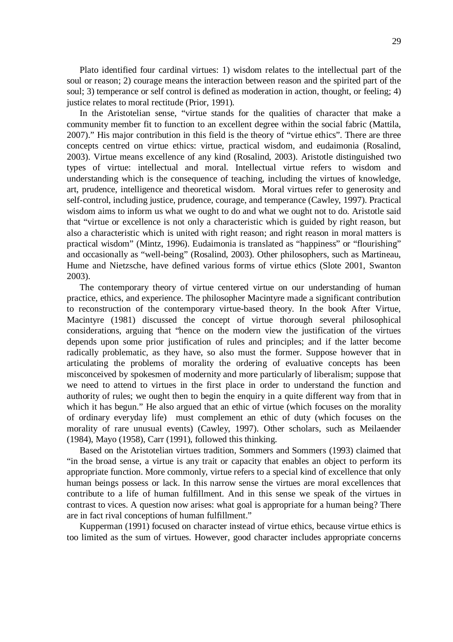Plato identified four cardinal virtues: 1) wisdom relates to the intellectual part of the soul or reason; 2) courage means the interaction between reason and the spirited part of the soul; 3) temperance or self control is defined as moderation in action, thought, or feeling; 4) justice relates to moral rectitude (Prior, 1991).

In the Aristotelian sense, "virtue stands for the qualities of character that make a community member fit to function to an excellent degree within the social fabric (Mattila, 2007)." His major contribution in this field is the theory of "virtue ethics". There are three concepts centred on virtue ethics: virtue, practical wisdom, and eudaimonia (Rosalind, 2003). Virtue means excellence of any kind (Rosalind, 2003). Aristotle distinguished two types of virtue: intellectual and moral. Intellectual virtue refers to wisdom and understanding which is the consequence of teaching, including the virtues of knowledge, art, prudence, intelligence and theoretical wisdom. Moral virtues refer to generosity and self-control, including justice, prudence, courage, and temperance (Cawley, 1997). Practical wisdom aims to inform us what we ought to do and what we ought not to do. Aristotle said that "virtue or excellence is not only a characteristic which is guided by right reason, but also a characteristic which is united with right reason; and right reason in moral matters is practical wisdom" (Mintz, 1996). Eudaimonia is translated as "happiness" or "flourishing" and occasionally as "well-being" (Rosalind, 2003). Other philosophers, such as Martineau, Hume and Nietzsche, have defined various forms of virtue ethics (Slote 2001, Swanton 2003).

The contemporary theory of virtue centered virtue on our understanding of human practice, ethics, and experience. The philosopher Macintyre made a significant contribution to reconstruction of the contemporary virtue-based theory. In the book After Virtue, Macintyre (1981) discussed the concept of virtue thorough several philosophical considerations, arguing that "hence on the modern view the justification of the virtues depends upon some prior justification of rules and principles; and if the latter become radically problematic, as they have, so also must the former. Suppose however that in articulating the problems of morality the ordering of evaluative concepts has been misconceived by spokesmen of modernity and more particularly of liberalism; suppose that we need to attend to virtues in the first place in order to understand the function and authority of rules; we ought then to begin the enquiry in a quite different way from that in which it has begun." He also argued that an ethic of virtue (which focuses on the morality of ordinary everyday life) must complement an ethic of duty (which focuses on the morality of rare unusual events) (Cawley, 1997). Other scholars, such as Meilaender (1984), Mayo (1958), Carr (1991), followed this thinking.

Based on the Aristotelian virtues tradition, Sommers and Sommers (1993) claimed that "in the broad sense, a virtue is any trait or capacity that enables an object to perform its appropriate function. More commonly, virtue refers to a special kind of excellence that only human beings possess or lack. In this narrow sense the virtues are moral excellences that contribute to a life of human fulfillment. And in this sense we speak of the virtues in contrast to vices. A question now arises: what goal is appropriate for a human being? There are in fact rival conceptions of human fulfillment."

Kupperman (1991) focused on character instead of virtue ethics, because virtue ethics is too limited as the sum of virtues. However, good character includes appropriate concerns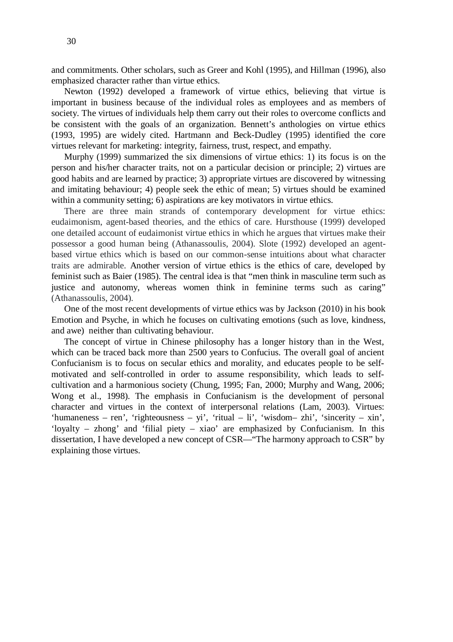and commitments. Other scholars, such as Greer and Kohl (1995), and Hillman (1996), also emphasized character rather than virtue ethics.

Newton (1992) developed a framework of virtue ethics, believing that virtue is important in business because of the individual roles as employees and as members of society. The virtues of individuals help them carry out their roles to overcome conflicts and be consistent with the goals of an organization. Bennett's anthologies on virtue ethics (1993, 1995) are widely cited. Hartmann and Beck-Dudley (1995) identified the core virtues relevant for marketing: integrity, fairness, trust, respect, and empathy.

Murphy (1999) summarized the six dimensions of virtue ethics: 1) its focus is on the person and his/her character traits, not on a particular decision or principle; 2) virtues are good habits and are learned by practice; 3) appropriate virtues are discovered by witnessing and imitating behaviour; 4) people seek the ethic of mean; 5) virtues should be examined within a community setting; 6) aspirations are key motivators in virtue ethics.

There are three main strands of contemporary development for virtue ethics: eudaimonism, agent-based theories, and the ethics of care. Hursthouse (1999) developed one detailed account of eudaimonist virtue ethics in which he argues that virtues make their possessor a good human being (Athanassoulis, 2004). Slote (1992) developed an agentbased virtue ethics which is based on our common-sense intuitions about what character traits are admirable. Another version of virtue ethics is the ethics of care, developed by feminist such as Baier (1985). The central idea is that "men think in masculine term such as justice and autonomy, whereas women think in feminine terms such as caring" (Athanassoulis, 2004).

One of the most recent developments of virtue ethics was by Jackson (2010) in his book Emotion and Psyche, in which he focuses on cultivating emotions (such as love, kindness, and awe) neither than cultivating behaviour.

The concept of virtue in Chinese philosophy has a longer history than in the West, which can be traced back more than 2500 years to Confucius. The overall goal of ancient Confucianism is to focus on secular ethics and morality, and educates people to be selfmotivated and self-controlled in order to assume responsibility, which leads to selfcultivation and a harmonious society (Chung, 1995; Fan, 2000; Murphy and Wang, 2006; Wong et al., 1998). The emphasis in Confucianism is the development of personal character and virtues in the context of interpersonal relations (Lam, 2003). Virtues: 'humaneness – ren', 'righteousness – yi', 'ritual – li', 'wisdom– zhi', 'sincerity – xin', 'loyalty – zhong' and 'filial piety – xiao' are emphasized by Confucianism. In this dissertation, I have developed a new concept of CSR—"The harmony approach to CSR" by explaining those virtues.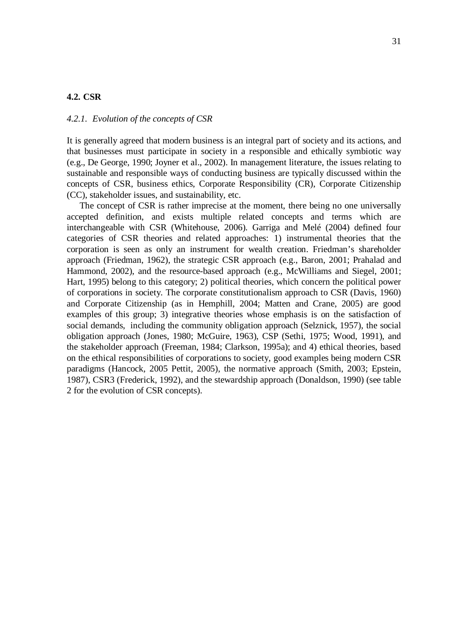### <span id="page-30-0"></span>**4.2. CSR**

#### <span id="page-30-1"></span>*4.2.1. Evolution of the concepts of CSR*

It is generally agreed that modern business is an integral part of society and its actions, and that businesses must participate in society in a responsible and ethically symbiotic way (e.g., De George, 1990; Joyner et al., 2002). In management literature, the issues relating to sustainable and responsible ways of conducting business are typically discussed within the concepts of CSR, business ethics, Corporate Responsibility (CR), Corporate Citizenship (CC), stakeholder issues, and sustainability, etc.

The concept of CSR is rather imprecise at the moment, there being no one universally accepted definition, and exists multiple related concepts and terms which are interchangeable with CSR (Whitehouse, 2006). Garriga and Melé (2004) defined four categories of CSR theories and related approaches: 1) instrumental theories that the corporation is seen as only an instrument for wealth creation. Friedman's shareholder approach (Friedman, 1962), the strategic CSR approach (e.g., Baron, 2001; Prahalad and Hammond, 2002), and the resource-based approach (e.g., McWilliams and Siegel, 2001; Hart, 1995) belong to this category; 2) political theories, which concern the political power of corporations in society. The corporate constitutionalism approach to CSR (Davis, 1960) and Corporate Citizenship (as in Hemphill, 2004; Matten and Crane, 2005) are good examples of this group; 3) integrative theories whose emphasis is on the satisfaction of social demands, including the community obligation approach (Selznick, 1957), the social obligation approach (Jones, 1980; McGuire, 1963), CSP (Sethi, 1975; Wood, 1991), and the stakeholder approach (Freeman, 1984; Clarkson, 1995a); and 4) ethical theories, based on the ethical responsibilities of corporations to society, good examples being modern CSR paradigms (Hancock, 2005 Pettit, 2005), the normative approach (Smith, 2003; Epstein, 1987), CSR3 (Frederick, 1992), and the stewardship approach (Donaldson, 1990) (see table 2 for the evolution of CSR concepts).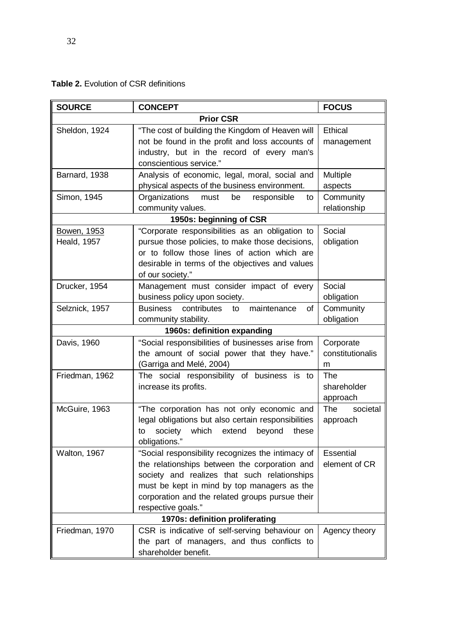| <b>Table 2.</b> Evolution of CSR definitions |  |  |
|----------------------------------------------|--|--|
|----------------------------------------------|--|--|

| <b>SOURCE</b>                     | <b>CONCEPT</b>                                                                                                                                                                                                                                                             | <b>FOCUS</b>                       |  |  |
|-----------------------------------|----------------------------------------------------------------------------------------------------------------------------------------------------------------------------------------------------------------------------------------------------------------------------|------------------------------------|--|--|
| <b>Prior CSR</b>                  |                                                                                                                                                                                                                                                                            |                                    |  |  |
| Sheldon, 1924                     | "The cost of building the Kingdom of Heaven will<br>not be found in the profit and loss accounts of<br>industry, but in the record of every man's<br>conscientious service."                                                                                               | Ethical<br>management              |  |  |
| Barnard, 1938                     | Analysis of economic, legal, moral, social and<br>physical aspects of the business environment.                                                                                                                                                                            | Multiple<br>aspects                |  |  |
| Simon, 1945                       | Organizations<br>must<br>responsible<br>be<br>to<br>community values.                                                                                                                                                                                                      | Community<br>relationship          |  |  |
|                                   | 1950s: beginning of CSR                                                                                                                                                                                                                                                    |                                    |  |  |
| Bowen, 1953<br><b>Heald, 1957</b> | "Corporate responsibilities as an obligation to<br>pursue those policies, to make those decisions,<br>or to follow those lines of action which are<br>desirable in terms of the objectives and values<br>of our society."                                                  | Social<br>obligation               |  |  |
| Drucker, 1954                     | Management must consider impact of every<br>business policy upon society.                                                                                                                                                                                                  | Social<br>obligation               |  |  |
| Selznick, 1957                    | <b>Business</b><br>contributes<br>maintenance<br>to<br>of<br>community stability.                                                                                                                                                                                          | Community<br>obligation            |  |  |
| 1960s: definition expanding       |                                                                                                                                                                                                                                                                            |                                    |  |  |
| Davis, 1960                       | "Social responsibilities of businesses arise from<br>the amount of social power that they have."<br>(Garriga and Melé, 2004)                                                                                                                                               | Corporate<br>constitutionalis<br>m |  |  |
| Friedman, 1962                    | The social responsibility of business is to<br>increase its profits.                                                                                                                                                                                                       | The<br>shareholder<br>approach     |  |  |
| McGuire, 1963                     | "The corporation has not only economic and<br>legal obligations but also certain responsibilities<br>society<br>which<br>extend<br>beyond<br>these<br>to<br>obligations."                                                                                                  | societal<br><b>The</b><br>approach |  |  |
| Walton, 1967                      | "Social responsibility recognizes the intimacy of<br>the relationships between the corporation and<br>society and realizes that such relationships<br>must be kept in mind by top managers as the<br>corporation and the related groups pursue their<br>respective goals." | Essential<br>element of CR         |  |  |
|                                   | 1970s: definition proliferating                                                                                                                                                                                                                                            |                                    |  |  |
| Friedman, 1970                    | CSR is indicative of self-serving behaviour on<br>the part of managers, and thus conflicts to<br>shareholder benefit.                                                                                                                                                      | Agency theory                      |  |  |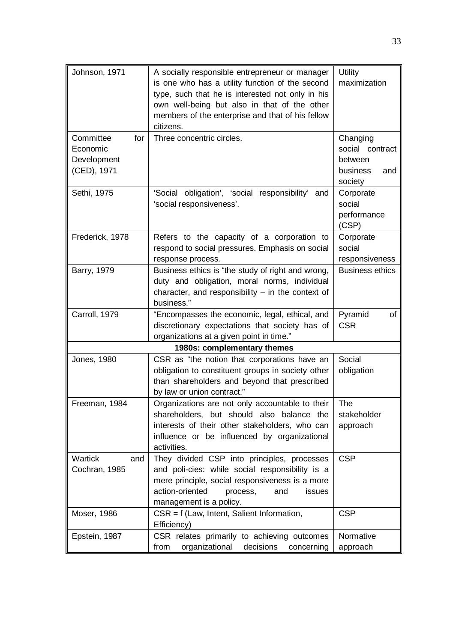| Johnson, 1971                                              | A socially responsible entrepreneur or manager<br>is one who has a utility function of the second<br>type, such that he is interested not only in his<br>own well-being but also in that of the other<br>members of the enterprise and that of his fellow<br>citizens. | Utility<br>maximization                                              |
|------------------------------------------------------------|------------------------------------------------------------------------------------------------------------------------------------------------------------------------------------------------------------------------------------------------------------------------|----------------------------------------------------------------------|
| Committee<br>for<br>Economic<br>Development<br>(CED), 1971 | Three concentric circles.                                                                                                                                                                                                                                              | Changing<br>social contract<br>between<br>business<br>and<br>society |
| Sethi, 1975                                                | 'Social obligation', 'social responsibility' and<br>'social responsiveness'.                                                                                                                                                                                           | Corporate<br>social<br>performance<br>(CSP)                          |
| Frederick, 1978                                            | Refers to the capacity of a corporation to<br>respond to social pressures. Emphasis on social<br>response process.                                                                                                                                                     | Corporate<br>social<br>responsiveness                                |
| Barry, 1979                                                | Business ethics is "the study of right and wrong,<br>duty and obligation, moral norms, individual<br>character, and responsibility $-$ in the context of<br>business."                                                                                                 | <b>Business ethics</b>                                               |
| Carroll, 1979                                              | "Encompasses the economic, legal, ethical, and<br>discretionary expectations that society has of<br>organizations at a given point in time."                                                                                                                           | Pyramid<br>of<br><b>CSR</b>                                          |
|                                                            | 1980s: complementary themes                                                                                                                                                                                                                                            |                                                                      |
| Jones, 1980                                                | CSR as "the notion that corporations have an<br>obligation to constituent groups in society other<br>than shareholders and beyond that prescribed<br>by law or union contract."                                                                                        | Social<br>obligation                                                 |
| Freeman, 1984                                              | Organizations are not only accountable to their<br>shareholders, but should also balance the<br>interests of their other stakeholders, who can<br>influence or be influenced by organizational<br>activities.                                                          | <b>The</b><br>stakeholder<br>approach                                |
| Wartick<br>and<br>Cochran, 1985                            | They divided CSP into principles, processes<br>and poli-cies: while social responsibility is a<br>mere principle, social responsiveness is a more<br>action-oriented<br>process,<br>and<br><i>issues</i><br>management is a policy.                                    | <b>CSP</b>                                                           |
| Moser, 1986                                                | CSR = f (Law, Intent, Salient Information,<br>Efficiency)                                                                                                                                                                                                              | <b>CSP</b>                                                           |
| Epstein, 1987                                              | CSR relates primarily to achieving outcomes<br>organizational<br>decisions<br>from<br>concerning                                                                                                                                                                       | Normative<br>approach                                                |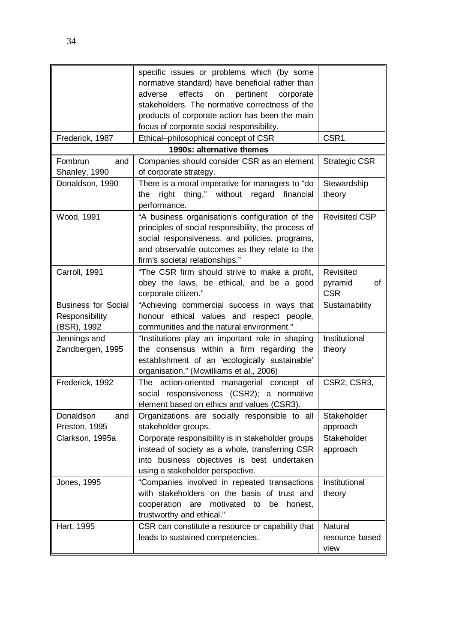| Frederick, 1987                                             | specific issues or problems which (by some<br>normative standard) have beneficial rather than<br>effects<br>adverse<br>on<br>pertinent<br>corporate<br>stakeholders. The normative correctness of the<br>products of corporate action has been the main<br>focus of corporate social responsibility.<br>Ethical-philosophical concept of CSR | CSR1                                     |
|-------------------------------------------------------------|----------------------------------------------------------------------------------------------------------------------------------------------------------------------------------------------------------------------------------------------------------------------------------------------------------------------------------------------|------------------------------------------|
|                                                             | 1990s: alternative themes                                                                                                                                                                                                                                                                                                                    |                                          |
| Fombrun<br>and<br>Shanley, 1990                             | Companies should consider CSR as an element<br>of corporate strategy.                                                                                                                                                                                                                                                                        | <b>Strategic CSR</b>                     |
| Donaldson, 1990                                             | There is a moral imperative for managers to "do<br>thing," without regard<br>the<br>right<br>financial<br>performance.                                                                                                                                                                                                                       | Stewardship<br>theory                    |
| Wood, 1991                                                  | "A business organisation's configuration of the<br>principles of social responsibility, the process of<br>social responsiveness, and policies, programs,<br>and observable outcomes as they relate to the<br>firm's societal relationships."                                                                                                 | <b>Revisited CSP</b>                     |
| Carroll, 1991                                               | "The CSR firm should strive to make a profit,<br>obey the laws, be ethical, and be a good<br>corporate citizen."                                                                                                                                                                                                                             | Revisited<br>pyramid<br>of<br><b>CSR</b> |
| <b>Business for Social</b><br>Responsibility<br>(BSR), 1992 | "Achieving commercial success in ways that<br>honour ethical values and respect people,<br>communities and the natural environment."                                                                                                                                                                                                         | Sustainability                           |
| Jennings and<br>Zandbergen, 1995                            | "Institutions play an important role in shaping<br>the consensus within a firm regarding the<br>establishment of an 'ecologically sustainable'<br>organisation." (Mcwilliams et al., 2006)                                                                                                                                                   | Institutional<br>theory                  |
| Frederick, 1992                                             | The action-oriented managerial concept of<br>social responsiveness (CSR2); a normative<br>element based on ethics and values (CSR3).                                                                                                                                                                                                         | CSR2, CSR3,                              |
| Donaldson<br>and<br>Preston, 1995                           | Organizations are socially responsible to all<br>stakeholder groups.                                                                                                                                                                                                                                                                         | Stakeholder<br>approach                  |
| Clarkson, 1995a                                             | Corporate responsibility is in stakeholder groups<br>instead of society as a whole, transferring CSR<br>into business objectives is best undertaken<br>using a stakeholder perspective.                                                                                                                                                      | Stakeholder<br>approach                  |
| Jones, 1995                                                 | "Companies involved in repeated transactions<br>with stakeholders on the basis of trust and<br>cooperation<br>are<br>motivated to<br>be honest,<br>trustworthy and ethical."                                                                                                                                                                 | Institutional<br>theory                  |
| Hart, 1995                                                  | CSR can constitute a resource or capability that<br>leads to sustained competencies.                                                                                                                                                                                                                                                         | Natural<br>resource based<br>view        |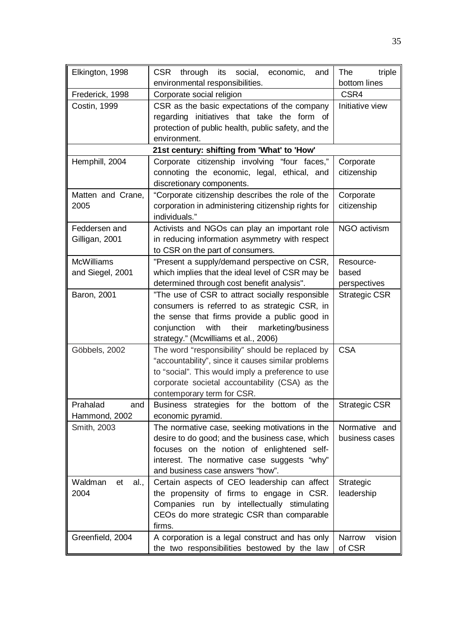| Elkington, 1998                             | CSR through its<br>social,<br>economic,<br>and      | The<br>triple        |
|---------------------------------------------|-----------------------------------------------------|----------------------|
|                                             | environmental responsibilities.                     | bottom lines         |
| Frederick, 1998                             | Corporate social religion                           | CSR4                 |
| Costin, 1999                                | CSR as the basic expectations of the company        | Initiative view      |
|                                             | regarding initiatives that take the form of         |                      |
|                                             | protection of public health, public safety, and the |                      |
|                                             | environment.                                        |                      |
| 21st century: shifting from 'What' to 'How' |                                                     |                      |
| Hemphill, 2004                              | Corporate citizenship involving "four faces,"       | Corporate            |
|                                             | connoting the economic, legal, ethical, and         | citizenship          |
|                                             | discretionary components.                           |                      |
| Matten and Crane,                           | "Corporate citizenship describes the role of the    | Corporate            |
| 2005                                        | corporation in administering citizenship rights for | citizenship          |
|                                             | individuals."                                       |                      |
| Feddersen and                               | Activists and NGOs can play an important role       | NGO activism         |
| Gilligan, 2001                              | in reducing information asymmetry with respect      |                      |
|                                             | to CSR on the part of consumers.                    |                      |
| <b>McWilliams</b>                           | "Present a supply/demand perspective on CSR,        | Resource-            |
| and Siegel, 2001                            | which implies that the ideal level of CSR may be    | based                |
|                                             | determined through cost benefit analysis".          | perspectives         |
| Baron, 2001                                 | "The use of CSR to attract socially responsible     | <b>Strategic CSR</b> |
|                                             | consumers is referred to as strategic CSR, in       |                      |
|                                             | the sense that firms provide a public good in       |                      |
|                                             | conjunction<br>with<br>their<br>marketing/business  |                      |
|                                             | strategy." (Mcwilliams et al., 2006)                |                      |
| Göbbels, 2002                               | The word "responsibility" should be replaced by     | <b>CSA</b>           |
|                                             | "accountability", since it causes similar problems  |                      |
|                                             | to "social". This would imply a preference to use   |                      |
|                                             | corporate societal accountability (CSA) as the      |                      |
|                                             | contemporary term for CSR.                          |                      |
| Prahalad<br>and                             | Business strategies for the bottom of the           | <b>Strategic CSR</b> |
| Hammond, 2002                               | economic pyramid.                                   |                      |
| Smith, 2003                                 | The normative case, seeking motivations in the      | Normative and        |
|                                             | desire to do good; and the business case, which     | business cases       |
|                                             | focuses on the notion of enlightened self-          |                      |
|                                             | interest. The normative case suggests "why"         |                      |
|                                             | and business case answers "how".                    |                      |
| Waldman<br>al.,<br>et                       | Certain aspects of CEO leadership can affect        | Strategic            |
| 2004                                        | the propensity of firms to engage in CSR.           | leadership           |
|                                             | Companies run by intellectually stimulating         |                      |
|                                             | CEOs do more strategic CSR than comparable          |                      |
|                                             | firms.                                              |                      |
| Greenfield, 2004                            | A corporation is a legal construct and has only     | Narrow<br>vision     |
|                                             | the two responsibilities bestowed by the law        | of CSR               |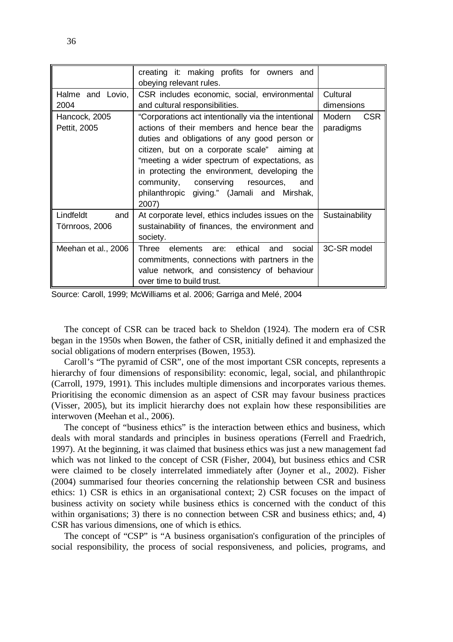|                                    | creating it: making profits for owners and<br>obeying relevant rules.                                                                                                                                                                                                                                                                                                                                |                                   |
|------------------------------------|------------------------------------------------------------------------------------------------------------------------------------------------------------------------------------------------------------------------------------------------------------------------------------------------------------------------------------------------------------------------------------------------------|-----------------------------------|
| Halme and Lovio,<br>2004           | CSR includes economic, social, environmental<br>and cultural responsibilities.                                                                                                                                                                                                                                                                                                                       | Cultural<br>dimensions            |
| Hancock, 2005<br>Pettit, 2005      | "Corporations act intentionally via the intentional<br>actions of their members and hence bear the<br>duties and obligations of any good person or<br>citizen, but on a corporate scale" aiming at<br>"meeting a wider spectrum of expectations, as<br>in protecting the environment, developing the<br>community, conserving resources, and<br>philanthropic giving." (Jamali and Mirshak,<br>2007) | Modern<br><b>CSR</b><br>paradigms |
| Lindfeldt<br>and<br>Törnroos, 2006 | At corporate level, ethics includes issues on the<br>sustainability of finances, the environment and<br>society.                                                                                                                                                                                                                                                                                     | Sustainability                    |
| Meehan et al., 2006                | Three elements are: ethical and<br>social<br>commitments, connections with partners in the<br>value network, and consistency of behaviour<br>over time to build trust.                                                                                                                                                                                                                               | 3C-SR model                       |

Source: Caroll, 1999; McWilliams et al. 2006; Garriga and Melé, 2004

The concept of CSR can be traced back to Sheldon (1924). The modern era of CSR began in the 1950s when Bowen, the father of CSR, initially defined it and emphasized the social obligations of modern enterprises (Bowen, 1953).

Caroll's "The pyramid of CSR", one of the most important CSR concepts, represents a hierarchy of four dimensions of responsibility: economic, legal, social, and philanthropic (Carroll, 1979, 1991). This includes multiple dimensions and incorporates various themes. Prioritising the economic dimension as an aspect of CSR may favour business practices (Visser, 2005), but its implicit hierarchy does not explain how these responsibilities are interwoven (Meehan et al., 2006).

The concept of "business ethics" is the interaction between ethics and business, which deals with moral standards and principles in business operations (Ferrell and Fraedrich, 1997). At the beginning, it was claimed that business ethics was just a new management fad which was not linked to the concept of CSR (Fisher, 2004), but business ethics and CSR were claimed to be closely interrelated immediately after (Joyner et al., 2002). Fisher (2004) summarised four theories concerning the relationship between CSR and business ethics: 1) CSR is ethics in an organisational context; 2) CSR focuses on the impact of business activity on society while business ethics is concerned with the conduct of this within organisations; 3) there is no connection between CSR and business ethics; and, 4) CSR has various dimensions, one of which is ethics.

The concept of "CSP" is "A business organisation's configuration of the principles of social responsibility, the process of social responsiveness, and policies, programs, and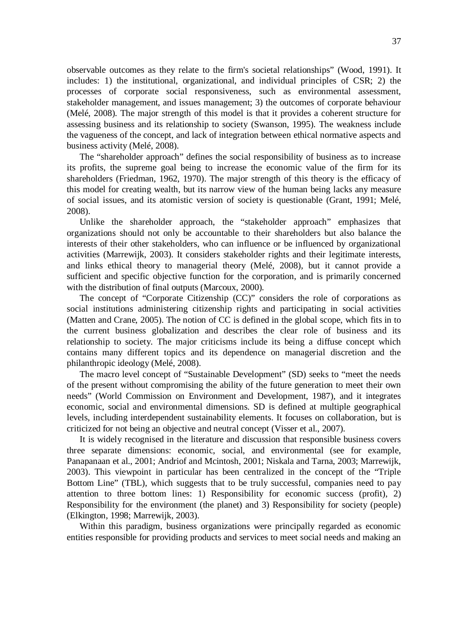observable outcomes as they relate to the firm's societal relationships" (Wood, 1991). It includes: 1) the institutional, organizational, and individual principles of CSR; 2) the processes of corporate social responsiveness, such as environmental assessment, stakeholder management, and issues management; 3) the outcomes of corporate behaviour (Melé, 2008). The major strength of this model is that it provides a coherent structure for assessing business and its relationship to society (Swanson, 1995). The weakness include the vagueness of the concept, and lack of integration between ethical normative aspects and business activity (Melé, 2008).

The "shareholder approach" defines the social responsibility of business as to increase its profits, the supreme goal being to increase the economic value of the firm for its shareholders (Friedman, 1962, 1970). The major strength of this theory is the efficacy of this model for creating wealth, but its narrow view of the human being lacks any measure of social issues, and its atomistic version of society is questionable (Grant, 1991; Melé, 2008).

Unlike the shareholder approach, the "stakeholder approach" emphasizes that organizations should not only be accountable to their shareholders but also balance the interests of their other stakeholders, who can influence or be influenced by organizational activities (Marrewijk, 2003). It considers stakeholder rights and their legitimate interests, and links ethical theory to managerial theory (Melé, 2008), but it cannot provide a sufficient and specific objective function for the corporation, and is primarily concerned with the distribution of final outputs (Marcoux, 2000).

The concept of "Corporate Citizenship (CC)" considers the role of corporations as social institutions administering citizenship rights and participating in social activities (Matten and Crane, 2005). The notion of CC is defined in the global scope, which fits in to the current business globalization and describes the clear role of business and its relationship to society. The major criticisms include its being a diffuse concept which contains many different topics and its dependence on managerial discretion and the philanthropic ideology (Melé, 2008).

The macro level concept of "Sustainable Development" (SD) seeks to "meet the needs of the present without compromising the ability of the future generation to meet their own needs" (World Commission on Environment and Development, 1987), and it integrates economic, social and environmental dimensions. SD is defined at multiple geographical levels, including interdependent sustainability elements. It focuses on collaboration, but is criticized for not being an objective and neutral concept (Visser et al., 2007).

It is widely recognised in the literature and discussion that responsible business covers three separate dimensions: economic, social, and environmental (see for example, Panapanaan et al., 2001; Andriof and Mcintosh, 2001; Niskala and Tarna, 2003; Marrewijk, 2003). This viewpoint in particular has been centralized in the concept of the "Triple Bottom Line" (TBL), which suggests that to be truly successful, companies need to pay attention to three bottom lines: 1) Responsibility for economic success (profit), 2) Responsibility for the environment (the planet) and 3) Responsibility for society (people) (Elkington, 1998; Marrewijk, 2003).

Within this paradigm, business organizations were principally regarded as economic entities responsible for providing products and services to meet social needs and making an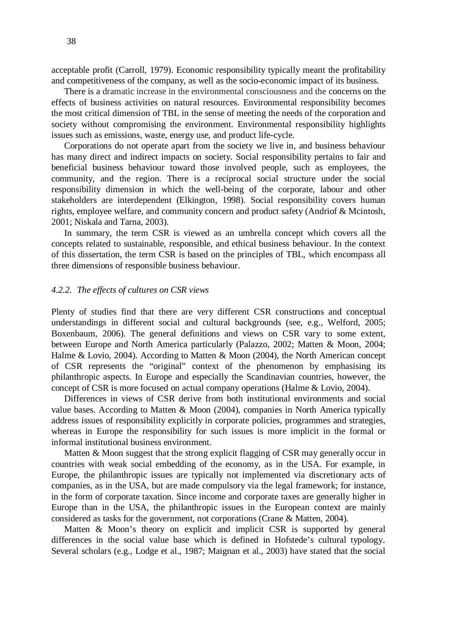acceptable profit (Carroll, 1979). Economic responsibility typically meant the profitability and competitiveness of the company, as well as the socio-economic impact of its business.

There is a dramatic increase in the environmental consciousness and the concerns on the effects of business activities on natural resources. Environmental responsibility becomes the most critical dimension of TBL in the sense of meeting the needs of the corporation and society without compromising the environment. Environmental responsibility highlights issues such as emissions, waste, energy use, and product life-cycle.

Corporations do not operate apart from the society we live in, and business behaviour has many direct and indirect impacts on society. Social responsibility pertains to fair and beneficial business behaviour toward those involved people, such as employees, the community, and the region. There is a reciprocal social structure under the social responsibility dimension in which the well-being of the corporate, labour and other stakeholders are interdependent (Elkington, 1998). Social responsibility covers human rights, employee welfare, and community concern and product safety (Andriof & Mcintosh, 2001; Niskala and Tarna, 2003).

In summary, the term CSR is viewed as an umbrella concept which covers all the concepts related to sustainable, responsible, and ethical business behaviour. In the context of this dissertation, the term CSR is based on the principles of TBL, which encompass all three dimensions of responsible business behaviour.

#### *4.2.2. The effects of cultures on CSR views*

Plenty of studies find that there are very different CSR constructions and conceptual understandings in different social and cultural backgrounds (see, e.g., Welford, 2005; Boxenbaum, 2006). The general definitions and views on CSR vary to some extent, between Europe and North America particularly (Palazzo, 2002; Matten & Moon, 2004; Halme & Lovio, 2004). According to Matten & Moon (2004), the North American concept of CSR represents the "original" context of the phenomenon by emphasising its philanthropic aspects. In Europe and especially the Scandinavian countries, however, the concept of CSR is more focused on actual company operations (Halme & Lovio, 2004).

Differences in views of CSR derive from both institutional environments and social value bases. According to Matten & Moon (2004), companies in North America typically address issues of responsibility explicitly in corporate policies, programmes and strategies, whereas in Europe the responsibility for such issues is more implicit in the formal or informal institutional business environment.

Matten & Moon suggest that the strong explicit flagging of CSR may generally occur in countries with weak social embedding of the economy, as in the USA. For example, in Europe, the philanthropic issues are typically not implemented via discretionary acts of companies, as in the USA, but are made compulsory via the legal framework; for instance, in the form of corporate taxation. Since income and corporate taxes are generally higher in Europe than in the USA, the philanthropic issues in the European context are mainly considered as tasks for the government, not corporations (Crane & Matten, 2004).

Matten & Moon's theory on explicit and implicit CSR is supported by general differences in the social value base which is defined in Hofstede's cultural typology. Several scholars (e.g., Lodge et al., 1987; Maignan et al., 2003) have stated that the social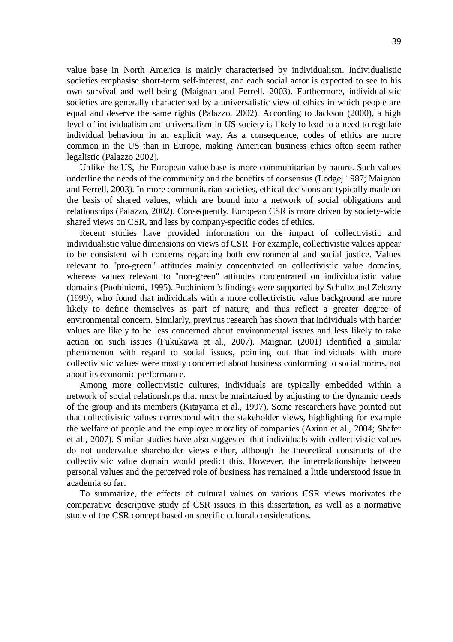value base in North America is mainly characterised by individualism. Individualistic societies emphasise short-term self-interest, and each social actor is expected to see to his own survival and well-being (Maignan and Ferrell, 2003). Furthermore, individualistic societies are generally characterised by a universalistic view of ethics in which people are equal and deserve the same rights (Palazzo, 2002). According to Jackson (2000), a high level of individualism and universalism in US society is likely to lead to a need to regulate individual behaviour in an explicit way. As a consequence, codes of ethics are more common in the US than in Europe, making American business ethics often seem rather legalistic (Palazzo 2002).

Unlike the US, the European value base is more communitarian by nature. Such values underline the needs of the community and the benefits of consensus (Lodge, 1987; Maignan and Ferrell, 2003). In more communitarian societies, ethical decisions are typically made on the basis of shared values, which are bound into a network of social obligations and relationships (Palazzo, 2002). Consequently, European CSR is more driven by society-wide shared views on CSR, and less by company-specific codes of ethics.

Recent studies have provided information on the impact of collectivistic and individualistic value dimensions on views of CSR. For example, collectivistic values appear to be consistent with concerns regarding both environmental and social justice. Values relevant to "pro-green" attitudes mainly concentrated on collectivistic value domains, whereas values relevant to "non-green" attitudes concentrated on individualistic value domains (Puohiniemi, 1995). Puohiniemi's findings were supported by Schultz and Zelezny (1999), who found that individuals with a more collectivistic value background are more likely to define themselves as part of nature, and thus reflect a greater degree of environmental concern. Similarly, previous research has shown that individuals with harder values are likely to be less concerned about environmental issues and less likely to take action on such issues (Fukukawa et al., 2007). Maignan (2001) identified a similar phenomenon with regard to social issues, pointing out that individuals with more collectivistic values were mostly concerned about business conforming to social norms, not about its economic performance.

Among more collectivistic cultures, individuals are typically embedded within a network of social relationships that must be maintained by adjusting to the dynamic needs of the group and its members (Kitayama et al., 1997). Some researchers have pointed out that collectivistic values correspond with the stakeholder views, highlighting for example the welfare of people and the employee morality of companies (Axinn et al., 2004; Shafer et al., 2007). Similar studies have also suggested that individuals with collectivistic values do not undervalue shareholder views either, although the theoretical constructs of the collectivistic value domain would predict this. However, the interrelationships between personal values and the perceived role of business has remained a little understood issue in academia so far.

To summarize, the effects of cultural values on various CSR views motivates the comparative descriptive study of CSR issues in this dissertation, as well as a normative study of the CSR concept based on specific cultural considerations.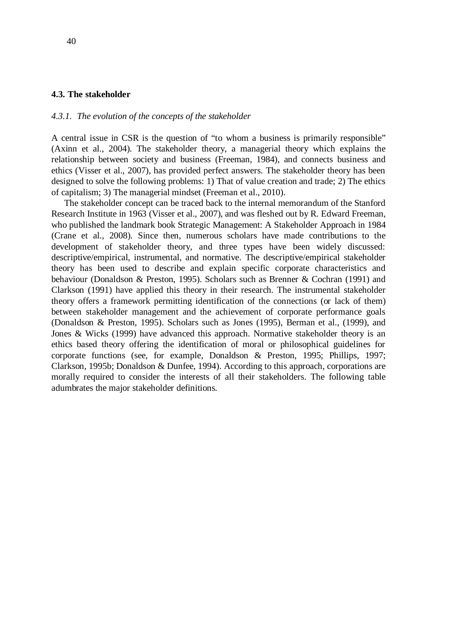#### **4.3. The stakeholder**

#### *4.3.1. The evolution of the concepts of the stakeholder*

A central issue in CSR is the question of "to whom a business is primarily responsible" (Axinn et al., 2004). The stakeholder theory, a managerial theory which explains the relationship between society and business (Freeman, 1984), and connects business and ethics (Visser et al., 2007), has provided perfect answers. The stakeholder theory has been designed to solve the following problems: 1) That of value creation and trade; 2) The ethics of capitalism; 3) The managerial mindset (Freeman et al., 2010).

The stakeholder concept can be traced back to the internal memorandum of the Stanford Research Institute in 1963 (Visser et al., 2007), and was fleshed out by R. Edward Freeman, who published the landmark book Strategic Management: A Stakeholder Approach in 1984 (Crane et al., 2008). Since then, numerous scholars have made contributions to the development of stakeholder theory, and three types have been widely discussed: descriptive/empirical, instrumental, and normative. The descriptive/empirical stakeholder theory has been used to describe and explain specific corporate characteristics and behaviour (Donaldson & Preston, 1995). Scholars such as Brenner & Cochran (1991) and Clarkson (1991) have applied this theory in their research. The instrumental stakeholder theory offers a framework permitting identification of the connections (or lack of them) between stakeholder management and the achievement of corporate performance goals (Donaldson & Preston, 1995). Scholars such as Jones (1995), Berman et al., (1999), and Jones & Wicks (1999) have advanced this approach. Normative stakeholder theory is an ethics based theory offering the identification of moral or philosophical guidelines for corporate functions (see, for example, Donaldson & Preston, 1995; Phillips, 1997; Clarkson, 1995b; Donaldson & Dunfee, 1994). According to this approach, corporations are morally required to consider the interests of all their stakeholders. The following table adumbrates the major stakeholder definitions.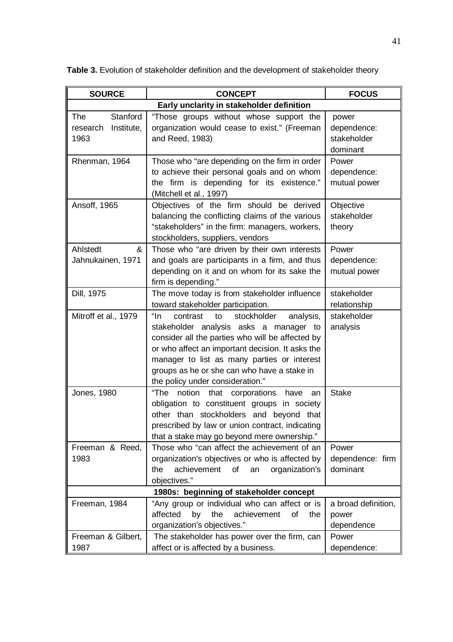| <b>SOURCE</b>                                     | <b>FOCUS</b>                                                                                                                                                                                                                                                                                                                          |                                                 |  |  |  |  |  |  |
|---------------------------------------------------|---------------------------------------------------------------------------------------------------------------------------------------------------------------------------------------------------------------------------------------------------------------------------------------------------------------------------------------|-------------------------------------------------|--|--|--|--|--|--|
|                                                   | Early unclarity in stakeholder definition                                                                                                                                                                                                                                                                                             |                                                 |  |  |  |  |  |  |
| Stanford<br>The<br>Institute,<br>research<br>1963 | "Those groups without whose support the<br>organization would cease to exist." (Freeman<br>and Reed, 1983)                                                                                                                                                                                                                            | power<br>dependence:<br>stakeholder<br>dominant |  |  |  |  |  |  |
| Rhenman, 1964                                     | Those who "are depending on the firm in order<br>to achieve their personal goals and on whom<br>the firm is depending for its existence."<br>(Mitchell et al., 1997)                                                                                                                                                                  | Power<br>dependence:<br>mutual power            |  |  |  |  |  |  |
| Ansoff, 1965                                      | Objectives of the firm should be derived<br>balancing the conflicting claims of the various<br>"stakeholders" in the firm: managers, workers,<br>stockholders, suppliers, vendors                                                                                                                                                     | Objective<br>stakeholder<br>theory              |  |  |  |  |  |  |
| Ahlstedt<br>&<br>Jahnukainen, 1971                | Those who "are driven by their own interests<br>and goals are participants in a firm, and thus<br>depending on it and on whom for its sake the<br>firm is depending."                                                                                                                                                                 | Power<br>dependence:<br>mutual power            |  |  |  |  |  |  |
| Dill, 1975                                        | The move today is from stakeholder influence<br>toward stakeholder participation.                                                                                                                                                                                                                                                     | stakeholder<br>relationship                     |  |  |  |  |  |  |
| Mitroff et al., 1979                              | "In<br>contrast<br>stockholder<br>analysis,<br>to<br>stakeholder analysis asks a manager to<br>consider all the parties who will be affected by<br>or who affect an important decision. It asks the<br>manager to list as many parties or interest<br>groups as he or she can who have a stake in<br>the policy under consideration." | stakeholder<br>analysis                         |  |  |  |  |  |  |
| Jones, 1980                                       | notion<br>"The<br>that<br>corporations<br>have<br>an<br>obligation to constituent groups in society<br>other than stockholders and beyond that<br>prescribed by law or union contract, indicating<br>that a stake may go beyond mere ownership."                                                                                      | <b>Stake</b>                                    |  |  |  |  |  |  |
| Freeman & Reed.<br>1983                           | Those who "can affect the achievement of an<br>organization's objectives or who is affected by<br>achievement<br>of<br>organization's<br>the<br>an<br>objectives."                                                                                                                                                                    | Power<br>dependence: firm<br>dominant           |  |  |  |  |  |  |
|                                                   | 1980s: beginning of stakeholder concept                                                                                                                                                                                                                                                                                               |                                                 |  |  |  |  |  |  |
| Freeman, 1984                                     | "Any group or individual who can affect or is<br>by<br>the<br>affected<br>achievement<br>οf<br>the<br>organization's objectives."                                                                                                                                                                                                     | a broad definition,<br>power<br>dependence      |  |  |  |  |  |  |
| Freeman & Gilbert.<br>1987                        | The stakeholder has power over the firm, can<br>affect or is affected by a business.                                                                                                                                                                                                                                                  | Power<br>dependence:                            |  |  |  |  |  |  |

**Table 3.** Evolution of stakeholder definition and the development of stakeholder theory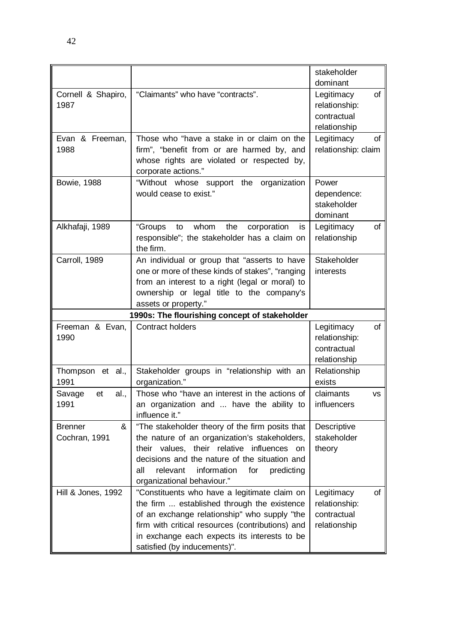|                                      |                                                                                                                                                                                                                                                                             | stakeholder<br>dominant                                          |
|--------------------------------------|-----------------------------------------------------------------------------------------------------------------------------------------------------------------------------------------------------------------------------------------------------------------------------|------------------------------------------------------------------|
| Cornell & Shapiro,<br>1987           | "Claimants" who have "contracts".                                                                                                                                                                                                                                           | Legitimacy<br>of<br>relationship:<br>contractual<br>relationship |
| Evan & Freeman,<br>1988              | Those who "have a stake in or claim on the<br>firm", "benefit from or are harmed by, and<br>whose rights are violated or respected by,<br>corporate actions."                                                                                                               | Legitimacy<br>of<br>relationship: claim                          |
| <b>Bowie, 1988</b>                   | "Without whose support the organization<br>would cease to exist."                                                                                                                                                                                                           | Power<br>dependence:<br>stakeholder<br>dominant                  |
| Alkhafaji, 1989                      | "Groups<br>whom<br>the<br>corporation<br>to<br>is<br>responsible"; the stakeholder has a claim on<br>the firm.                                                                                                                                                              | Legitimacy<br>of<br>relationship                                 |
| Carroll, 1989                        | An individual or group that "asserts to have<br>one or more of these kinds of stakes", "ranging<br>from an interest to a right (legal or moral) to<br>ownership or legal title to the company's<br>assets or property."                                                     | Stakeholder<br>interests                                         |
|                                      |                                                                                                                                                                                                                                                                             |                                                                  |
|                                      | 1990s: The flourishing concept of stakeholder                                                                                                                                                                                                                               |                                                                  |
| Freeman & Evan,<br>1990              | Contract holders                                                                                                                                                                                                                                                            | of<br>Legitimacy<br>relationship:<br>contractual<br>relationship |
| Thompson et al.,<br>1991             | Stakeholder groups in "relationship with an<br>organization."                                                                                                                                                                                                               | Relationship<br>exists                                           |
| Savage<br>al.,<br>et<br>1991         | Those who "have an interest in the actions of<br>an organization and  have the ability to<br>influence it."                                                                                                                                                                 | claimants<br><b>VS</b><br>influencers                            |
| &<br><b>Brenner</b><br>Cochran, 1991 | "The stakeholder theory of the firm posits that<br>the nature of an organization's stakeholders,<br>their values, their relative influences<br>on<br>decisions and the nature of the situation and<br>all relevant information for predicting<br>organizational behaviour." | Descriptive<br>stakeholder<br>theory                             |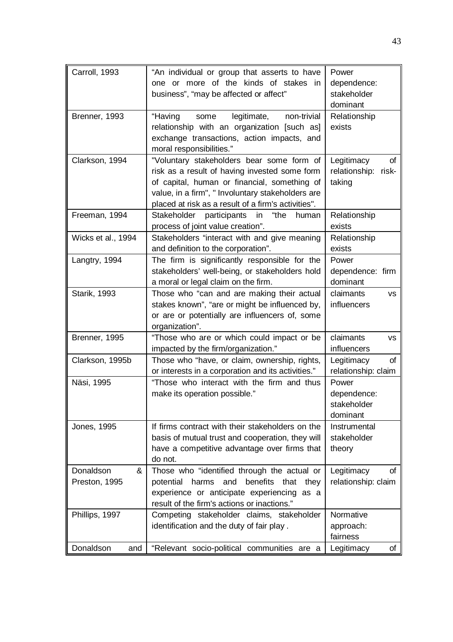| Carroll, 1993                    | "An individual or group that asserts to have<br>one or more of the kinds of stakes in<br>business", "may be affected or affect"                                                                                                                        | Power<br>dependence:<br>stakeholder<br>dominant      |
|----------------------------------|--------------------------------------------------------------------------------------------------------------------------------------------------------------------------------------------------------------------------------------------------------|------------------------------------------------------|
| Brenner, 1993                    | legitimate,<br>"Having<br>non-trivial<br>some<br>relationship with an organization [such as]<br>exchange transactions, action impacts, and<br>moral responsibilities."                                                                                 | Relationship<br>exists                               |
| Clarkson, 1994                   | "Voluntary stakeholders bear some form of<br>risk as a result of having invested some form<br>of capital, human or financial, something of<br>value, in a firm", " Involuntary stakeholders are<br>placed at risk as a result of a firm's activities". | Legitimacy<br>οf<br>relationship:<br>risk-<br>taking |
| Freeman, 1994                    | Stakeholder participants<br>"the<br>in<br>human<br>process of joint value creation".                                                                                                                                                                   | Relationship<br>exists                               |
| Wicks et al., 1994               | Stakeholders "interact with and give meaning<br>and definition to the corporation".                                                                                                                                                                    | Relationship<br>exists                               |
| Langtry, 1994                    | The firm is significantly responsible for the<br>stakeholders' well-being, or stakeholders hold<br>a moral or legal claim on the firm.                                                                                                                 | Power<br>dependence: firm<br>dominant                |
| <b>Starik, 1993</b>              | Those who "can and are making their actual<br>stakes known", "are or might be influenced by,<br>or are or potentially are influencers of, some<br>organization".                                                                                       | claimants<br><b>VS</b><br>influencers                |
| Brenner, 1995                    | "Those who are or which could impact or be<br>impacted by the firm/organization."                                                                                                                                                                      | claimants<br><b>VS</b><br>influencers                |
| Clarkson, 1995b                  | Those who "have, or claim, ownership, rights,<br>or interests in a corporation and its activities."                                                                                                                                                    | Legitimacy<br>οf<br>relationship: claim              |
| Näsi, 1995                       | "Those who interact with the firm and thus<br>make its operation possible."                                                                                                                                                                            | Power<br>dependence:<br>stakeholder<br>dominant      |
| Jones, 1995                      | If firms contract with their stakeholders on the<br>basis of mutual trust and cooperation, they will<br>have a competitive advantage over firms that<br>do not.                                                                                        | Instrumental<br>stakeholder<br>theory                |
| Donaldson<br>×.<br>Preston, 1995 | Those who "identified through the actual or<br>benefits<br>potential<br>harms<br>and<br>that<br>they<br>experience or anticipate experiencing<br>as a<br>result of the firm's actions or inactions."                                                   | Legitimacy<br>Οt<br>relationship: claim              |
| Phillips, 1997                   | Competing stakeholder claims, stakeholder<br>identification and the duty of fair play.                                                                                                                                                                 | Normative<br>approach:<br>fairness                   |
| Donaldson<br>and                 | "Relevant socio-political communities are a                                                                                                                                                                                                            | Legitimacy<br>οf                                     |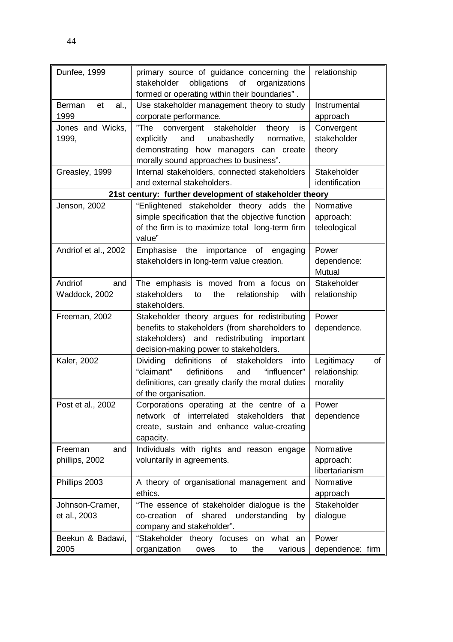| Dunfee, 1999                | primary source of guidance concerning the                                                          | relationship     |
|-----------------------------|----------------------------------------------------------------------------------------------------|------------------|
|                             | obligations<br>stakeholder<br>of<br>organizations<br>formed or operating within their boundaries". |                  |
| <b>Berman</b><br>et<br>al., | Use stakeholder management theory to study                                                         | Instrumental     |
| 1999                        | corporate performance.                                                                             | approach         |
| Jones and Wicks,            | "The<br>stakeholder<br>theory is<br>convergent                                                     | Convergent       |
| 1999,                       | and<br>unabashedly<br>explicitly<br>normative,                                                     | stakeholder      |
|                             | demonstrating how managers can create<br>morally sound approaches to business".                    | theory           |
| Greasley, 1999              | Internal stakeholders, connected stakeholders                                                      | Stakeholder      |
|                             | and external stakeholders.                                                                         | identification   |
|                             | 21st century: further development of stakeholder theory                                            |                  |
| Jenson, 2002                | "Enlightened stakeholder theory adds the                                                           | Normative        |
|                             | simple specification that the objective function                                                   | approach:        |
|                             | of the firm is to maximize total long-term firm<br>value"                                          | teleological     |
| Andriof et al., 2002        | the<br>importance<br>of<br>Emphasise<br>engaging                                                   | Power            |
|                             | stakeholders in long-term value creation.                                                          | dependence:      |
|                             |                                                                                                    | <b>Mutual</b>    |
| Andriof<br>and              | The emphasis is moved from a focus on                                                              | Stakeholder      |
| Waddock, 2002               | stakeholders<br>relationship<br>to<br>the<br>with                                                  | relationship     |
|                             | stakeholders.                                                                                      |                  |
| Freeman, 2002               | Stakeholder theory argues for redistributing                                                       | Power            |
|                             | benefits to stakeholders (from shareholders to                                                     | dependence.      |
|                             | stakeholders) and redistributing important                                                         |                  |
|                             | decision-making power to stakeholders.                                                             |                  |
| Kaler, 2002                 | Dividing<br>definitions<br>of<br>stakeholders<br>into                                              | Legitimacy<br>οf |
|                             | "claimant"<br>definitions<br>"influencer"<br>and                                                   | relationship:    |
|                             | definitions, can greatly clarify the moral duties                                                  | morality         |
|                             | of the organisation.                                                                               |                  |
| Post et al., 2002           | Corporations operating at the centre of a                                                          | Power            |
|                             | network of interrelated stakeholders<br>that                                                       | dependence       |
|                             | create, sustain and enhance value-creating                                                         |                  |
|                             | capacity.                                                                                          |                  |
| Freeman<br>and              | Individuals with rights and reason engage                                                          | Normative        |
| phillips, 2002              | voluntarily in agreements.                                                                         | approach:        |
|                             |                                                                                                    | libertarianism   |
| Phillips 2003               | A theory of organisational management and                                                          | Normative        |
|                             | ethics.                                                                                            | approach         |
| Johnson-Cramer,             | "The essence of stakeholder dialogue is the                                                        | Stakeholder      |
| et al., 2003                | co-creation<br>οf<br>shared<br>understanding<br>by                                                 | dialogue         |
|                             | company and stakeholder".                                                                          |                  |
| Beekun & Badawi,            | "Stakeholder<br>what an<br>theory focuses<br>on                                                    | Power            |
| 2005                        | organization<br>the<br>various<br>owes<br>to                                                       | dependence: firm |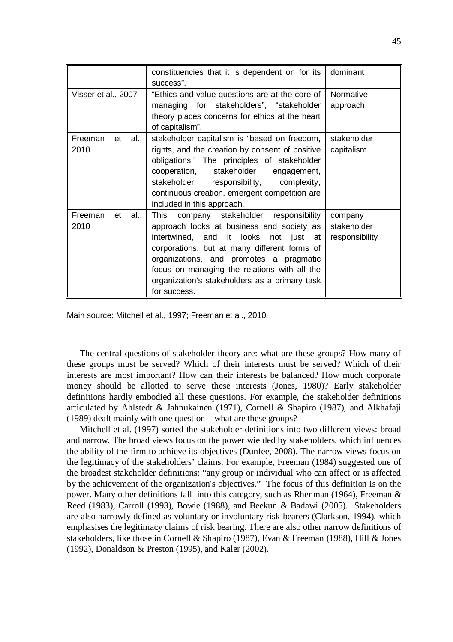|                               | constituencies that it is dependent on for its<br>success".                                                                                                                                                                                                                                                                                  | dominant                                 |
|-------------------------------|----------------------------------------------------------------------------------------------------------------------------------------------------------------------------------------------------------------------------------------------------------------------------------------------------------------------------------------------|------------------------------------------|
| Visser et al., 2007           | "Ethics and value questions are at the core of<br>managing for stakeholders", "stakeholder<br>theory places concerns for ethics at the heart<br>of capitalism".                                                                                                                                                                              | Normative<br>approach                    |
| Freeman<br>et<br>al.,<br>2010 | stakeholder capitalism is "based on freedom,<br>rights, and the creation by consent of positive<br>obligations." The principles of stakeholder<br>cooperation, stakeholder<br>engagement,<br>stakeholder responsibility, complexity,<br>continuous creation, emergent competition are<br>included in this approach.                          | stakeholder<br>capitalism                |
| Freeman<br>et<br>al.,<br>2010 | This<br>company stakeholder responsibility<br>approach looks at business and society as<br>intertwined, and it looks not just at<br>corporations, but at many different forms of<br>organizations, and promotes a pragmatic<br>focus on managing the relations with all the<br>organization's stakeholders as a primary task<br>for success. | company<br>stakeholder<br>responsibility |

Main source: Mitchell et al., 1997; Freeman et al., 2010.

The central questions of stakeholder theory are: what are these groups? How many of these groups must be served? Which of their interests must be served? Which of their interests are most important? How can their interests be balanced? How much corporate money should be allotted to serve these interests (Jones, 1980)? Early stakeholder definitions hardly embodied all these questions. For example, the stakeholder definitions articulated by Ahlstedt & Jahnukainen (1971), Cornell & Shapiro (1987), and Alkhafaji (1989) dealt mainly with one question—what are these groups?

Mitchell et al. (1997) sorted the stakeholder definitions into two different views: broad and narrow. The broad views focus on the power wielded by stakeholders, which influences the ability of the firm to achieve its objectives (Dunfee, 2008). The narrow views focus on the legitimacy of the stakeholders' claims. For example, Freeman (1984) suggested one of the broadest stakeholder definitions: "any group or individual who can affect or is affected by the achievement of the organization's objectives." The focus of this definition is on the power. Many other definitions fall into this category, such as Rhenman (1964), Freeman & Reed (1983), Carroll (1993), Bowie (1988), and Beekun & Badawi (2005). Stakeholders are also narrowly defined as voluntary or involuntary risk-bearers (Clarkson, 1994), which emphasises the legitimacy claims of risk bearing. There are also other narrow definitions of stakeholders, like those in Cornell & Shapiro (1987), Evan & Freeman (1988), Hill & Jones (1992), Donaldson & Preston (1995), and Kaler (2002).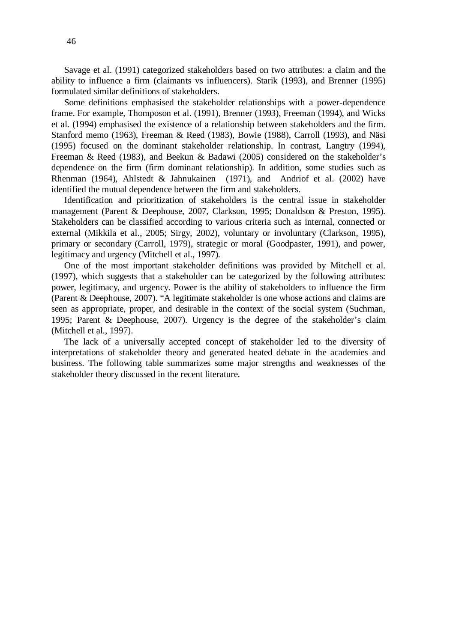Savage et al. (1991) categorized stakeholders based on two attributes: a claim and the ability to influence a firm (claimants vs influencers). Starik (1993), and Brenner (1995) formulated similar definitions of stakeholders.

Some definitions emphasised the stakeholder relationships with a power-dependence frame. For example, Thomposon et al. (1991), Brenner (1993), Freeman (1994), and Wicks et al. (1994) emphasised the existence of a relationship between stakeholders and the firm. Stanford memo (1963), Freeman & Reed (1983), Bowie (1988), Carroll (1993), and Näsi (1995) focused on the dominant stakeholder relationship. In contrast, Langtry (1994), Freeman & Reed (1983), and Beekun & Badawi (2005) considered on the stakeholder's dependence on the firm (firm dominant relationship). In addition, some studies such as Rhenman (1964), Ahlstedt & Jahnukainen (1971), and Andriof et al. (2002) have identified the mutual dependence between the firm and stakeholders.

Identification and prioritization of stakeholders is the central issue in stakeholder management (Parent & Deephouse, 2007, Clarkson, 1995; Donaldson & Preston, 1995). Stakeholders can be classified according to various criteria such as internal, connected or external (Mikkila et al., 2005; Sirgy, 2002), voluntary or involuntary (Clarkson, 1995), primary or secondary (Carroll, 1979), strategic or moral (Goodpaster, 1991), and power, legitimacy and urgency (Mitchell et al., 1997).

One of the most important stakeholder definitions was provided by Mitchell et al. (1997), which suggests that a stakeholder can be categorized by the following attributes: power, legitimacy, and urgency. Power is the ability of stakeholders to influence the firm (Parent & Deephouse, 2007). "A legitimate stakeholder is one whose actions and claims are seen as appropriate, proper, and desirable in the context of the social system (Suchman, 1995; Parent & Deephouse, 2007). Urgency is the degree of the stakeholder's claim (Mitchell et al., 1997).

The lack of a universally accepted concept of stakeholder led to the diversity of interpretations of stakeholder theory and generated heated debate in the academies and business. The following table summarizes some major strengths and weaknesses of the stakeholder theory discussed in the recent literature.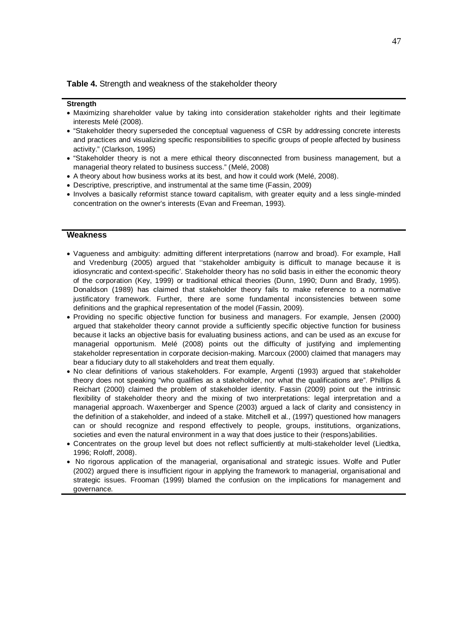**Table 4.** Strength and weakness of the stakeholder theory

#### **Strength**

- Maximizing shareholder value by taking into consideration stakeholder rights and their legitimate interests Melé (2008).
- "Stakeholder theory superseded the conceptual vagueness of CSR by addressing concrete interests and practices and visualizing specific responsibilities to specific groups of people affected by business activity." (Clarkson, 1995)
- "Stakeholder theory is not a mere ethical theory disconnected from business management, but a managerial theory related to business success." (Melé, 2008)
- A theory about how business works at its best, and how it could work (Melé, 2008).
- Descriptive, prescriptive, and instrumental at the same time (Fassin, 2009)
- Involves a basically reformist stance toward capitalism, with greater equity and a less single-minded concentration on the owner's interests (Evan and Freeman, 1993).

# **Weakness**

- Vagueness and ambiguity: admitting different interpretations (narrow and broad). For example, Hall and Vredenburg (2005) argued that ''stakeholder ambiguity is difficult to manage because it is idiosyncratic and context-specific'. Stakeholder theory has no solid basis in either the economic theory of the corporation (Key, 1999) or traditional ethical theories (Dunn, 1990; Dunn and Brady, 1995). Donaldson (1989) has claimed that stakeholder theory fails to make reference to a normative justificatory framework. Further, there are some fundamental inconsistencies between some definitions and the graphical representation of the model (Fassin, 2009).
- x Providing no specific objective function for business and managers. For example, Jensen (2000) argued that stakeholder theory cannot provide a sufficiently specific objective function for business because it lacks an objective basis for evaluating business actions, and can be used as an excuse for managerial opportunism. Melé (2008) points out the difficulty of justifying and implementing stakeholder representation in corporate decision-making. Marcoux (2000) claimed that managers may bear a fiduciary duty to all stakeholders and treat them equally.
- No clear definitions of various stakeholders. For example, Argenti (1993) argued that stakeholder theory does not speaking "who qualifies as a stakeholder, nor what the qualifications are". Phillips & Reichart (2000) claimed the problem of stakeholder identity. Fassin (2009) point out the intrinsic flexibility of stakeholder theory and the mixing of two interpretations: legal interpretation and a managerial approach. Waxenberger and Spence (2003) argued a lack of clarity and consistency in the definition of a stakeholder, and indeed of a stake. Mitchell et al., (1997) questioned how managers can or should recognize and respond effectively to people, groups, institutions, organizations, societies and even the natural environment in a way that does justice to their (respons)abilities.
- x Concentrates on the group level but does not reflect sufficiently at multi-stakeholder level (Liedtka, 1996; Roloff, 2008).
- No rigorous application of the managerial, organisational and strategic issues. Wolfe and Putler (2002) argued there is insufficient rigour in applying the framework to managerial, organisational and strategic issues. Frooman (1999) blamed the confusion on the implications for management and governance.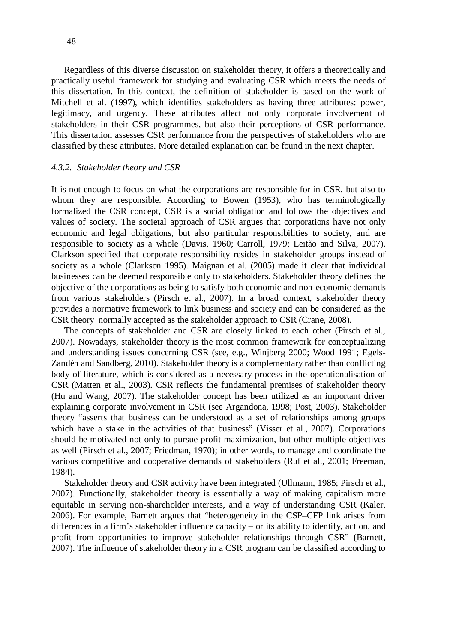Regardless of this diverse discussion on stakeholder theory, it offers a theoretically and practically useful framework for studying and evaluating CSR which meets the needs of this dissertation. In this context, the definition of stakeholder is based on the work of Mitchell et al. (1997), which identifies stakeholders as having three attributes: power, legitimacy, and urgency. These attributes affect not only corporate involvement of stakeholders in their CSR programmes, but also their perceptions of CSR performance. This dissertation assesses CSR performance from the perspectives of stakeholders who are classified by these attributes. More detailed explanation can be found in the next chapter.

# *4.3.2. Stakeholder theory and CSR*

It is not enough to focus on what the corporations are responsible for in CSR, but also to whom they are responsible. According to Bowen (1953), who has terminologically formalized the CSR concept, CSR is a social obligation and follows the objectives and values of society. The societal approach of CSR argues that corporations have not only economic and legal obligations, but also particular responsibilities to society, and are responsible to society as a whole (Davis, 1960; Carroll, 1979; Leitão and Silva, 2007). Clarkson specified that corporate responsibility resides in stakeholder groups instead of society as a whole (Clarkson 1995). Maignan et al. (2005) made it clear that individual businesses can be deemed responsible only to stakeholders. Stakeholder theory defines the objective of the corporations as being to satisfy both economic and non-economic demands from various stakeholders (Pirsch et al., 2007). In a broad context, stakeholder theory provides a normative framework to link business and society and can be considered as the CSR theory normally accepted as the stakeholder approach to CSR (Crane, 2008).

The concepts of stakeholder and CSR are closely linked to each other (Pirsch et al., 2007). Nowadays, stakeholder theory is the most common framework for conceptualizing and understanding issues concerning CSR (see, e.g., Winjberg 2000; Wood 1991; Egels-Zandén and Sandberg, 2010). Stakeholder theory is a complementary rather than conflicting body of literature, which is considered as a necessary process in the operationalisation of CSR (Matten et al., 2003). CSR reflects the fundamental premises of stakeholder theory (Hu and Wang, 2007). The stakeholder concept has been utilized as an important driver explaining corporate involvement in CSR (see Argandona, 1998; Post, 2003). Stakeholder theory "asserts that business can be understood as a set of relationships among groups which have a stake in the activities of that business" (Visser et al., 2007). Corporations should be motivated not only to pursue profit maximization, but other multiple objectives as well (Pirsch et al., 2007; Friedman, 1970); in other words, to manage and coordinate the various competitive and cooperative demands of stakeholders (Ruf et al., 2001; Freeman, 1984).

Stakeholder theory and CSR activity have been integrated (Ullmann, 1985; Pirsch et al., 2007). Functionally, stakeholder theory is essentially a way of making capitalism more equitable in serving non-shareholder interests, and a way of understanding CSR (Kaler, 2006). For example, Barnett argues that "heterogeneity in the CSP–CFP link arises from differences in a firm's stakeholder influence capacity – or its ability to identify, act on, and profit from opportunities to improve stakeholder relationships through CSR" (Barnett, 2007). The influence of stakeholder theory in a CSR program can be classified according to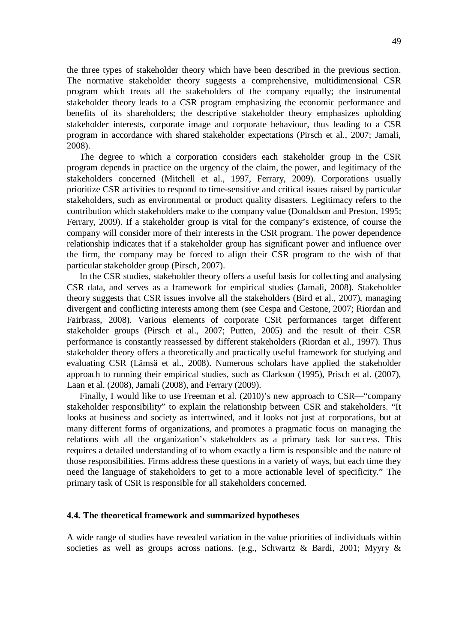the three types of stakeholder theory which have been described in the previous section. The normative stakeholder theory suggests a comprehensive, multidimensional CSR program which treats all the stakeholders of the company equally; the instrumental stakeholder theory leads to a CSR program emphasizing the economic performance and benefits of its shareholders; the descriptive stakeholder theory emphasizes upholding stakeholder interests, corporate image and corporate behaviour, thus leading to a CSR program in accordance with shared stakeholder expectations (Pirsch et al., 2007; Jamali, 2008).

The degree to which a corporation considers each stakeholder group in the CSR program depends in practice on the urgency of the claim, the power, and legitimacy of the stakeholders concerned (Mitchell et al., 1997, Ferrary, 2009). Corporations usually prioritize CSR activities to respond to time-sensitive and critical issues raised by particular stakeholders, such as environmental or product quality disasters. Legitimacy refers to the contribution which stakeholders make to the company value (Donaldson and Preston, 1995; Ferrary, 2009). If a stakeholder group is vital for the company's existence, of course the company will consider more of their interests in the CSR program. The power dependence relationship indicates that if a stakeholder group has significant power and influence over the firm, the company may be forced to align their CSR program to the wish of that particular stakeholder group (Pirsch, 2007).

In the CSR studies, stakeholder theory offers a useful basis for collecting and analysing CSR data, and serves as a framework for empirical studies (Jamali, 2008). Stakeholder theory suggests that CSR issues involve all the stakeholders (Bird et al., 2007), managing divergent and conflicting interests among them (see Cespa and Cestone, 2007; Riordan and Fairbrass, 2008). Various elements of corporate CSR performances target different stakeholder groups (Pirsch et al., 2007; Putten, 2005) and the result of their CSR performance is constantly reassessed by different stakeholders (Riordan et al., 1997). Thus stakeholder theory offers a theoretically and practically useful framework for studying and evaluating CSR (Lämsä et al., 2008). Numerous scholars have applied the stakeholder approach to running their empirical studies, such as Clarkson (1995), Prisch et al. (2007), Laan et al. (2008), Jamali (2008), and Ferrary (2009).

Finally, I would like to use Freeman et al. (2010)'s new approach to CSR—"company stakeholder responsibility" to explain the relationship between CSR and stakeholders. "It looks at business and society as intertwined, and it looks not just at corporations, but at many different forms of organizations, and promotes a pragmatic focus on managing the relations with all the organization's stakeholders as a primary task for success. This requires a detailed understanding of to whom exactly a firm is responsible and the nature of those responsibilities. Firms address these questions in a variety of ways, but each time they need the language of stakeholders to get to a more actionable level of specificity." The primary task of CSR is responsible for all stakeholders concerned.

#### **4.4. The theoretical framework and summarized hypotheses**

A wide range of studies have revealed variation in the value priorities of individuals within societies as well as groups across nations. (e.g., Schwartz & Bardi, 2001; Myyry &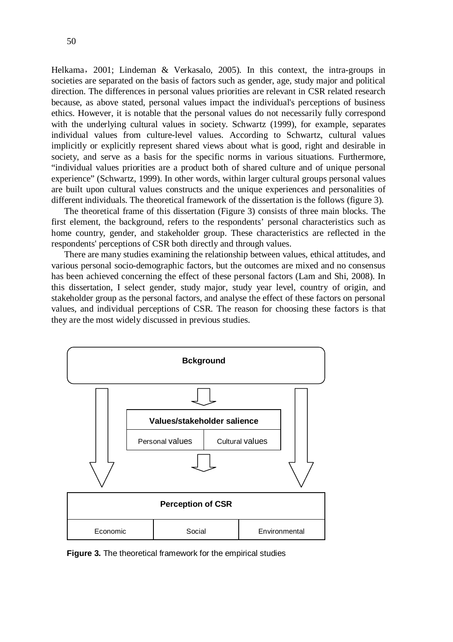Helkama, 2001; Lindeman & Verkasalo, 2005). In this context, the intra-groups in societies are separated on the basis of factors such as gender, age, study major and political direction. The differences in personal values priorities are relevant in CSR related research because, as above stated, personal values impact the individual's perceptions of business ethics. However, it is notable that the personal values do not necessarily fully correspond with the underlying cultural values in society. Schwartz (1999), for example, separates individual values from culture-level values. According to Schwartz, cultural values implicitly or explicitly represent shared views about what is good, right and desirable in society, and serve as a basis for the specific norms in various situations. Furthermore, "individual values priorities are a product both of shared culture and of unique personal experience" (Schwartz, 1999). In other words, within larger cultural groups personal values are built upon cultural values constructs and the unique experiences and personalities of different individuals. The theoretical framework of the dissertation is the follows (figure 3).

The theoretical frame of this dissertation (Figure 3) consists of three main blocks. The first element, the background, refers to the respondents' personal characteristics such as home country, gender, and stakeholder group. These characteristics are reflected in the respondents' perceptions of CSR both directly and through values.

There are many studies examining the relationship between values, ethical attitudes, and various personal socio-demographic factors, but the outcomes are mixed and no consensus has been achieved concerning the effect of these personal factors (Lam and Shi, 2008). In this dissertation, I select gender, study major, study year level, country of origin, and stakeholder group as the personal factors, and analyse the effect of these factors on personal values, and individual perceptions of CSR. The reason for choosing these factors is that they are the most widely discussed in previous studies.



**Figure 3.** The theoretical framework for the empirical studies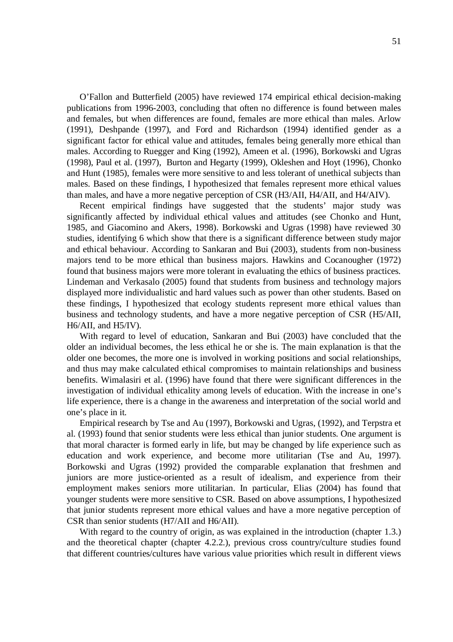O'Fallon and Butterfield (2005) have reviewed 174 empirical ethical decision-making publications from 1996-2003, concluding that often no difference is found between males and females, but when differences are found, females are more ethical than males. Arlow (1991), Deshpande (1997), and Ford and Richardson (1994) identified gender as a significant factor for ethical value and attitudes, females being generally more ethical than males. According to Ruegger and King (1992), Ameen et al. (1996), Borkowski and Ugras (1998), Paul et al. (1997), Burton and Hegarty (1999), Okleshen and Hoyt (1996), Chonko and Hunt (1985), females were more sensitive to and less tolerant of unethical subjects than males. Based on these findings, I hypothesized that females represent more ethical values than males, and have a more negative perception of CSR (H3/AII, H4/AII, and H4/AIV).

Recent empirical findings have suggested that the students' major study was significantly affected by individual ethical values and attitudes (see Chonko and Hunt, 1985, and Giacomino and Akers, 1998). Borkowski and Ugras (1998) have reviewed 30 studies, identifying 6 which show that there is a significant difference between study major and ethical behaviour. According to Sankaran and Bui (2003), students from non-business majors tend to be more ethical than business majors. Hawkins and Cocanougher (1972) found that business majors were more tolerant in evaluating the ethics of business practices. Lindeman and Verkasalo (2005) found that students from business and technology majors displayed more individualistic and hard values such as power than other students. Based on these findings, I hypothesized that ecology students represent more ethical values than business and technology students, and have a more negative perception of CSR (H5/AII, H6/AII, and H5/IV).

With regard to level of education, Sankaran and Bui (2003) have concluded that the older an individual becomes, the less ethical he or she is. The main explanation is that the older one becomes, the more one is involved in working positions and social relationships, and thus may make calculated ethical compromises to maintain relationships and business benefits. Wimalasiri et al. (1996) have found that there were significant differences in the investigation of individual ethicality among levels of education. With the increase in one's life experience, there is a change in the awareness and interpretation of the social world and one's place in it.

Empirical research by Tse and Au (1997), Borkowski and Ugras, (1992), and Terpstra et al. (1993) found that senior students were less ethical than junior students. One argument is that moral character is formed early in life, but may be changed by life experience such as education and work experience, and become more utilitarian (Tse and Au, 1997). Borkowski and Ugras (1992) provided the comparable explanation that freshmen and juniors are more justice-oriented as a result of idealism, and experience from their employment makes seniors more utilitarian. In particular, Elias (2004) has found that younger students were more sensitive to CSR. Based on above assumptions, I hypothesized that junior students represent more ethical values and have a more negative perception of CSR than senior students (H7/AII and H6/AII).

With regard to the country of origin, as was explained in the introduction (chapter 1.3.) and the theoretical chapter (chapter 4.2.2.), previous cross country/culture studies found that different countries/cultures have various value priorities which result in different views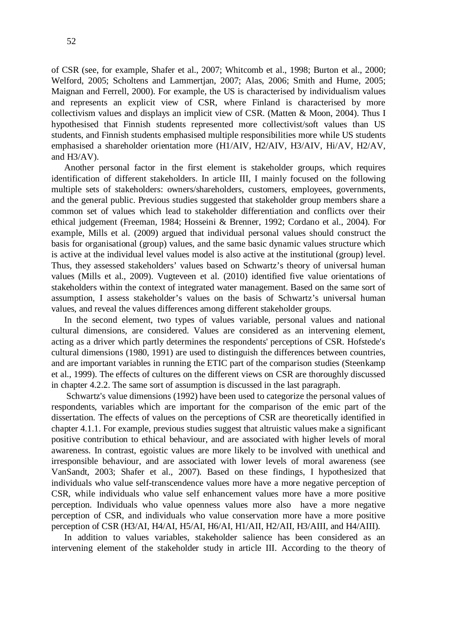of CSR (see, for example, Shafer et al., 2007; Whitcomb et al., 1998; Burton et al., 2000; Welford, 2005; Scholtens and Lammertjan, 2007; Alas, 2006; Smith and Hume, 2005; Maignan and Ferrell, 2000). For example, the US is characterised by individualism values and represents an explicit view of CSR, where Finland is characterised by more collectivism values and displays an implicit view of CSR. (Matten & Moon, 2004). Thus I hypothesised that Finnish students represented more collectivist/soft values than US students, and Finnish students emphasised multiple responsibilities more while US students emphasised a shareholder orientation more (H1/AIV, H2/AIV, H3/AIV, Hi/AV, H2/AV, and H3/AV).

Another personal factor in the first element is stakeholder groups, which requires identification of different stakeholders. In article III, I mainly focused on the following multiple sets of stakeholders: owners/shareholders, customers, employees, governments, and the general public. Previous studies suggested that stakeholder group members share a common set of values which lead to stakeholder differentiation and conflicts over their ethical judgement (Freeman, 1984; Hosseini & Brenner, 1992; Cordano et al., 2004). For example, Mills et al. (2009) argued that individual personal values should construct the basis for organisational (group) values, and the same basic dynamic values structure which is active at the individual level values model is also active at the institutional (group) level. Thus, they assessed stakeholders' values based on Schwartz's theory of universal human values (Mills et al., 2009). Vugteveen et al. (2010) identified five value orientations of stakeholders within the context of integrated water management. Based on the same sort of assumption, I assess stakeholder's values on the basis of Schwartz's universal human values, and reveal the values differences among different stakeholder groups.

In the second element, two types of values variable, personal values and national cultural dimensions, are considered. Values are considered as an intervening element, acting as a driver which partly determines the respondents' perceptions of CSR. Hofstede's cultural dimensions (1980, 1991) are used to distinguish the differences between countries, and are important variables in running the ETIC part of the comparison studies (Steenkamp et al., 1999). The effects of cultures on the different views on CSR are thoroughly discussed in chapter 4.2.2. The same sort of assumption is discussed in the last paragraph.

 Schwartz's value dimensions (1992) have been used to categorize the personal values of respondents, variables which are important for the comparison of the emic part of the dissertation. The effects of values on the perceptions of CSR are theoretically identified in chapter 4.1.1. For example, previous studies suggest that altruistic values make a significant positive contribution to ethical behaviour, and are associated with higher levels of moral awareness. In contrast, egoistic values are more likely to be involved with unethical and irresponsible behaviour, and are associated with lower levels of moral awareness (see VanSandt, 2003; Shafer et al., 2007). Based on these findings, I hypothesized that individuals who value self-transcendence values more have a more negative perception of CSR, while individuals who value self enhancement values more have a more positive perception. Individuals who value openness values more also have a more negative perception of CSR, and individuals who value conservation more have a more positive perception of CSR (H3/AI, H4/AI, H5/AI, H6/AI, H1/AII, H2/AII, H3/AIII, and H4/AIII).

In addition to values variables, stakeholder salience has been considered as an intervening element of the stakeholder study in article III. According to the theory of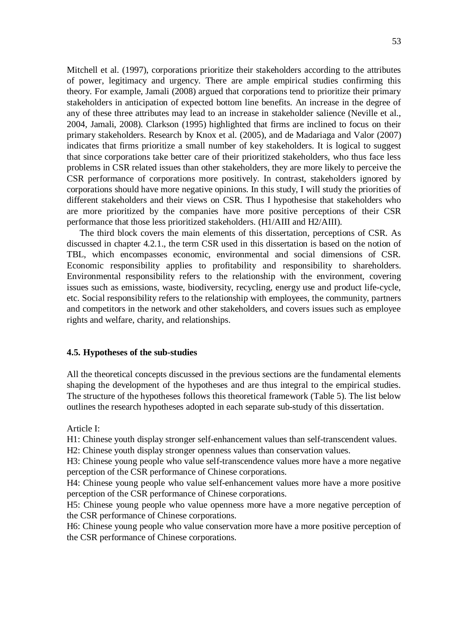Mitchell et al. (1997), corporations prioritize their stakeholders according to the attributes of power, legitimacy and urgency. There are ample empirical studies confirming this theory. For example, Jamali (2008) argued that corporations tend to prioritize their primary stakeholders in anticipation of expected bottom line benefits. An increase in the degree of any of these three attributes may lead to an increase in stakeholder salience (Neville et al., 2004, Jamali, 2008). Clarkson (1995) highlighted that firms are inclined to focus on their primary stakeholders. Research by Knox et al. (2005), and de Madariaga and Valor (2007) indicates that firms prioritize a small number of key stakeholders. It is logical to suggest that since corporations take better care of their prioritized stakeholders, who thus face less problems in CSR related issues than other stakeholders, they are more likely to perceive the CSR performance of corporations more positively. In contrast, stakeholders ignored by corporations should have more negative opinions. In this study, I will study the priorities of different stakeholders and their views on CSR. Thus I hypothesise that stakeholders who are more prioritized by the companies have more positive perceptions of their CSR performance that those less prioritized stakeholders. (H1/AIII and H2/AIII).

The third block covers the main elements of this dissertation, perceptions of CSR. As discussed in chapter 4.2.1., the term CSR used in this dissertation is based on the notion of TBL, which encompasses economic, environmental and social dimensions of CSR. Economic responsibility applies to profitability and responsibility to shareholders. Environmental responsibility refers to the relationship with the environment, covering issues such as emissions, waste, biodiversity, recycling, energy use and product life-cycle, etc. Social responsibility refers to the relationship with employees, the community, partners and competitors in the network and other stakeholders, and covers issues such as employee rights and welfare, charity, and relationships.

#### **4.5. Hypotheses of the sub-studies**

All the theoretical concepts discussed in the previous sections are the fundamental elements shaping the development of the hypotheses and are thus integral to the empirical studies. The structure of the hypotheses follows this theoretical framework (Table 5). The list below outlines the research hypotheses adopted in each separate sub-study of this dissertation.

Article I:

H1: Chinese youth display stronger self-enhancement values than self-transcendent values.

H2: Chinese youth display stronger openness values than conservation values.

H3: Chinese young people who value self-transcendence values more have a more negative perception of the CSR performance of Chinese corporations.

H4: Chinese young people who value self-enhancement values more have a more positive perception of the CSR performance of Chinese corporations.

H5: Chinese young people who value openness more have a more negative perception of the CSR performance of Chinese corporations.

H6: Chinese young people who value conservation more have a more positive perception of the CSR performance of Chinese corporations.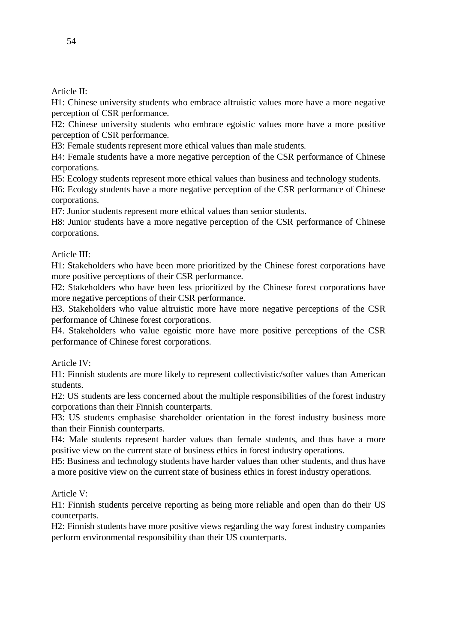Article II:

H1: Chinese university students who embrace altruistic values more have a more negative perception of CSR performance.

H2: Chinese university students who embrace egoistic values more have a more positive perception of CSR performance.

H3: Female students represent more ethical values than male students.

H4: Female students have a more negative perception of the CSR performance of Chinese corporations.

H5: Ecology students represent more ethical values than business and technology students.

H6: Ecology students have a more negative perception of the CSR performance of Chinese corporations.

H7: Junior students represent more ethical values than senior students.

H8: Junior students have a more negative perception of the CSR performance of Chinese corporations.

# Article III:

H1: Stakeholders who have been more prioritized by the Chinese forest corporations have more positive perceptions of their CSR performance.

H2: Stakeholders who have been less prioritized by the Chinese forest corporations have more negative perceptions of their CSR performance.

H3. Stakeholders who value altruistic more have more negative perceptions of the CSR performance of Chinese forest corporations.

H4. Stakeholders who value egoistic more have more positive perceptions of the CSR performance of Chinese forest corporations.

Article IV:

H1: Finnish students are more likely to represent collectivistic/softer values than American students.

H2: US students are less concerned about the multiple responsibilities of the forest industry corporations than their Finnish counterparts.

H3: US students emphasise shareholder orientation in the forest industry business more than their Finnish counterparts.

H4: Male students represent harder values than female students, and thus have a more positive view on the current state of business ethics in forest industry operations.

H5: Business and technology students have harder values than other students, and thus have a more positive view on the current state of business ethics in forest industry operations.

Article V:

H1: Finnish students perceive reporting as being more reliable and open than do their US counterparts.

H2: Finnish students have more positive views regarding the way forest industry companies perform environmental responsibility than their US counterparts.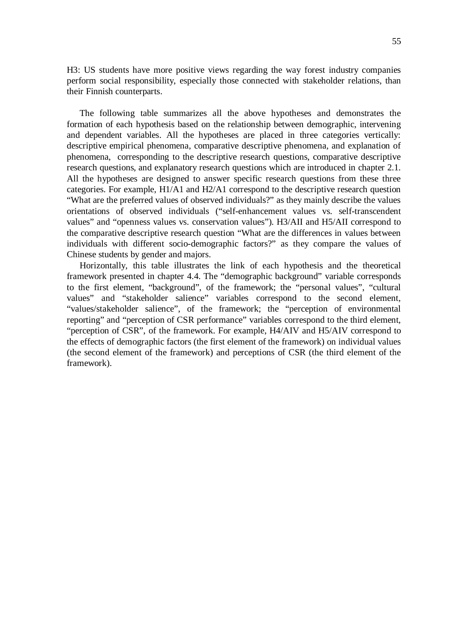H3: US students have more positive views regarding the way forest industry companies perform social responsibility, especially those connected with stakeholder relations, than their Finnish counterparts.

The following table summarizes all the above hypotheses and demonstrates the formation of each hypothesis based on the relationship between demographic, intervening and dependent variables. All the hypotheses are placed in three categories vertically: descriptive empirical phenomena, comparative descriptive phenomena, and explanation of phenomena, corresponding to the descriptive research questions, comparative descriptive research questions, and explanatory research questions which are introduced in chapter 2.1. All the hypotheses are designed to answer specific research questions from these three categories. For example, H1/A1 and H2/A1 correspond to the descriptive research question "What are the preferred values of observed individuals?" as they mainly describe the values orientations of observed individuals ("self-enhancement values vs. self-transcendent values" and "openness values vs. conservation values"). H3/AII and H5/AII correspond to the comparative descriptive research question "What are the differences in values between individuals with different socio-demographic factors?" as they compare the values of Chinese students by gender and majors.

Horizontally, this table illustrates the link of each hypothesis and the theoretical framework presented in chapter 4.4. The "demographic background" variable corresponds to the first element, "background", of the framework; the "personal values", "cultural values" and "stakeholder salience" variables correspond to the second element, "values/stakeholder salience", of the framework; the "perception of environmental reporting" and "perception of CSR performance" variables correspond to the third element, "perception of CSR", of the framework. For example, H4/AIV and H5/AIV correspond to the effects of demographic factors (the first element of the framework) on individual values (the second element of the framework) and perceptions of CSR (the third element of the framework).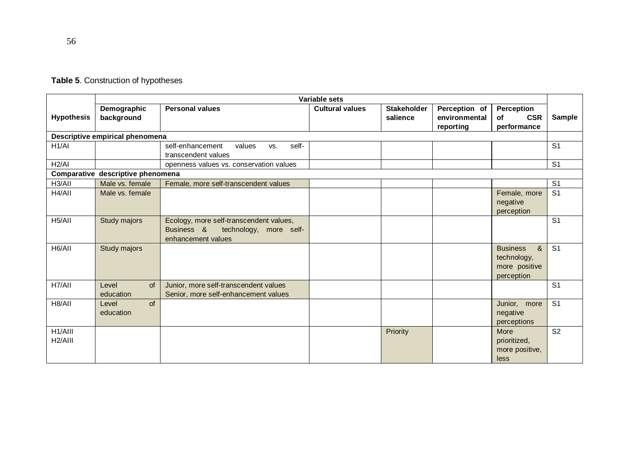|                                 | Variable sets                     |                                                                                                       |                        |                                |                                             |                                                                    |                |
|---------------------------------|-----------------------------------|-------------------------------------------------------------------------------------------------------|------------------------|--------------------------------|---------------------------------------------|--------------------------------------------------------------------|----------------|
| <b>Hypothesis</b>               | Demographic<br>background         | <b>Personal values</b>                                                                                | <b>Cultural values</b> | <b>Stakeholder</b><br>salience | Perception of<br>environmental<br>reporting | Perception<br><b>CSR</b><br>οf<br>performance                      | Sample         |
|                                 | Descriptive empirical phenomena   |                                                                                                       |                        |                                |                                             |                                                                    |                |
| H1/AI                           |                                   | self-<br>self-enhancement<br>values<br>VS.<br>transcendent values                                     |                        |                                |                                             |                                                                    | S <sub>1</sub> |
| H2/AI                           |                                   | openness values vs. conservation values                                                               |                        |                                |                                             |                                                                    | S <sub>1</sub> |
|                                 | Comparative descriptive phenomena |                                                                                                       |                        |                                |                                             |                                                                    |                |
| H <sub>3</sub> /AII             | Male vs. female                   | Female, more self-transcendent values                                                                 |                        |                                |                                             |                                                                    | S <sub>1</sub> |
| H4/AII                          | Male vs. female                   |                                                                                                       |                        |                                |                                             | Female, more<br>negative<br>perception                             | S <sub>1</sub> |
| H <sub>5</sub> /All             | Study majors                      | Ecology, more self-transcendent values,<br>Business &<br>technology, more self-<br>enhancement values |                        |                                |                                             |                                                                    | S <sub>1</sub> |
| H6/AII                          | Study majors                      |                                                                                                       |                        |                                |                                             | <b>Business</b><br>&<br>technology,<br>more positive<br>perception | S <sub>1</sub> |
| H7/AII                          | Level<br><b>of</b><br>education   | Junior, more self-transcendent values<br>Senior, more self-enhancement values                         |                        |                                |                                             |                                                                    | S <sub>1</sub> |
| H8/AII                          | Level<br>of<br>education          |                                                                                                       |                        |                                |                                             | Junior, more<br>negative<br>perceptions                            | S <sub>1</sub> |
| H1/AIII<br>H <sub>2</sub> /AIII |                                   |                                                                                                       |                        | Priority                       |                                             | More<br>prioritized,<br>more positive,<br>less                     | S <sub>2</sub> |

# **Table 5**. Construction of hypotheses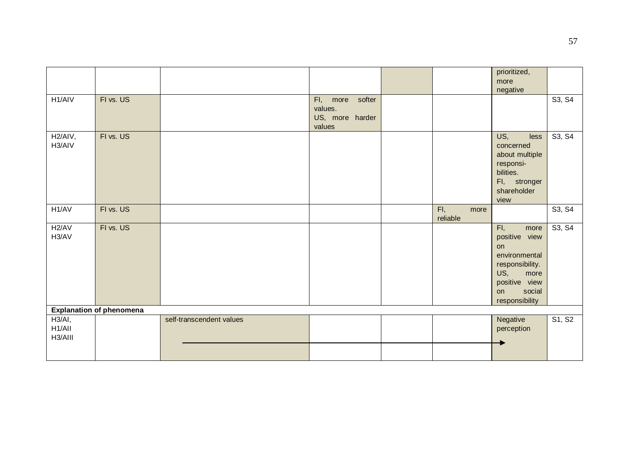|                                |                                 |                          |                                                               |                         | prioritized,<br>more<br>negative                                                                                                         |        |
|--------------------------------|---------------------------------|--------------------------|---------------------------------------------------------------|-------------------------|------------------------------------------------------------------------------------------------------------------------------------------|--------|
| H <sub>1</sub> /AIV            | FI vs. US                       |                          | softer<br>FI,<br>more<br>values.<br>US, more harder<br>values |                         |                                                                                                                                          | S3, S4 |
| H <sub>2</sub> /AIV,<br>H3/AIV | FI vs. US                       |                          |                                                               |                         | US,<br>less<br>concerned<br>about multiple<br>responsi-<br>bilities.<br>FI, stronger<br>shareholder<br>view                              | S3, S4 |
| H1/AV                          | FI vs. US                       |                          |                                                               | FI.<br>more<br>reliable |                                                                                                                                          | S3, S4 |
| H <sub>2</sub> /AV<br>H3/AV    | FI vs. US                       |                          |                                                               |                         | FI,<br>more<br>positive view<br>on<br>environmental<br>responsibility.<br>US,<br>more<br>positive view<br>social<br>on<br>responsibility | S3, S4 |
|                                | <b>Explanation of phenomena</b> |                          |                                                               |                         |                                                                                                                                          |        |
| H3/AI,<br>H1/All<br>H3/AIII    |                                 | self-transcendent values |                                                               |                         | Negative<br>perception                                                                                                                   | S1, S2 |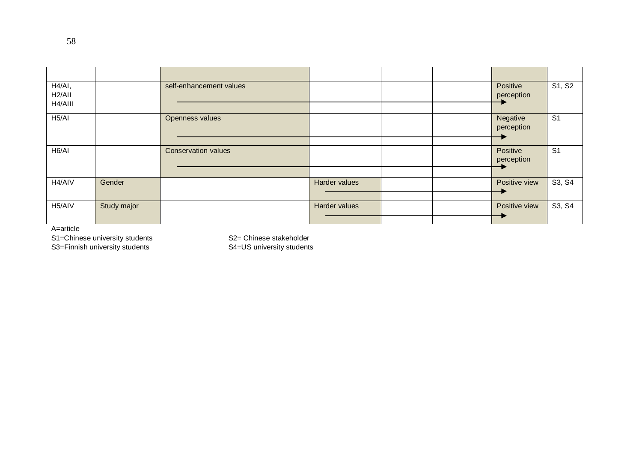| H4/AI,<br>H <sub>2</sub> /All |             | self-enhancement values    |               |  | Positive<br>perception | S1, S2         |
|-------------------------------|-------------|----------------------------|---------------|--|------------------------|----------------|
| H4/AIII                       |             |                            |               |  |                        |                |
| H5/AI                         |             | Openness values            |               |  | Negative<br>perception | S <sub>1</sub> |
|                               |             |                            |               |  |                        |                |
| H <sub>6</sub> /AI            |             | <b>Conservation values</b> |               |  | Positive<br>perception | S <sub>1</sub> |
|                               |             |                            |               |  |                        |                |
| H <sub>4</sub> /AIV           | Gender      |                            | Harder values |  | Positive view          | S3, S4         |
|                               |             |                            |               |  |                        |                |
| H <sub>5</sub> /AIV           | Study major |                            | Harder values |  | Positive view          | S3, S4         |
|                               |             |                            |               |  |                        |                |

A=article

S1=Chinese university students S2= Chinese stakeholder S3=Finnish university students S4=US university students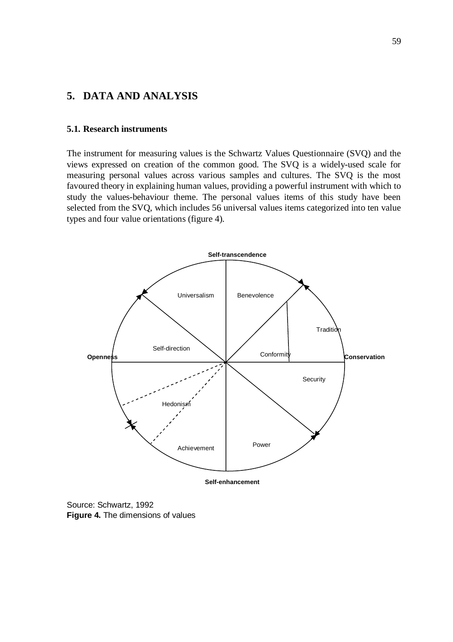# **5. DATA AND ANALYSIS**

#### **5.1. Research instruments**

The instrument for measuring values is the Schwartz Values Questionnaire (SVQ) and the views expressed on creation of the common good. The SVQ is a widely-used scale for measuring personal values across various samples and cultures. The SVQ is the most favoured theory in explaining human values, providing a powerful instrument with which to study the values-behaviour theme. The personal values items of this study have been selected from the SVQ, which includes 56 universal values items categorized into ten value types and four value orientations (figure 4).



**Self-enhancement** 

Source: Schwartz, 1992 **Figure 4.** The dimensions of values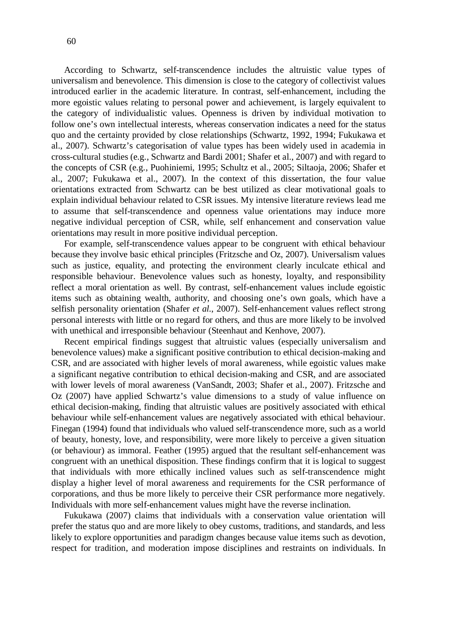According to Schwartz, self-transcendence includes the altruistic value types of universalism and benevolence. This dimension is close to the category of collectivist values introduced earlier in the academic literature. In contrast, self-enhancement, including the more egoistic values relating to personal power and achievement, is largely equivalent to the category of individualistic values. Openness is driven by individual motivation to follow one's own intellectual interests, whereas conservation indicates a need for the status quo and the certainty provided by close relationships (Schwartz, 1992, 1994; Fukukawa et al., 2007). Schwartz's categorisation of value types has been widely used in academia in cross-cultural studies (e.g., Schwartz and Bardi 2001; Shafer et al., 2007) and with regard to the concepts of CSR (e.g., Puohiniemi, 1995; Schultz et al., 2005; Siltaoja, 2006; Shafer et al., 2007; Fukukawa et al., 2007). In the context of this dissertation, the four value orientations extracted from Schwartz can be best utilized as clear motivational goals to explain individual behaviour related to CSR issues. My intensive literature reviews lead me to assume that self-transcendence and openness value orientations may induce more negative individual perception of CSR, while, self enhancement and conservation value orientations may result in more positive individual perception.

For example, self-transcendence values appear to be congruent with ethical behaviour because they involve basic ethical principles (Fritzsche and Oz, 2007). Universalism values such as justice, equality, and protecting the environment clearly inculcate ethical and responsible behaviour. Benevolence values such as honesty, loyalty, and responsibility reflect a moral orientation as well. By contrast, self-enhancement values include egoistic items such as obtaining wealth, authority, and choosing one's own goals, which have a selfish personality orientation (Shafer *et al.*, 2007). Self-enhancement values reflect strong personal interests with little or no regard for others, and thus are more likely to be involved with unethical and irresponsible behaviour (Steenhaut and Kenhove, 2007).

Recent empirical findings suggest that altruistic values (especially universalism and benevolence values) make a significant positive contribution to ethical decision-making and CSR, and are associated with higher levels of moral awareness, while egoistic values make a significant negative contribution to ethical decision-making and CSR, and are associated with lower levels of moral awareness (VanSandt, 2003; Shafer et al., 2007). Fritzsche and Oz (2007) have applied Schwartz's value dimensions to a study of value influence on ethical decision-making, finding that altruistic values are positively associated with ethical behaviour while self-enhancement values are negatively associated with ethical behaviour. Finegan (1994) found that individuals who valued self-transcendence more, such as a world of beauty, honesty, love, and responsibility, were more likely to perceive a given situation (or behaviour) as immoral. Feather (1995) argued that the resultant self-enhancement was congruent with an unethical disposition. These findings confirm that it is logical to suggest that individuals with more ethically inclined values such as self-transcendence might display a higher level of moral awareness and requirements for the CSR performance of corporations, and thus be more likely to perceive their CSR performance more negatively. Individuals with more self-enhancement values might have the reverse inclination.

Fukukawa (2007) claims that individuals with a conservation value orientation will prefer the status quo and are more likely to obey customs, traditions, and standards, and less likely to explore opportunities and paradigm changes because value items such as devotion, respect for tradition, and moderation impose disciplines and restraints on individuals. In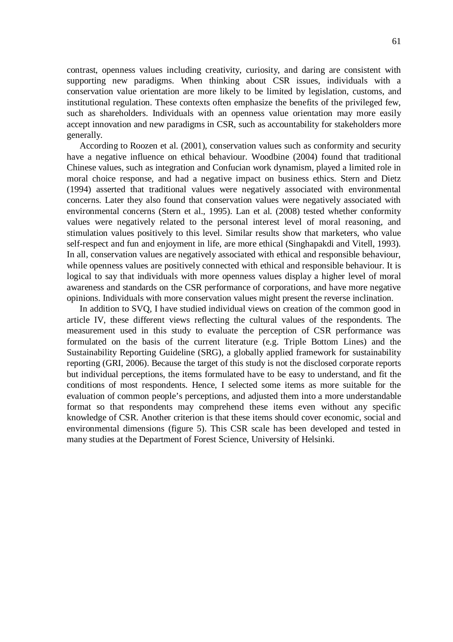contrast, openness values including creativity, curiosity, and daring are consistent with supporting new paradigms. When thinking about CSR issues, individuals with a conservation value orientation are more likely to be limited by legislation, customs, and institutional regulation. These contexts often emphasize the benefits of the privileged few, such as shareholders. Individuals with an openness value orientation may more easily accept innovation and new paradigms in CSR, such as accountability for stakeholders more generally.

According to Roozen et al. (2001), conservation values such as conformity and security have a negative influence on ethical behaviour. Woodbine (2004) found that traditional Chinese values, such as integration and Confucian work dynamism, played a limited role in moral choice response, and had a negative impact on business ethics. Stern and Dietz (1994) asserted that traditional values were negatively associated with environmental concerns. Later they also found that conservation values were negatively associated with environmental concerns (Stern et al., 1995). Lan et al. (2008) tested whether conformity values were negatively related to the personal interest level of moral reasoning, and stimulation values positively to this level. Similar results show that marketers, who value self-respect and fun and enjoyment in life, are more ethical (Singhapakdi and Vitell, 1993). In all, conservation values are negatively associated with ethical and responsible behaviour, while openness values are positively connected with ethical and responsible behaviour. It is logical to say that individuals with more openness values display a higher level of moral awareness and standards on the CSR performance of corporations, and have more negative opinions. Individuals with more conservation values might present the reverse inclination.

In addition to SVQ, I have studied individual views on creation of the common good in article IV, these different views reflecting the cultural values of the respondents. The measurement used in this study to evaluate the perception of CSR performance was formulated on the basis of the current literature (e.g. Triple Bottom Lines) and the Sustainability Reporting Guideline (SRG), a globally applied framework for sustainability reporting (GRI, 2006). Because the target of this study is not the disclosed corporate reports but individual perceptions, the items formulated have to be easy to understand, and fit the conditions of most respondents. Hence, I selected some items as more suitable for the evaluation of common people's perceptions, and adjusted them into a more understandable format so that respondents may comprehend these items even without any specific knowledge of CSR. Another criterion is that these items should cover economic, social and environmental dimensions (figure 5). This CSR scale has been developed and tested in many studies at the Department of Forest Science, University of Helsinki.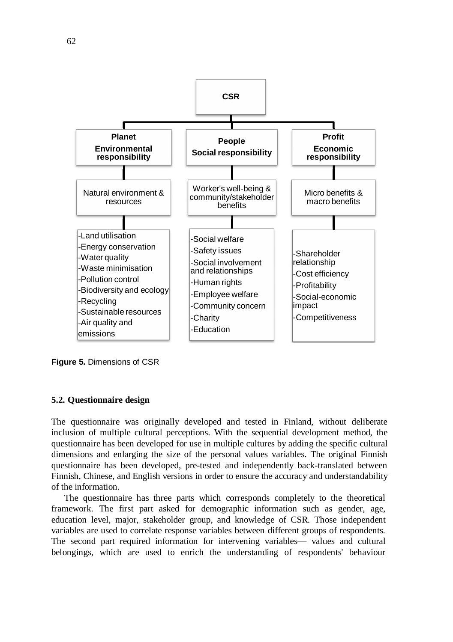

**Figure 5.** Dimensions of CSR

#### **5.2. Questionnaire design**

The questionnaire was originally developed and tested in Finland, without deliberate inclusion of multiple cultural perceptions. With the sequential development method, the questionnaire has been developed for use in multiple cultures by adding the specific cultural dimensions and enlarging the size of the personal values variables. The original Finnish questionnaire has been developed, pre-tested and independently back-translated between Finnish, Chinese, and English versions in order to ensure the accuracy and understandability of the information.

The questionnaire has three parts which corresponds completely to the theoretical framework. The first part asked for demographic information such as gender, age, education level, major, stakeholder group, and knowledge of CSR. Those independent variables are used to correlate response variables between different groups of respondents. The second part required information for intervening variables— values and cultural belongings, which are used to enrich the understanding of respondents' behaviour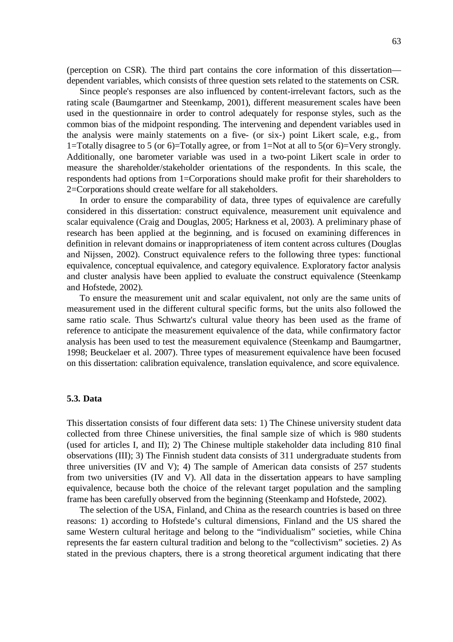(perception on CSR). The third part contains the core information of this dissertation dependent variables, which consists of three question sets related to the statements on CSR.

Since people's responses are also influenced by content-irrelevant factors, such as the rating scale (Baumgartner and Steenkamp, 2001), different measurement scales have been used in the questionnaire in order to control adequately for response styles, such as the common bias of the midpoint responding. The intervening and dependent variables used in the analysis were mainly statements on a five- (or six-) point Likert scale, e.g., from 1=Totally disagree to 5 (or 6)=Totally agree, or from 1=Not at all to 5(or 6)=Very strongly. Additionally, one barometer variable was used in a two-point Likert scale in order to measure the shareholder/stakeholder orientations of the respondents. In this scale, the respondents had options from 1=Corporations should make profit for their shareholders to 2=Corporations should create welfare for all stakeholders.

In order to ensure the comparability of data, three types of equivalence are carefully considered in this dissertation: construct equivalence, measurement unit equivalence and scalar equivalence (Craig and Douglas, 2005; Harkness et al, 2003). A preliminary phase of research has been applied at the beginning, and is focused on examining differences in definition in relevant domains or inappropriateness of item content across cultures (Douglas and Nijssen, 2002). Construct equivalence refers to the following three types: functional equivalence, conceptual equivalence, and category equivalence. Exploratory factor analysis and cluster analysis have been applied to evaluate the construct equivalence (Steenkamp and Hofstede, 2002).

To ensure the measurement unit and scalar equivalent, not only are the same units of measurement used in the different cultural specific forms, but the units also followed the same ratio scale. Thus Schwartz's cultural value theory has been used as the frame of reference to anticipate the measurement equivalence of the data, while confirmatory factor analysis has been used to test the measurement equivalence (Steenkamp and Baumgartner, 1998; Beuckelaer et al. 2007). Three types of measurement equivalence have been focused on this dissertation: calibration equivalence, translation equivalence, and score equivalence.

### **5.3. Data**

This dissertation consists of four different data sets: 1) The Chinese university student data collected from three Chinese universities, the final sample size of which is 980 students (used for articles I, and II); 2) The Chinese multiple stakeholder data including 810 final observations (III); 3) The Finnish student data consists of 311 undergraduate students from three universities (IV and V); 4) The sample of American data consists of 257 students from two universities (IV and V). All data in the dissertation appears to have sampling equivalence, because both the choice of the relevant target population and the sampling frame has been carefully observed from the beginning (Steenkamp and Hofstede, 2002).

The selection of the USA, Finland, and China as the research countries is based on three reasons: 1) according to Hofstede's cultural dimensions, Finland and the US shared the same Western cultural heritage and belong to the "individualism" societies, while China represents the far eastern cultural tradition and belong to the "collectivism" societies. 2) As stated in the previous chapters, there is a strong theoretical argument indicating that there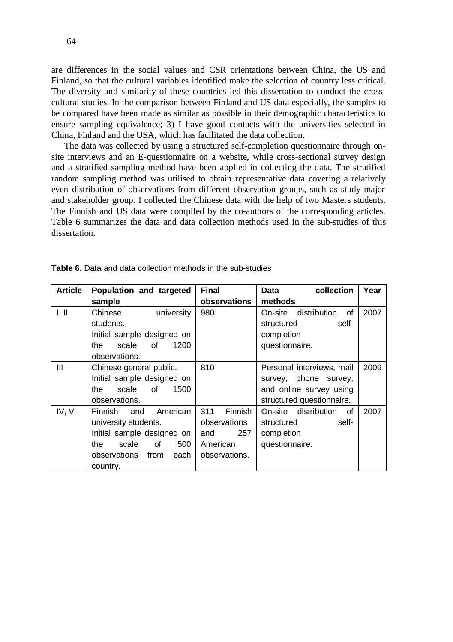are differences in the social values and CSR orientations between China, the US and Finland, so that the cultural variables identified make the selection of country less critical. The diversity and similarity of these countries led this dissertation to conduct the crosscultural studies. In the comparison between Finland and US data especially, the samples to be compared have been made as similar as possible in their demographic characteristics to ensure sampling equivalence; 3) I have good contacts with the universities selected in China, Finland and the USA, which has facilitated the data collection.

The data was collected by using a structured self-completion questionnaire through onsite interviews and an E-questionnaire on a website, while cross-sectional survey design and a stratified sampling method have been applied in collecting the data. The stratified random sampling method was utilised to obtain representative data covering a relatively even distribution of observations from different observation groups, such as study major and stakeholder group. I collected the Chinese data with the help of two Masters students. The Finnish and US data were compiled by the co-authors of the corresponding articles. Table 6 summarizes the data and data collection methods used in the sub-studies of this dissertation.

| <b>Article</b> | Population and targeted           | <b>Final</b>   | collection<br>Data            | Year |
|----------------|-----------------------------------|----------------|-------------------------------|------|
|                | sample                            | observations   | methods                       |      |
| I, II          | university<br>Chinese             | 980            | distribution<br>On-site<br>of | 2007 |
|                | students.                         |                | structured<br>self-           |      |
|                | Initial sample designed on        |                | completion                    |      |
|                | scale<br>οf<br>1200<br>the        |                | questionnaire.                |      |
|                | observations.                     |                |                               |      |
| Ш              | Chinese general public.           | 810            | Personal interviews, mail     | 2009 |
|                | Initial sample designed on        |                | survey, phone survey,         |      |
|                | scale<br>of<br>the<br>1500        |                | and online survey using       |      |
|                | observations.                     |                | structured questionnaire.     |      |
| IV, V          | American<br><b>Finnish</b><br>and | Finnish<br>311 | distribution<br>On-site<br>of | 2007 |
|                | university students.              | observations   | structured<br>self-           |      |
|                | Initial sample designed on        | 257<br>and     | completion                    |      |
|                | οf<br>the<br>scale<br>500         | American       | questionnaire.                |      |
|                | observations<br>from<br>each      | observations.  |                               |      |
|                | country.                          |                |                               |      |

**Table 6.** Data and data collection methods in the sub-studies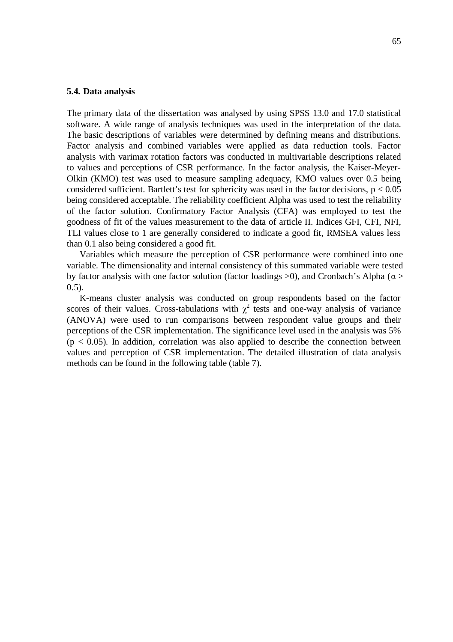#### **5.4. Data analysis**

The primary data of the dissertation was analysed by using SPSS 13.0 and 17.0 statistical software. A wide range of analysis techniques was used in the interpretation of the data. The basic descriptions of variables were determined by defining means and distributions. Factor analysis and combined variables were applied as data reduction tools. Factor analysis with varimax rotation factors was conducted in multivariable descriptions related to values and perceptions of CSR performance. In the factor analysis, the Kaiser-Meyer-Olkin (KMO) test was used to measure sampling adequacy, KMO values over 0.5 being considered sufficient. Bartlett's test for sphericity was used in the factor decisions,  $p < 0.05$ being considered acceptable. The reliability coefficient Alpha was used to test the reliability of the factor solution. Confirmatory Factor Analysis (CFA) was employed to test the goodness of fit of the values measurement to the data of article II. Indices GFI, CFI, NFI, TLI values close to 1 are generally considered to indicate a good fit, RMSEA values less than 0.1 also being considered a good fit.

Variables which measure the perception of CSR performance were combined into one variable. The dimensionality and internal consistency of this summated variable were tested by factor analysis with one factor solution (factor loadings  $>0$ ), and Cronbach's Alpha ( $\alpha$ )  $(0.5)$ .

K-means cluster analysis was conducted on group respondents based on the factor scores of their values. Cross-tabulations with  $\chi^2$  tests and one-way analysis of variance (ANOVA) were used to run comparisons between respondent value groups and their perceptions of the CSR implementation. The significance level used in the analysis was 5%  $(p < 0.05)$ . In addition, correlation was also applied to describe the connection between values and perception of CSR implementation. The detailed illustration of data analysis methods can be found in the following table (table 7).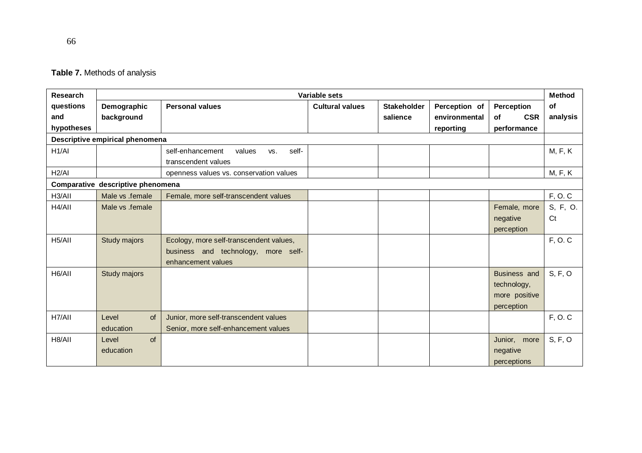|  |  | Table 7. Methods of analysis |  |  |  |
|--|--|------------------------------|--|--|--|
|--|--|------------------------------|--|--|--|

| Research            | <b>Method</b><br>Variable sets    |                                            |                        |                    |               |                  |                |
|---------------------|-----------------------------------|--------------------------------------------|------------------------|--------------------|---------------|------------------|----------------|
| questions           | Demographic                       | <b>Personal values</b>                     | <b>Cultural values</b> | <b>Stakeholder</b> | Perception of | Perception       | of             |
| and                 | background                        |                                            |                        | salience           | environmental | <b>CSR</b><br>of | analysis       |
| hypotheses          |                                   |                                            |                        |                    | reporting     | performance      |                |
|                     | Descriptive empirical phenomena   |                                            |                        |                    |               |                  |                |
| H1/AI               |                                   | self-<br>self-enhancement<br>values<br>VS. |                        |                    |               |                  | <b>M, F, K</b> |
|                     |                                   | transcendent values                        |                        |                    |               |                  |                |
| H2/AI               |                                   | openness values vs. conservation values    |                        |                    |               |                  | M, F, K        |
|                     | Comparative descriptive phenomena |                                            |                        |                    |               |                  |                |
| H3/AII              | Male vs .female                   | Female, more self-transcendent values      |                        |                    |               |                  | F, O. C        |
| H4/AII              | Male vs .female                   |                                            |                        |                    |               | Female, more     | S, F, O.       |
|                     |                                   |                                            |                        |                    |               | negative         | Ct             |
|                     |                                   |                                            |                        |                    |               | perception       |                |
| H <sub>5</sub> /All | Study majors                      | Ecology, more self-transcendent values,    |                        |                    |               |                  | F, O. C        |
|                     |                                   | business and technology, more self-        |                        |                    |               |                  |                |
|                     |                                   | enhancement values                         |                        |                    |               |                  |                |
| H6/All              | Study majors                      |                                            |                        |                    |               | Business and     | S, F, O        |
|                     |                                   |                                            |                        |                    |               | technology,      |                |
|                     |                                   |                                            |                        |                    |               | more positive    |                |
|                     |                                   |                                            |                        |                    |               | perception       |                |
| H7/AII              | Level<br>of                       | Junior, more self-transcendent values      |                        |                    |               |                  | F, O. C        |
|                     | education                         | Senior, more self-enhancement values       |                        |                    |               |                  |                |
| H8/AII              | of<br>Level                       |                                            |                        |                    |               | Junior, more     | S, F, O        |
|                     | education                         |                                            |                        |                    |               | negative         |                |
|                     |                                   |                                            |                        |                    |               | perceptions      |                |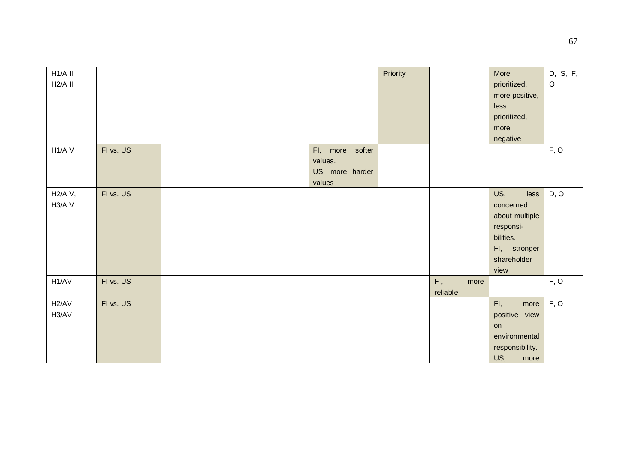| H1/AIII              |           |                 | Priority |             | More            | D, S, F, |
|----------------------|-----------|-----------------|----------|-------------|-----------------|----------|
| H <sub>2</sub> /AIII |           |                 |          |             | prioritized,    | $\circ$  |
|                      |           |                 |          |             | more positive,  |          |
|                      |           |                 |          |             | less            |          |
|                      |           |                 |          |             | prioritized,    |          |
|                      |           |                 |          |             | more            |          |
|                      |           |                 |          |             | negative        |          |
| H1/AIV               | FI vs. US | FI, more softer |          |             |                 | F, O     |
|                      |           | values.         |          |             |                 |          |
|                      |           | US, more harder |          |             |                 |          |
|                      |           | values          |          |             |                 |          |
| H <sub>2</sub> /AIV, | FI vs. US |                 |          |             | US,<br>less     | D, O     |
| H3/AIV               |           |                 |          |             | concerned       |          |
|                      |           |                 |          |             | about multiple  |          |
|                      |           |                 |          |             | responsi-       |          |
|                      |           |                 |          |             | bilities.       |          |
|                      |           |                 |          |             |                 |          |
|                      |           |                 |          |             | Fl, stronger    |          |
|                      |           |                 |          |             | shareholder     |          |
|                      |           |                 |          |             | view            |          |
| H1/AV                | FI vs. US |                 |          | FI,<br>more |                 | F, O     |
|                      |           |                 |          | reliable    |                 |          |
| H2/AV                | FI vs. US |                 |          |             | FI,<br>more     | F, O     |
| H3/AV                |           |                 |          |             | positive view   |          |
|                      |           |                 |          |             | on              |          |
|                      |           |                 |          |             | environmental   |          |
|                      |           |                 |          |             | responsibility. |          |
|                      |           |                 |          |             | US,<br>more     |          |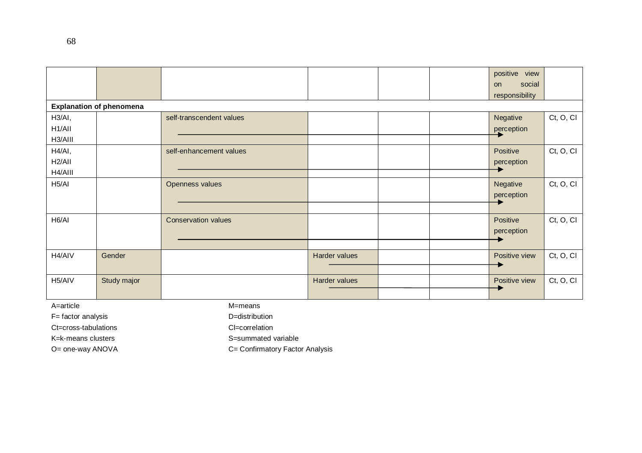|                                                     |             |                            |               |  |  | positive<br>view<br>social<br><b>on</b><br>responsibility |           |
|-----------------------------------------------------|-------------|----------------------------|---------------|--|--|-----------------------------------------------------------|-----------|
| <b>Explanation of phenomena</b>                     |             |                            |               |  |  |                                                           |           |
| H <sub>3</sub> /AI,<br>H <sub>1</sub> /All          |             | self-transcendent values   |               |  |  | Negative<br>perception                                    | Ct, O, Cl |
| H3/AIII<br>H4/AI,<br>H <sub>2</sub> /All<br>H4/AIII |             | self-enhancement values    |               |  |  | Positive<br>perception                                    | Ct, O, Cl |
| H <sub>5</sub> /AI                                  |             | Openness values            |               |  |  | Negative<br>perception                                    | Ct, O, Cl |
| H6/AI                                               |             | <b>Conservation values</b> |               |  |  | Positive<br>perception                                    | Ct, O, Cl |
| H4/AIV                                              | Gender      |                            | Harder values |  |  | Positive view                                             | Ct, O, Cl |
| H5/AIV                                              | Study major |                            | Harder values |  |  | Positive view                                             | Ct, O, Cl |

A=article M=means

F= factor analysis D=distribution

Ct=cross-tabulations Cl=correlation

K=k-means clusters S=summated variable

O= one-way ANOVA C= Confirmatory Factor Analysis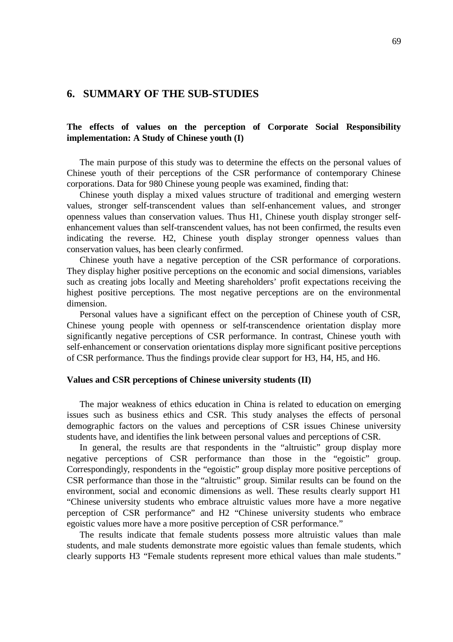# **6. SUMMARY OF THE SUB-STUDIES**

# **The effects of values on the perception of Corporate Social Responsibility implementation: A Study of Chinese youth (I)**

The main purpose of this study was to determine the effects on the personal values of Chinese youth of their perceptions of the CSR performance of contemporary Chinese corporations. Data for 980 Chinese young people was examined, finding that:

Chinese youth display a mixed values structure of traditional and emerging western values, stronger self-transcendent values than self-enhancement values, and stronger openness values than conservation values. Thus H1, Chinese youth display stronger selfenhancement values than self-transcendent values, has not been confirmed, the results even indicating the reverse. H2, Chinese youth display stronger openness values than conservation values, has been clearly confirmed.

Chinese youth have a negative perception of the CSR performance of corporations. They display higher positive perceptions on the economic and social dimensions, variables such as creating jobs locally and Meeting shareholders' profit expectations receiving the highest positive perceptions. The most negative perceptions are on the environmental dimension.

Personal values have a significant effect on the perception of Chinese youth of CSR, Chinese young people with openness or self-transcendence orientation display more significantly negative perceptions of CSR performance. In contrast, Chinese youth with self-enhancement or conservation orientations display more significant positive perceptions of CSR performance. Thus the findings provide clear support for H3, H4, H5, and H6.

#### **Values and CSR perceptions of Chinese university students (II)**

The major weakness of ethics education in China is related to education on emerging issues such as business ethics and CSR. This study analyses the effects of personal demographic factors on the values and perceptions of CSR issues Chinese university students have, and identifies the link between personal values and perceptions of CSR.

In general, the results are that respondents in the "altruistic" group display more negative perceptions of CSR performance than those in the "egoistic" group. Correspondingly, respondents in the "egoistic" group display more positive perceptions of CSR performance than those in the "altruistic" group. Similar results can be found on the environment, social and economic dimensions as well. These results clearly support H1 "Chinese university students who embrace altruistic values more have a more negative perception of CSR performance" and H2 "Chinese university students who embrace egoistic values more have a more positive perception of CSR performance."

The results indicate that female students possess more altruistic values than male students, and male students demonstrate more egoistic values than female students, which clearly supports H3 "Female students represent more ethical values than male students."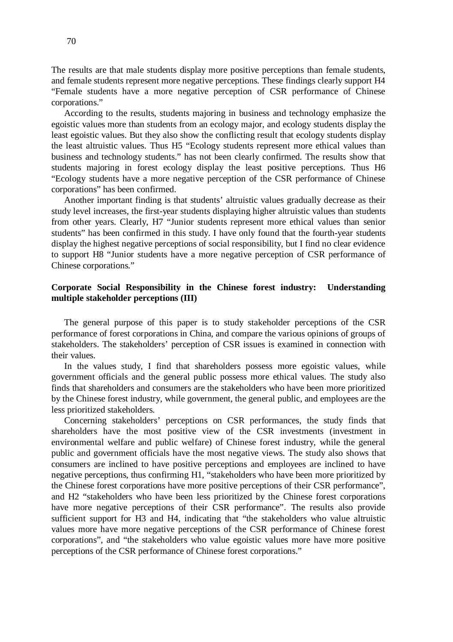The results are that male students display more positive perceptions than female students, and female students represent more negative perceptions. These findings clearly support H4 "Female students have a more negative perception of CSR performance of Chinese corporations."

According to the results, students majoring in business and technology emphasize the egoistic values more than students from an ecology major, and ecology students display the least egoistic values. But they also show the conflicting result that ecology students display the least altruistic values. Thus H5 "Ecology students represent more ethical values than business and technology students." has not been clearly confirmed. The results show that students majoring in forest ecology display the least positive perceptions. Thus H6 "Ecology students have a more negative perception of the CSR performance of Chinese corporations" has been confirmed.

Another important finding is that students' altruistic values gradually decrease as their study level increases, the first-year students displaying higher altruistic values than students from other years. Clearly, H7 "Junior students represent more ethical values than senior students" has been confirmed in this study. I have only found that the fourth-year students display the highest negative perceptions of social responsibility, but I find no clear evidence to support H8 "Junior students have a more negative perception of CSR performance of Chinese corporations."

# **Corporate Social Responsibility in the Chinese forest industry: Understanding multiple stakeholder perceptions (III)**

The general purpose of this paper is to study stakeholder perceptions of the CSR performance of forest corporations in China, and compare the various opinions of groups of stakeholders. The stakeholders' perception of CSR issues is examined in connection with their values.

In the values study, I find that shareholders possess more egoistic values, while government officials and the general public possess more ethical values. The study also finds that shareholders and consumers are the stakeholders who have been more prioritized by the Chinese forest industry, while government, the general public, and employees are the less prioritized stakeholders.

Concerning stakeholders' perceptions on CSR performances, the study finds that shareholders have the most positive view of the CSR investments (investment in environmental welfare and public welfare) of Chinese forest industry, while the general public and government officials have the most negative views. The study also shows that consumers are inclined to have positive perceptions and employees are inclined to have negative perceptions, thus confirming H1, "stakeholders who have been more prioritized by the Chinese forest corporations have more positive perceptions of their CSR performance", and H2 "stakeholders who have been less prioritized by the Chinese forest corporations have more negative perceptions of their CSR performance". The results also provide sufficient support for H3 and H4, indicating that "the stakeholders who value altruistic values more have more negative perceptions of the CSR performance of Chinese forest corporations", and "the stakeholders who value egoistic values more have more positive perceptions of the CSR performance of Chinese forest corporations."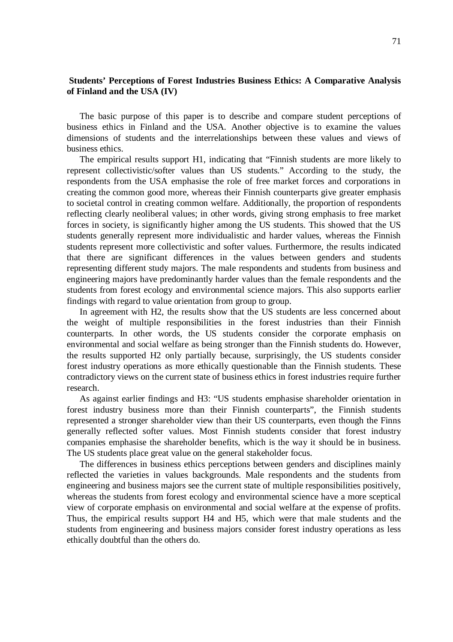# **Students' Perceptions of Forest Industries Business Ethics: A Comparative Analysis of Finland and the USA (IV)**

The basic purpose of this paper is to describe and compare student perceptions of business ethics in Finland and the USA. Another objective is to examine the values dimensions of students and the interrelationships between these values and views of business ethics.

The empirical results support H1, indicating that "Finnish students are more likely to represent collectivistic/softer values than US students." According to the study, the respondents from the USA emphasise the role of free market forces and corporations in creating the common good more, whereas their Finnish counterparts give greater emphasis to societal control in creating common welfare. Additionally, the proportion of respondents reflecting clearly neoliberal values; in other words, giving strong emphasis to free market forces in society, is significantly higher among the US students. This showed that the US students generally represent more individualistic and harder values, whereas the Finnish students represent more collectivistic and softer values. Furthermore, the results indicated that there are significant differences in the values between genders and students representing different study majors. The male respondents and students from business and engineering majors have predominantly harder values than the female respondents and the students from forest ecology and environmental science majors. This also supports earlier findings with regard to value orientation from group to group.

In agreement with H2, the results show that the US students are less concerned about the weight of multiple responsibilities in the forest industries than their Finnish counterparts. In other words, the US students consider the corporate emphasis on environmental and social welfare as being stronger than the Finnish students do. However, the results supported H2 only partially because, surprisingly, the US students consider forest industry operations as more ethically questionable than the Finnish students. These contradictory views on the current state of business ethics in forest industries require further research.

As against earlier findings and H3: "US students emphasise shareholder orientation in forest industry business more than their Finnish counterparts", the Finnish students represented a stronger shareholder view than their US counterparts, even though the Finns generally reflected softer values. Most Finnish students consider that forest industry companies emphasise the shareholder benefits, which is the way it should be in business. The US students place great value on the general stakeholder focus.

The differences in business ethics perceptions between genders and disciplines mainly reflected the varieties in values backgrounds. Male respondents and the students from engineering and business majors see the current state of multiple responsibilities positively, whereas the students from forest ecology and environmental science have a more sceptical view of corporate emphasis on environmental and social welfare at the expense of profits. Thus, the empirical results support H4 and H5, which were that male students and the students from engineering and business majors consider forest industry operations as less ethically doubtful than the others do.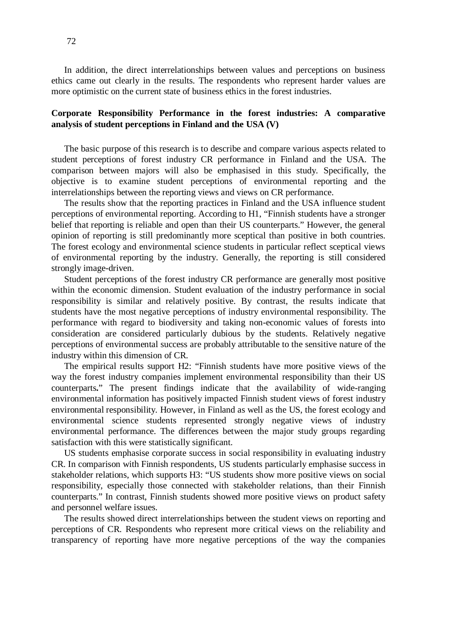In addition, the direct interrelationships between values and perceptions on business ethics came out clearly in the results. The respondents who represent harder values are more optimistic on the current state of business ethics in the forest industries.

# **Corporate Responsibility Performance in the forest industries: A comparative analysis of student perceptions in Finland and the USA (V)**

The basic purpose of this research is to describe and compare various aspects related to student perceptions of forest industry CR performance in Finland and the USA. The comparison between majors will also be emphasised in this study. Specifically, the objective is to examine student perceptions of environmental reporting and the interrelationships between the reporting views and views on CR performance.

The results show that the reporting practices in Finland and the USA influence student perceptions of environmental reporting. According to H1, "Finnish students have a stronger belief that reporting is reliable and open than their US counterparts." However, the general opinion of reporting is still predominantly more sceptical than positive in both countries. The forest ecology and environmental science students in particular reflect sceptical views of environmental reporting by the industry. Generally, the reporting is still considered strongly image-driven.

Student perceptions of the forest industry CR performance are generally most positive within the economic dimension. Student evaluation of the industry performance in social responsibility is similar and relatively positive. By contrast, the results indicate that students have the most negative perceptions of industry environmental responsibility. The performance with regard to biodiversity and taking non-economic values of forests into consideration are considered particularly dubious by the students. Relatively negative perceptions of environmental success are probably attributable to the sensitive nature of the industry within this dimension of CR.

The empirical results support H2: "Finnish students have more positive views of the way the forest industry companies implement environmental responsibility than their US counterparts**.**" The present findings indicate that the availability of wide-ranging environmental information has positively impacted Finnish student views of forest industry environmental responsibility. However, in Finland as well as the US, the forest ecology and environmental science students represented strongly negative views of industry environmental performance. The differences between the major study groups regarding satisfaction with this were statistically significant.

US students emphasise corporate success in social responsibility in evaluating industry CR. In comparison with Finnish respondents, US students particularly emphasise success in stakeholder relations, which supports H3: "US students show more positive views on social responsibility, especially those connected with stakeholder relations, than their Finnish counterparts." In contrast, Finnish students showed more positive views on product safety and personnel welfare issues.

The results showed direct interrelationships between the student views on reporting and perceptions of CR. Respondents who represent more critical views on the reliability and transparency of reporting have more negative perceptions of the way the companies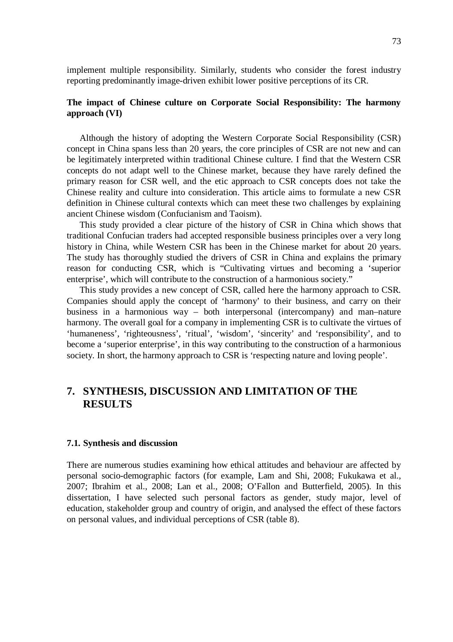implement multiple responsibility. Similarly, students who consider the forest industry reporting predominantly image-driven exhibit lower positive perceptions of its CR.

### **The impact of Chinese culture on Corporate Social Responsibility: The harmony approach (VI)**

Although the history of adopting the Western Corporate Social Responsibility (CSR) concept in China spans less than 20 years, the core principles of CSR are not new and can be legitimately interpreted within traditional Chinese culture. I find that the Western CSR concepts do not adapt well to the Chinese market, because they have rarely defined the primary reason for CSR well, and the etic approach to CSR concepts does not take the Chinese reality and culture into consideration. This article aims to formulate a new CSR definition in Chinese cultural contexts which can meet these two challenges by explaining ancient Chinese wisdom (Confucianism and Taoism).

This study provided a clear picture of the history of CSR in China which shows that traditional Confucian traders had accepted responsible business principles over a very long history in China, while Western CSR has been in the Chinese market for about 20 years. The study has thoroughly studied the drivers of CSR in China and explains the primary reason for conducting CSR, which is "Cultivating virtues and becoming a 'superior enterprise', which will contribute to the construction of a harmonious society."

This study provides a new concept of CSR, called here the harmony approach to CSR. Companies should apply the concept of 'harmony' to their business, and carry on their business in a harmonious way – both interpersonal (intercompany) and man–nature harmony. The overall goal for a company in implementing CSR is to cultivate the virtues of 'humaneness', 'righteousness', 'ritual', 'wisdom', 'sincerity' and 'responsibility', and to become a 'superior enterprise', in this way contributing to the construction of a harmonious society. In short, the harmony approach to CSR is 'respecting nature and loving people'.

# **7. SYNTHESIS, DISCUSSION AND LIMITATION OF THE RESULTS**

### **7.1. Synthesis and discussion**

There are numerous studies examining how ethical attitudes and behaviour are affected by personal socio-demographic factors (for example, Lam and Shi, 2008; Fukukawa et al., 2007; Ibrahim et al., 2008; Lan et al., 2008; O'Fallon and Butterfield, 2005). In this dissertation, I have selected such personal factors as gender, study major, level of education, stakeholder group and country of origin, and analysed the effect of these factors on personal values, and individual perceptions of CSR (table 8).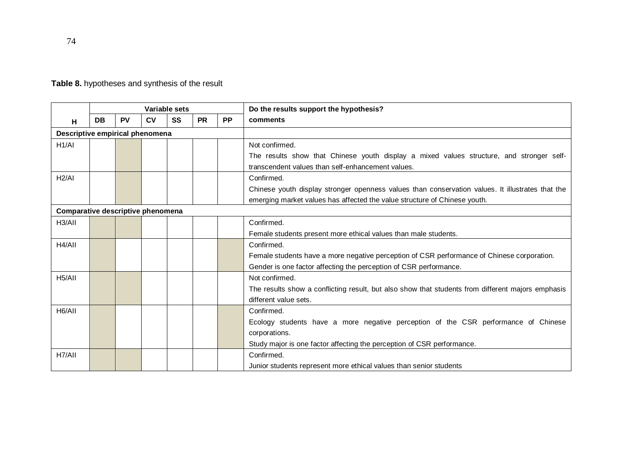| Table 8. hypotheses and synthesis of the result |  |  |
|-------------------------------------------------|--|--|
|-------------------------------------------------|--|--|

|                                   |                                 |           |    | Variable sets |           |           | Do the results support the hypothesis?                                                            |
|-----------------------------------|---------------------------------|-----------|----|---------------|-----------|-----------|---------------------------------------------------------------------------------------------------|
| н                                 | DB                              | <b>PV</b> | CV | SS            | <b>PR</b> | <b>PP</b> | comments                                                                                          |
|                                   | Descriptive empirical phenomena |           |    |               |           |           |                                                                                                   |
| H1/AI                             |                                 |           |    |               |           |           | Not confirmed.                                                                                    |
|                                   |                                 |           |    |               |           |           | The results show that Chinese youth display a mixed values structure, and stronger self-          |
|                                   |                                 |           |    |               |           |           | transcendent values than self-enhancement values.                                                 |
| H2/AI                             |                                 |           |    |               |           |           | Confirmed.                                                                                        |
|                                   |                                 |           |    |               |           |           | Chinese youth display stronger openness values than conservation values. It illustrates that the  |
|                                   |                                 |           |    |               |           |           | emerging market values has affected the value structure of Chinese youth.                         |
| Comparative descriptive phenomena |                                 |           |    |               |           |           |                                                                                                   |
| H <sub>3</sub> /AII               |                                 |           |    |               |           |           | Confirmed.                                                                                        |
|                                   |                                 |           |    |               |           |           | Female students present more ethical values than male students.                                   |
| H4/AII                            |                                 |           |    |               |           |           | Confirmed.                                                                                        |
|                                   |                                 |           |    |               |           |           | Female students have a more negative perception of CSR performance of Chinese corporation.        |
|                                   |                                 |           |    |               |           |           | Gender is one factor affecting the perception of CSR performance.                                 |
| H <sub>5</sub> /All               |                                 |           |    |               |           |           | Not confirmed.                                                                                    |
|                                   |                                 |           |    |               |           |           | The results show a conflicting result, but also show that students from different majors emphasis |
|                                   |                                 |           |    |               |           |           | different value sets.                                                                             |
| H <sub>6</sub> /All               |                                 |           |    |               |           |           | Confirmed.                                                                                        |
|                                   |                                 |           |    |               |           |           | Ecology students have a more negative perception of the CSR performance of Chinese                |
|                                   |                                 |           |    |               |           |           | corporations.                                                                                     |
|                                   |                                 |           |    |               |           |           | Study major is one factor affecting the perception of CSR performance.                            |
| H7/AII                            |                                 |           |    |               |           |           | Confirmed.                                                                                        |
|                                   |                                 |           |    |               |           |           | Junior students represent more ethical values than senior students                                |

74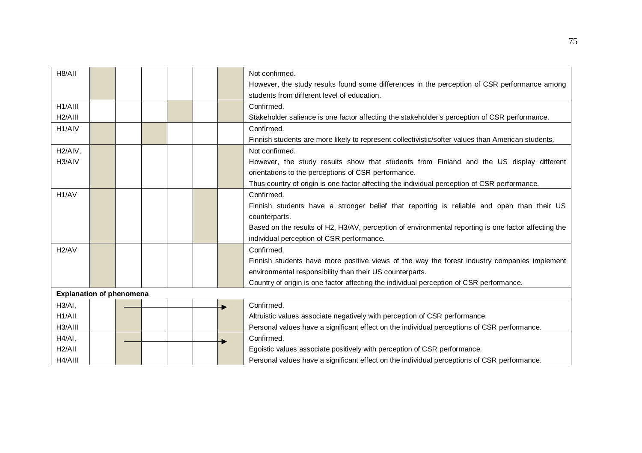| H8/AII               |                                 |  |  |  |  |  | Not confirmed.                                                                                       |  |
|----------------------|---------------------------------|--|--|--|--|--|------------------------------------------------------------------------------------------------------|--|
|                      |                                 |  |  |  |  |  | However, the study results found some differences in the perception of CSR performance among         |  |
|                      |                                 |  |  |  |  |  | students from different level of education.                                                          |  |
| H1/AIII              |                                 |  |  |  |  |  | Confirmed.                                                                                           |  |
| H <sub>2</sub> /AIII |                                 |  |  |  |  |  | Stakeholder salience is one factor affecting the stakeholder's perception of CSR performance.        |  |
| H <sub>1</sub> /AIV  |                                 |  |  |  |  |  | Confirmed.                                                                                           |  |
|                      |                                 |  |  |  |  |  | Finnish students are more likely to represent collectivistic/softer values than American students.   |  |
| H <sub>2</sub> /AIV, |                                 |  |  |  |  |  | Not confirmed.                                                                                       |  |
| H3/AIV               |                                 |  |  |  |  |  | However, the study results show that students from Finland and the US display different              |  |
|                      |                                 |  |  |  |  |  | orientations to the perceptions of CSR performance.                                                  |  |
|                      |                                 |  |  |  |  |  | Thus country of origin is one factor affecting the individual perception of CSR performance.         |  |
| H <sub>1</sub> /AV   |                                 |  |  |  |  |  | Confirmed.                                                                                           |  |
|                      |                                 |  |  |  |  |  | Finnish students have a stronger belief that reporting is reliable and open than their US            |  |
|                      |                                 |  |  |  |  |  | counterparts.                                                                                        |  |
|                      |                                 |  |  |  |  |  | Based on the results of H2, H3/AV, perception of environmental reporting is one factor affecting the |  |
|                      |                                 |  |  |  |  |  | individual perception of CSR performance.                                                            |  |
| H <sub>2</sub> /AV   |                                 |  |  |  |  |  | Confirmed.                                                                                           |  |
|                      |                                 |  |  |  |  |  | Finnish students have more positive views of the way the forest industry companies implement         |  |
|                      |                                 |  |  |  |  |  | environmental responsibility than their US counterparts.                                             |  |
|                      |                                 |  |  |  |  |  | Country of origin is one factor affecting the individual perception of CSR performance.              |  |
|                      | <b>Explanation of phenomena</b> |  |  |  |  |  |                                                                                                      |  |
| H3/AI,               |                                 |  |  |  |  |  | Confirmed.                                                                                           |  |
| H1/AlI               |                                 |  |  |  |  |  | Altruistic values associate negatively with perception of CSR performance.                           |  |
| H3/AIII              |                                 |  |  |  |  |  | Personal values have a significant effect on the individual perceptions of CSR performance.          |  |
| H4/AI,               |                                 |  |  |  |  |  | Confirmed.                                                                                           |  |
| H2/AII               |                                 |  |  |  |  |  | Egoistic values associate positively with perception of CSR performance.                             |  |
| H4/AIII              |                                 |  |  |  |  |  | Personal values have a significant effect on the individual perceptions of CSR performance.          |  |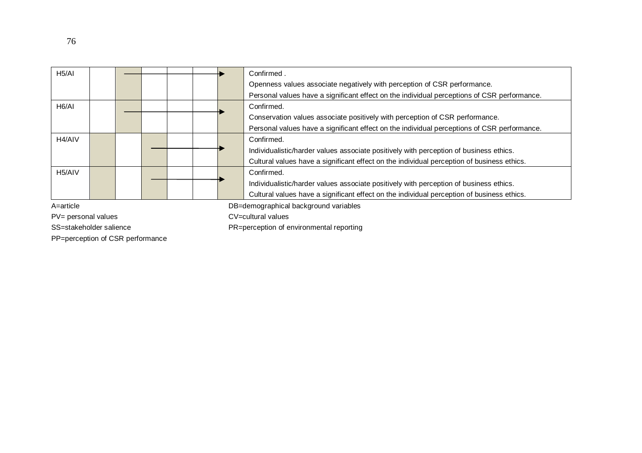| H5/AI               |                                       |  |  |  |  |  | Confirmed.                                                                                  |
|---------------------|---------------------------------------|--|--|--|--|--|---------------------------------------------------------------------------------------------|
|                     |                                       |  |  |  |  |  | Openness values associate negatively with perception of CSR performance.                    |
|                     |                                       |  |  |  |  |  | Personal values have a significant effect on the individual perceptions of CSR performance. |
| H <sub>6</sub> /AI  |                                       |  |  |  |  |  | Confirmed.                                                                                  |
|                     |                                       |  |  |  |  |  | Conservation values associate positively with perception of CSR performance.                |
|                     |                                       |  |  |  |  |  | Personal values have a significant effect on the individual perceptions of CSR performance. |
| H <sub>4</sub> /AIV |                                       |  |  |  |  |  | Confirmed.                                                                                  |
|                     |                                       |  |  |  |  |  | Individualistic/harder values associate positively with perception of business ethics.      |
|                     |                                       |  |  |  |  |  | Cultural values have a significant effect on the individual perception of business ethics.  |
| H <sub>5</sub> /AIV |                                       |  |  |  |  |  | Confirmed.                                                                                  |
|                     |                                       |  |  |  |  |  | Individualistic/harder values associate positively with perception of business ethics.      |
|                     |                                       |  |  |  |  |  | Cultural values have a significant effect on the individual perception of business ethics.  |
| A=article           | DB=demographical background variables |  |  |  |  |  |                                                                                             |

PV= personal values contract contract contract contract contract contract contract contract contract contract contract contract contract contract contract contract contract contract contract contract contract contract cont

PP=perception of CSR performance

SS=stakeholder salience example and properties PR=perception of environmental reporting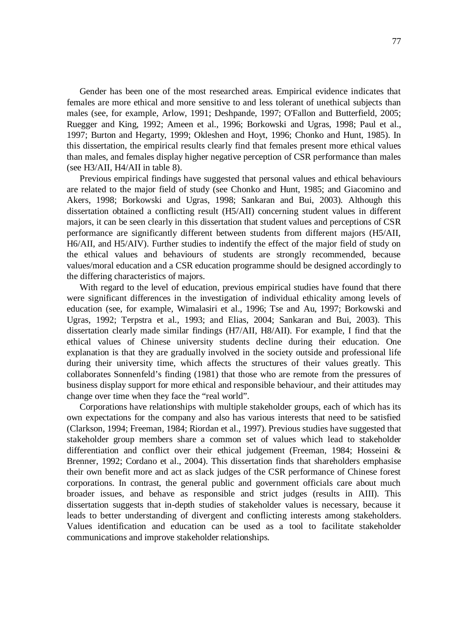Gender has been one of the most researched areas. Empirical evidence indicates that females are more ethical and more sensitive to and less tolerant of unethical subjects than males (see, for example, Arlow, 1991; Deshpande, 1997; O'Fallon and Butterfield, 2005; Ruegger and King, 1992; Ameen et al., 1996; Borkowski and Ugras, 1998; Paul et al., 1997; Burton and Hegarty, 1999; Okleshen and Hoyt, 1996; Chonko and Hunt, 1985). In this dissertation, the empirical results clearly find that females present more ethical values than males, and females display higher negative perception of CSR performance than males (see H3/AII, H4/AII in table 8).

Previous empirical findings have suggested that personal values and ethical behaviours are related to the major field of study (see Chonko and Hunt, 1985; and Giacomino and Akers, 1998; Borkowski and Ugras, 1998; Sankaran and Bui, 2003). Although this dissertation obtained a conflicting result (H5/AII) concerning student values in different majors, it can be seen clearly in this dissertation that student values and perceptions of CSR performance are significantly different between students from different majors (H5/AII, H6/AII, and H5/AIV). Further studies to indentify the effect of the major field of study on the ethical values and behaviours of students are strongly recommended, because values/moral education and a CSR education programme should be designed accordingly to the differing characteristics of majors.

With regard to the level of education, previous empirical studies have found that there were significant differences in the investigation of individual ethicality among levels of education (see, for example, Wimalasiri et al., 1996; Tse and Au, 1997; Borkowski and Ugras, 1992; Terpstra et al., 1993; and Elias, 2004; Sankaran and Bui, 2003). This dissertation clearly made similar findings (H7/AII, H8/AII). For example, I find that the ethical values of Chinese university students decline during their education. One explanation is that they are gradually involved in the society outside and professional life during their university time, which affects the structures of their values greatly. This collaborates Sonnenfeld's finding (1981) that those who are remote from the pressures of business display support for more ethical and responsible behaviour, and their attitudes may change over time when they face the "real world".

Corporations have relationships with multiple stakeholder groups, each of which has its own expectations for the company and also has various interests that need to be satisfied (Clarkson, 1994; Freeman, 1984; Riordan et al., 1997). Previous studies have suggested that stakeholder group members share a common set of values which lead to stakeholder differentiation and conflict over their ethical judgement (Freeman, 1984; Hosseini & Brenner, 1992; Cordano et al., 2004). This dissertation finds that shareholders emphasise their own benefit more and act as slack judges of the CSR performance of Chinese forest corporations. In contrast, the general public and government officials care about much broader issues, and behave as responsible and strict judges (results in AIII). This dissertation suggests that in-depth studies of stakeholder values is necessary, because it leads to better understanding of divergent and conflicting interests among stakeholders. Values identification and education can be used as a tool to facilitate stakeholder communications and improve stakeholder relationships.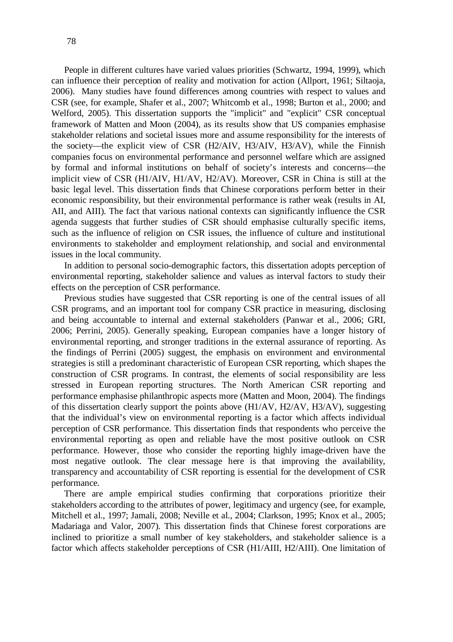People in different cultures have varied values priorities (Schwartz, 1994, 1999), which can influence their perception of reality and motivation for action (Allport, 1961; Siltaoja, 2006). Many studies have found differences among countries with respect to values and CSR (see, for example, Shafer et al., 2007; Whitcomb et al., 1998; Burton et al., 2000; and Welford, 2005). This dissertation supports the "implicit" and "explicit" CSR conceptual framework of Matten and Moon (2004), as its results show that US companies emphasise stakeholder relations and societal issues more and assume responsibility for the interests of the society—the explicit view of CSR (H2/AIV, H3/AIV, H3/AV), while the Finnish companies focus on environmental performance and personnel welfare which are assigned by formal and informal institutions on behalf of society's interests and concerns—the implicit view of CSR (H1/AIV, H1/AV, H2/AV). Moreover, CSR in China is still at the basic legal level. This dissertation finds that Chinese corporations perform better in their economic responsibility, but their environmental performance is rather weak (results in AI, AII, and AIII). The fact that various national contexts can significantly influence the CSR agenda suggests that further studies of CSR should emphasise culturally specific items, such as the influence of religion on CSR issues, the influence of culture and institutional environments to stakeholder and employment relationship, and social and environmental issues in the local community.

In addition to personal socio-demographic factors, this dissertation adopts perception of environmental reporting, stakeholder salience and values as interval factors to study their effects on the perception of CSR performance.

Previous studies have suggested that CSR reporting is one of the central issues of all CSR programs, and an important tool for company CSR practice in measuring, disclosing and being accountable to internal and external stakeholders (Panwar et al., 2006; GRI, 2006; Perrini, 2005). Generally speaking, European companies have a longer history of environmental reporting, and stronger traditions in the external assurance of reporting. As the findings of Perrini (2005) suggest, the emphasis on environment and environmental strategies is still a predominant characteristic of European CSR reporting, which shapes the construction of CSR programs. In contrast, the elements of social responsibility are less stressed in European reporting structures. The North American CSR reporting and performance emphasise philanthropic aspects more (Matten and Moon, 2004). The findings of this dissertation clearly support the points above (H1/AV, H2/AV, H3/AV), suggesting that the individual's view on environmental reporting is a factor which affects individual perception of CSR performance. This dissertation finds that respondents who perceive the environmental reporting as open and reliable have the most positive outlook on CSR performance. However, those who consider the reporting highly image-driven have the most negative outlook. The clear message here is that improving the availability, transparency and accountability of CSR reporting is essential for the development of CSR performance.

There are ample empirical studies confirming that corporations prioritize their stakeholders according to the attributes of power, legitimacy and urgency (see, for example, Mitchell et al., 1997; Jamali, 2008; Neville et al., 2004; Clarkson, 1995; Knox et al., 2005; Madariaga and Valor, 2007). This dissertation finds that Chinese forest corporations are inclined to prioritize a small number of key stakeholders, and stakeholder salience is a factor which affects stakeholder perceptions of CSR (H1/AIII, H2/AIII). One limitation of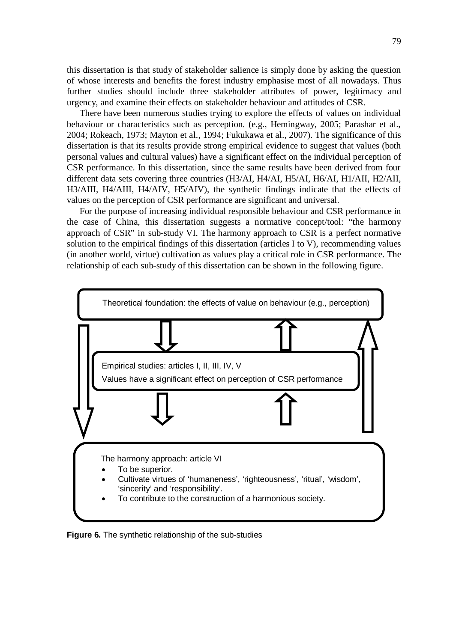this dissertation is that study of stakeholder salience is simply done by asking the question of whose interests and benefits the forest industry emphasise most of all nowadays. Thus further studies should include three stakeholder attributes of power, legitimacy and urgency, and examine their effects on stakeholder behaviour and attitudes of CSR.

There have been numerous studies trying to explore the effects of values on individual behaviour or characteristics such as perception. (e.g., Hemingway, 2005; Parashar et al., 2004; Rokeach, 1973; Mayton et al., 1994; Fukukawa et al., 2007). The significance of this dissertation is that its results provide strong empirical evidence to suggest that values (both personal values and cultural values) have a significant effect on the individual perception of CSR performance. In this dissertation, since the same results have been derived from four different data sets covering three countries (H3/AI, H4/AI, H5/AI, H6/AI, H1/AII, H2/AII, H3/AIII, H4/AIII, H4/AIV, H5/AIV), the synthetic findings indicate that the effects of values on the perception of CSR performance are significant and universal.

For the purpose of increasing individual responsible behaviour and CSR performance in the case of China, this dissertation suggests a normative concept/tool: "the harmony approach of CSR" in sub-study VI. The harmony approach to CSR is a perfect normative solution to the empirical findings of this dissertation (articles I to V), recommending values (in another world, virtue) cultivation as values play a critical role in CSR performance. The relationship of each sub-study of this dissertation can be shown in the following figure.



**Figure 6.** The synthetic relationship of the sub-studies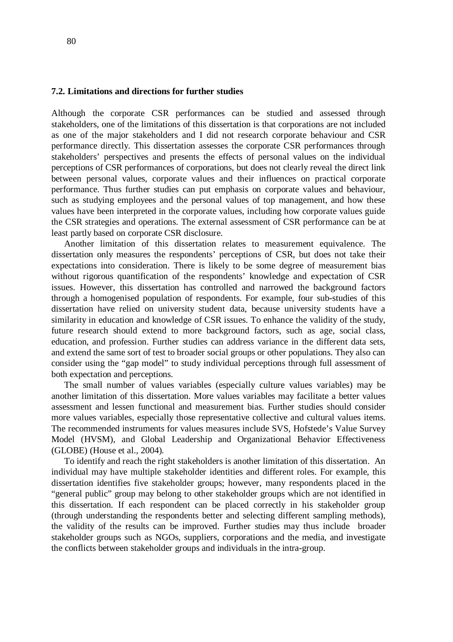#### **7.2. Limitations and directions for further studies**

Although the corporate CSR performances can be studied and assessed through stakeholders, one of the limitations of this dissertation is that corporations are not included as one of the major stakeholders and I did not research corporate behaviour and CSR performance directly. This dissertation assesses the corporate CSR performances through stakeholders' perspectives and presents the effects of personal values on the individual perceptions of CSR performances of corporations, but does not clearly reveal the direct link between personal values, corporate values and their influences on practical corporate performance. Thus further studies can put emphasis on corporate values and behaviour, such as studying employees and the personal values of top management, and how these values have been interpreted in the corporate values, including how corporate values guide the CSR strategies and operations. The external assessment of CSR performance can be at least partly based on corporate CSR disclosure.

Another limitation of this dissertation relates to measurement equivalence. The dissertation only measures the respondents' perceptions of CSR, but does not take their expectations into consideration. There is likely to be some degree of measurement bias without rigorous quantification of the respondents' knowledge and expectation of CSR issues. However, this dissertation has controlled and narrowed the background factors through a homogenised population of respondents. For example, four sub-studies of this dissertation have relied on university student data, because university students have a similarity in education and knowledge of CSR issues. To enhance the validity of the study, future research should extend to more background factors, such as age, social class, education, and profession. Further studies can address variance in the different data sets, and extend the same sort of test to broader social groups or other populations. They also can consider using the "gap model" to study individual perceptions through full assessment of both expectation and perceptions.

The small number of values variables (especially culture values variables) may be another limitation of this dissertation. More values variables may facilitate a better values assessment and lessen functional and measurement bias. Further studies should consider more values variables, especially those representative collective and cultural values items. The recommended instruments for values measures include SVS, Hofstede's Value Survey Model (HVSM), and Global Leadership and Organizational Behavior Effectiveness (GLOBE) (House et al., 2004).

To identify and reach the right stakeholders is another limitation of this dissertation. An individual may have multiple stakeholder identities and different roles. For example, this dissertation identifies five stakeholder groups; however, many respondents placed in the "general public" group may belong to other stakeholder groups which are not identified in this dissertation. If each respondent can be placed correctly in his stakeholder group (through understanding the respondents better and selecting different sampling methods), the validity of the results can be improved. Further studies may thus include broader stakeholder groups such as NGOs, suppliers, corporations and the media, and investigate the conflicts between stakeholder groups and individuals in the intra-group.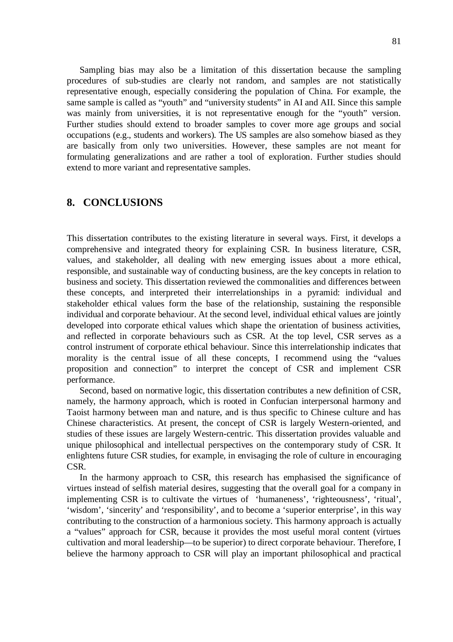Sampling bias may also be a limitation of this dissertation because the sampling procedures of sub-studies are clearly not random, and samples are not statistically representative enough, especially considering the population of China. For example, the same sample is called as "youth" and "university students" in AI and AII. Since this sample was mainly from universities, it is not representative enough for the "youth" version. Further studies should extend to broader samples to cover more age groups and social occupations (e.g., students and workers). The US samples are also somehow biased as they are basically from only two universities. However, these samples are not meant for formulating generalizations and are rather a tool of exploration. Further studies should extend to more variant and representative samples.

## **8. CONCLUSIONS**

This dissertation contributes to the existing literature in several ways. First, it develops a comprehensive and integrated theory for explaining CSR. In business literature, CSR, values, and stakeholder, all dealing with new emerging issues about a more ethical, responsible, and sustainable way of conducting business, are the key concepts in relation to business and society. This dissertation reviewed the commonalities and differences between these concepts, and interpreted their interrelationships in a pyramid: individual and stakeholder ethical values form the base of the relationship, sustaining the responsible individual and corporate behaviour. At the second level, individual ethical values are jointly developed into corporate ethical values which shape the orientation of business activities, and reflected in corporate behaviours such as CSR. At the top level, CSR serves as a control instrument of corporate ethical behaviour. Since this interrelationship indicates that morality is the central issue of all these concepts, I recommend using the "values proposition and connection" to interpret the concept of CSR and implement CSR performance.

Second, based on normative logic, this dissertation contributes a new definition of CSR, namely, the harmony approach, which is rooted in Confucian interpersonal harmony and Taoist harmony between man and nature, and is thus specific to Chinese culture and has Chinese characteristics. At present, the concept of CSR is largely Western-oriented, and studies of these issues are largely Western-centric. This dissertation provides valuable and unique philosophical and intellectual perspectives on the contemporary study of CSR. It enlightens future CSR studies, for example, in envisaging the role of culture in encouraging CSR.

In the harmony approach to CSR, this research has emphasised the significance of virtues instead of selfish material desires, suggesting that the overall goal for a company in implementing CSR is to cultivate the virtues of 'humaneness', 'righteousness', 'ritual', 'wisdom', 'sincerity' and 'responsibility', and to become a 'superior enterprise', in this way contributing to the construction of a harmonious society. This harmony approach is actually a "values" approach for CSR, because it provides the most useful moral content (virtues cultivation and moral leadership—to be superior) to direct corporate behaviour. Therefore, I believe the harmony approach to CSR will play an important philosophical and practical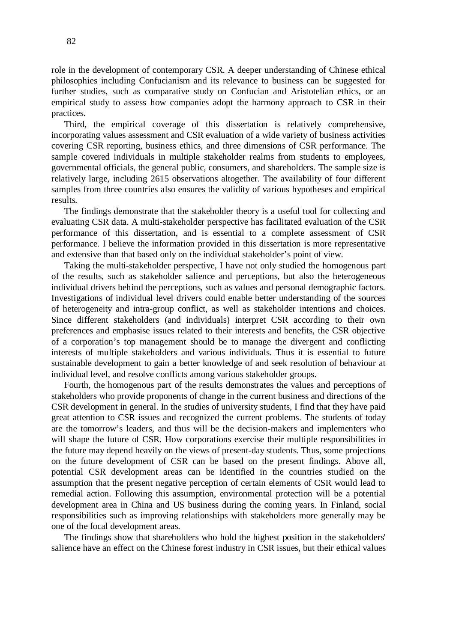role in the development of contemporary CSR. A deeper understanding of Chinese ethical philosophies including Confucianism and its relevance to business can be suggested for further studies, such as comparative study on Confucian and Aristotelian ethics, or an empirical study to assess how companies adopt the harmony approach to CSR in their practices.

Third, the empirical coverage of this dissertation is relatively comprehensive, incorporating values assessment and CSR evaluation of a wide variety of business activities covering CSR reporting, business ethics, and three dimensions of CSR performance. The sample covered individuals in multiple stakeholder realms from students to employees, governmental officials, the general public, consumers, and shareholders. The sample size is relatively large, including 2615 observations altogether. The availability of four different samples from three countries also ensures the validity of various hypotheses and empirical results.

The findings demonstrate that the stakeholder theory is a useful tool for collecting and evaluating CSR data. A multi-stakeholder perspective has facilitated evaluation of the CSR performance of this dissertation, and is essential to a complete assessment of CSR performance. I believe the information provided in this dissertation is more representative and extensive than that based only on the individual stakeholder's point of view.

Taking the multi-stakeholder perspective, I have not only studied the homogenous part of the results, such as stakeholder salience and perceptions, but also the heterogeneous individual drivers behind the perceptions, such as values and personal demographic factors. Investigations of individual level drivers could enable better understanding of the sources of heterogeneity and intra-group conflict, as well as stakeholder intentions and choices. Since different stakeholders (and individuals) interpret CSR according to their own preferences and emphasise issues related to their interests and benefits, the CSR objective of a corporation's top management should be to manage the divergent and conflicting interests of multiple stakeholders and various individuals. Thus it is essential to future sustainable development to gain a better knowledge of and seek resolution of behaviour at individual level, and resolve conflicts among various stakeholder groups.

Fourth, the homogenous part of the results demonstrates the values and perceptions of stakeholders who provide proponents of change in the current business and directions of the CSR development in general. In the studies of university students, I find that they have paid great attention to CSR issues and recognized the current problems. The students of today are the tomorrow's leaders, and thus will be the decision-makers and implementers who will shape the future of CSR. How corporations exercise their multiple responsibilities in the future may depend heavily on the views of present-day students. Thus, some projections on the future development of CSR can be based on the present findings. Above all, potential CSR development areas can be identified in the countries studied on the assumption that the present negative perception of certain elements of CSR would lead to remedial action. Following this assumption, environmental protection will be a potential development area in China and US business during the coming years. In Finland, social responsibilities such as improving relationships with stakeholders more generally may be one of the focal development areas.

The findings show that shareholders who hold the highest position in the stakeholders' salience have an effect on the Chinese forest industry in CSR issues, but their ethical values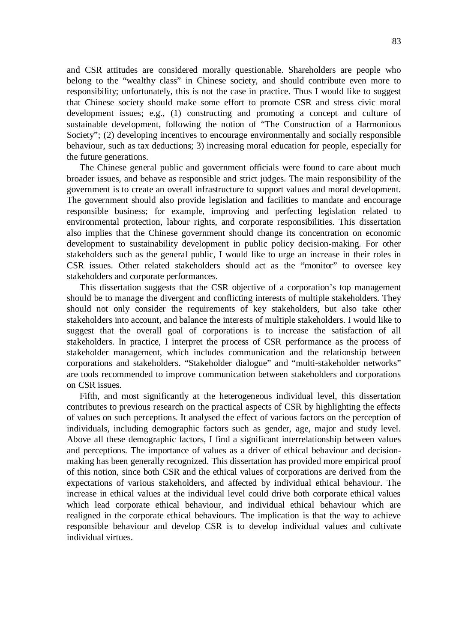and CSR attitudes are considered morally questionable. Shareholders are people who belong to the "wealthy class" in Chinese society, and should contribute even more to responsibility; unfortunately, this is not the case in practice. Thus I would like to suggest that Chinese society should make some effort to promote CSR and stress civic moral development issues; e.g., (1) constructing and promoting a concept and culture of sustainable development, following the notion of "The Construction of a Harmonious Society"; (2) developing incentives to encourage environmentally and socially responsible behaviour, such as tax deductions; 3) increasing moral education for people, especially for the future generations.

The Chinese general public and government officials were found to care about much broader issues, and behave as responsible and strict judges. The main responsibility of the government is to create an overall infrastructure to support values and moral development. The government should also provide legislation and facilities to mandate and encourage responsible business; for example, improving and perfecting legislation related to environmental protection, labour rights, and corporate responsibilities. This dissertation also implies that the Chinese government should change its concentration on economic development to sustainability development in public policy decision-making. For other stakeholders such as the general public, I would like to urge an increase in their roles in CSR issues. Other related stakeholders should act as the "monitor" to oversee key stakeholders and corporate performances.

This dissertation suggests that the CSR objective of a corporation's top management should be to manage the divergent and conflicting interests of multiple stakeholders. They should not only consider the requirements of key stakeholders, but also take other stakeholders into account, and balance the interests of multiple stakeholders. I would like to suggest that the overall goal of corporations is to increase the satisfaction of all stakeholders. In practice, I interpret the process of CSR performance as the process of stakeholder management, which includes communication and the relationship between corporations and stakeholders. "Stakeholder dialogue" and "multi-stakeholder networks" are tools recommended to improve communication between stakeholders and corporations on CSR issues.

Fifth, and most significantly at the heterogeneous individual level, this dissertation contributes to previous research on the practical aspects of CSR by highlighting the effects of values on such perceptions. It analysed the effect of various factors on the perception of individuals, including demographic factors such as gender, age, major and study level. Above all these demographic factors, I find a significant interrelationship between values and perceptions. The importance of values as a driver of ethical behaviour and decisionmaking has been generally recognized. This dissertation has provided more empirical proof of this notion, since both CSR and the ethical values of corporations are derived from the expectations of various stakeholders, and affected by individual ethical behaviour. The increase in ethical values at the individual level could drive both corporate ethical values which lead corporate ethical behaviour, and individual ethical behaviour which are realigned in the corporate ethical behaviours. The implication is that the way to achieve responsible behaviour and develop CSR is to develop individual values and cultivate individual virtues.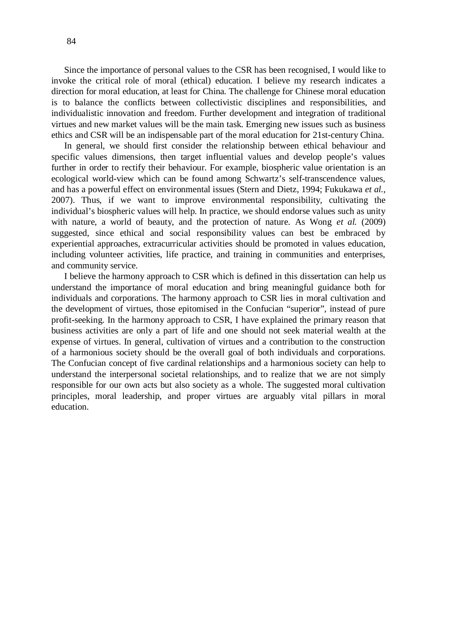Since the importance of personal values to the CSR has been recognised, I would like to invoke the critical role of moral (ethical) education. I believe my research indicates a direction for moral education, at least for China. The challenge for Chinese moral education is to balance the conflicts between collectivistic disciplines and responsibilities, and individualistic innovation and freedom. Further development and integration of traditional virtues and new market values will be the main task. Emerging new issues such as business ethics and CSR will be an indispensable part of the moral education for 21st-century China.

In general, we should first consider the relationship between ethical behaviour and specific values dimensions, then target influential values and develop people's values further in order to rectify their behaviour. For example, biospheric value orientation is an ecological world-view which can be found among Schwartz's self-transcendence values, and has a powerful effect on environmental issues (Stern and Dietz, 1994; Fukukawa *et al.*, 2007). Thus, if we want to improve environmental responsibility, cultivating the individual's biospheric values will help. In practice, we should endorse values such as unity with nature, a world of beauty, and the protection of nature. As Wong *et al.* (2009) suggested, since ethical and social responsibility values can best be embraced by experiential approaches, extracurricular activities should be promoted in values education, including volunteer activities, life practice, and training in communities and enterprises, and community service.

I believe the harmony approach to CSR which is defined in this dissertation can help us understand the importance of moral education and bring meaningful guidance both for individuals and corporations. The harmony approach to CSR lies in moral cultivation and the development of virtues, those epitomised in the Confucian "superior", instead of pure profit-seeking. In the harmony approach to CSR, I have explained the primary reason that business activities are only a part of life and one should not seek material wealth at the expense of virtues. In general, cultivation of virtues and a contribution to the construction of a harmonious society should be the overall goal of both individuals and corporations. The Confucian concept of five cardinal relationships and a harmonious society can help to understand the interpersonal societal relationships, and to realize that we are not simply responsible for our own acts but also society as a whole. The suggested moral cultivation principles, moral leadership, and proper virtues are arguably vital pillars in moral education.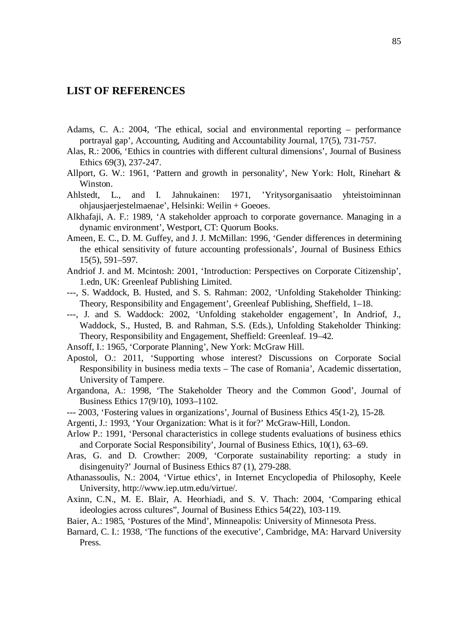## **LIST OF REFERENCES**

- Adams, C. A.: 2004, 'The ethical, social and environmental reporting performance portrayal gap', Accounting, Auditing and Accountability Journal, 17(5), 731-757.
- Alas, R.: 2006, 'Ethics in countries with different cultural dimensions', Journal of Business Ethics 69(3), 237-247.
- Allport, G. W.: 1961, 'Pattern and growth in personality', New York: Holt, Rinehart & Winston.
- Ahlstedt, L., and I. Jahnukainen: 1971, 'Yritysorganisaatio yhteistoiminnan ohjausjaerjestelmaenae', Helsinki: Weilin + Goeoes.
- Alkhafaji, A. F.: 1989, 'A stakeholder approach to corporate governance. Managing in a dynamic environment', Westport, CT: Quorum Books.
- Ameen, E. C., D. M. Guffey, and J. J. McMillan: 1996, 'Gender differences in determining the ethical sensitivity of future accounting professionals', Journal of Business Ethics 15(5), 591–597.
- Andriof J. and M. Mcintosh: 2001, 'Introduction: Perspectives on Corporate Citizenship', 1.edn, UK: Greenleaf Publishing Limited.
- ---, S. Waddock, B. Husted, and S. S. Rahman: 2002, 'Unfolding Stakeholder Thinking: Theory, Responsibility and Engagement', Greenleaf Publishing, Sheffield, 1–18.
- ---, J. and S. Waddock: 2002, 'Unfolding stakeholder engagement', In Andriof, J., Waddock, S., Husted, B. and Rahman, S.S. (Eds.), Unfolding Stakeholder Thinking: Theory, Responsibility and Engagement, Sheffield: Greenleaf. 19–42.
- Ansoff, I.: 1965, 'Corporate Planning', New York: McGraw Hill.
- Apostol, O.: 2011, 'Supporting whose interest? Discussions on Corporate Social Responsibility in business media texts – The case of Romania', Academic dissertation, University of Tampere.
- Argandona, A.: 1998, 'The Stakeholder Theory and the Common Good', Journal of Business Ethics 17(9/10), 1093–1102.
- --- 2003, 'Fostering values in organizations', Journal of Business Ethics 45(1-2), 15-28.
- Argenti, J.: 1993, 'Your Organization: What is it for?' McGraw-Hill, London.
- Arlow P.: 1991, 'Personal characteristics in college students evaluations of business ethics and Corporate Social Responsibility', Journal of Business Ethics, 10(1), 63–69.
- Aras, G. and D. Crowther: 2009, 'Corporate sustainability reporting: a study in disingenuity?' Journal of Business Ethics 87 (1), 279-288.
- Athanassoulis, N.: 2004, 'Virtue ethics', in Internet Encyclopedia of Philosophy, Keele University, http://www.iep.utm.edu/virtue/.
- Axinn, C.N., M. E. Blair, A. Heorhiadi, and S. V. Thach: 2004, 'Comparing ethical ideologies across cultures", Journal of Business Ethics 54(22), 103-119.
- Baier, A.: 1985, 'Postures of the Mind', Minneapolis: University of Minnesota Press.
- Barnard, C. I.: 1938, 'The functions of the executive', Cambridge, MA: Harvard University Press.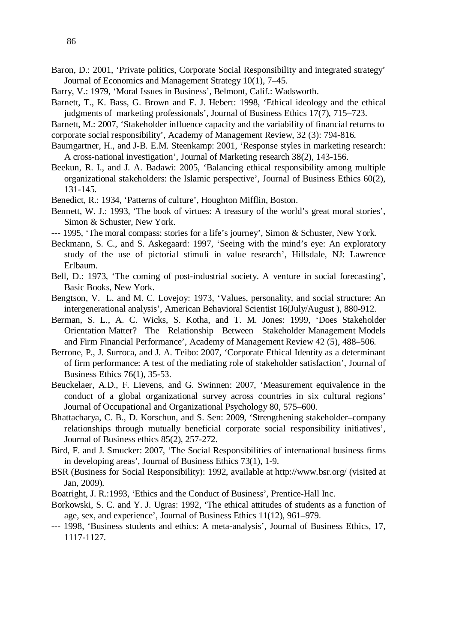- Barry, V.: 1979, 'Moral Issues in Business', Belmont, Calif.: Wadsworth.
- Barnett, T., K. Bass, G. Brown and F. J. Hebert: 1998, 'Ethical ideology and the ethical judgments of marketing professionals', Journal of Business Ethics 17(7), 715–723.

Barnett, M.: 2007, 'Stakeholder influence capacity and the variability of financial returns to corporate social responsibility', Academy of Management Review, 32 (3): 794-816.

- Baumgartner, H., and J-B. E.M. Steenkamp: 2001, 'Response styles in marketing research: A cross-national investigation', Journal of Marketing research 38(2), 143-156.
- Beekun, R. I., and J. A. Badawi: 2005, 'Balancing ethical responsibility among multiple organizational stakeholders: the Islamic perspective', Journal of Business Ethics 60(2), 131-145.
- Benedict, R.: 1934, 'Patterns of culture', Houghton Mifflin, Boston.
- Bennett, W. J.: 1993, 'The book of virtues: A treasury of the world's great moral stories', Simon & Schuster, New York.
- --- 1995, 'The moral compass: stories for a life's journey', Simon & Schuster, New York.
- Beckmann, S. C., and S. Askegaard: 1997, 'Seeing with the mind's eye: An exploratory study of the use of pictorial stimuli in value research', Hillsdale, NJ: Lawrence Erlbaum.
- Bell, D.: 1973, 'The coming of post-industrial society. A venture in social forecasting', Basic Books, New York.
- Bengtson, V. L. and M. C. Lovejoy: 1973, 'Values, personality, and social structure: An intergenerational analysis', American Behavioral Scientist 16(July/August ), 880-912.
- Berman, S. L., A. C. Wicks, S. Kotha, and T. M. Jones: 1999, 'Does Stakeholder Orientation Matter? The Relationship Between Stakeholder Management Models and Firm Financial Performance', Academy of Management Review 42 (5), 488–506.
- Berrone, P., J. Surroca, and J. A. Teibo: 2007, 'Corporate Ethical Identity as a determinant of firm performance: A test of the mediating role of stakeholder satisfaction', Journal of Business Ethics 76(1), 35-53.
- Beuckelaer, A.D., F. Lievens, and G. Swinnen: 2007, 'Measurement equivalence in the conduct of a global organizational survey across countries in six cultural regions' Journal of Occupational and Organizational Psychology 80, 575–600.
- Bhattacharya, C. B., D. Korschun, and S. Sen: 2009, 'Strengthening stakeholder–company relationships through mutually beneficial corporate social responsibility initiatives', Journal of Business ethics 85(2), 257-272.
- Bird, F. and J. Smucker: 2007, 'The Social Responsibilities of international business firms in developing areas', Journal of Business Ethics 73(1), 1-9.
- BSR (Business for Social Responsibility): 1992, available at <http://www.bsr.org/>(visited at Jan, 2009).
- Boatright, J. R.:1993, 'Ethics and the Conduct of Business', Prentice-Hall Inc.
- Borkowski, S. C. and Y. J. Ugras: 1992, 'The ethical attitudes of students as a function of age, sex, and experience', Journal of Business Ethics 11(12), 961–979.
- --- 1998, 'Business students and ethics: A meta-analysis', Journal of Business Ethics, 17, 1117-1127.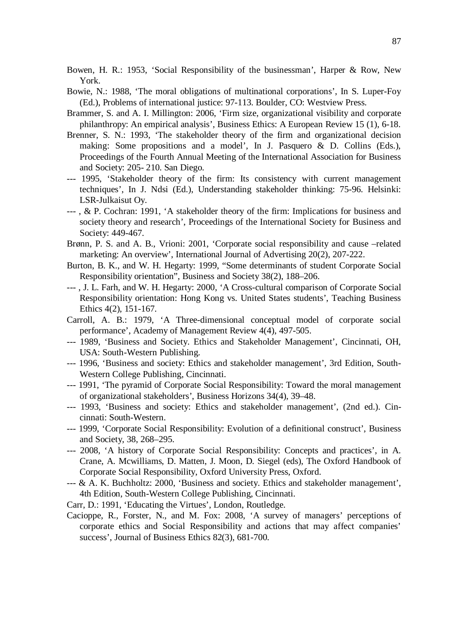[Bowen, H. R.: 1953,](http://www.sciencedirect.com/science?_ob=ArticleURL&_udi=B6W45-4NB7DRV-C&_user=949111&_coverDate=06%2F30%2F2007&_rdoc=1&_fmt=&_orig=search&_sort=d&view=c&_acct=C000049116&_version=1&_urlVersion=0&_userid=949111&md5=61b94981c86e9bc8d70554ecf2fdf1ec#bbib3%23bbib3) 'Social Responsibility of the businessman', Harper & Row, New York.

- Bowie, N.: 1988, 'The moral obligations of multinational corporations', In S. Luper-Foy (Ed.), Problems of international justice: 97-113. Boulder, CO: Westview Press.
- Brammer, S. and A. I. Millington: 2006, ['Firm size, organizational visibility and corporate](http://opus.bath.ac.uk/11868/)  [philanthropy: An empirical analysis'](http://opus.bath.ac.uk/11868/), Business Ethics: A European Review 15 (1), 6-18.
- Brenner, S. N.: 1993, 'The stakeholder theory of the firm and organizational decision making: Some propositions and a model', In J. Pasquero & D. Collins (Eds.), Proceedings of the Fourth Annual Meeting of the International Association for Business and Society: 205- 210. San Diego.
- --- 1995, 'Stakeholder theory of the firm: Its consistency with current management techniques', In J. Ndsi (Ed.), Understanding stakeholder thinking: 75-96. Helsinki: LSR-Julkaisut Oy.
- --- , & P. Cochran: 1991, 'A stakeholder theory of the firm: Implications for business and society theory and research', Proceedings of the International Society for Business and Society: 449-467.
- Brønn, P. S. and A. B., Vrioni: 2001, 'Corporate social responsibility and cause –related marketing: An overview', International Journal of Advertising 20(2), 207-222.
- Burton, B. K., and W. H. Hegarty: 1999, "Some determinants of student Corporate Social Responsibility orientation", Business and Society 38(2), 188–206.
- --- , J. L. Farh, and W. H. Hegarty: 2000, 'A Cross-cultural comparison of Corporate Social Responsibility orientation: Hong Kong vs. United States students', Teaching Business Ethics 4(2), 151-167.
- Carroll, A. B.: 1979, 'A Three-dimensional conceptual model of corporate social performance', Academy of Management Review 4(4), 497-505.
- --- 1989, 'Business and Society. Ethics and Stakeholder Management', Cincinnati, OH, USA: South-Western Publishing.
- --- 1996, 'Business and society: Ethics and stakeholder management', 3rd Edition, South-Western College Publishing, Cincinnati.
- --- 1991, 'The pyramid of Corporate Social Responsibility: Toward the moral management of organizational stakeholders', Business Horizons 34(4), 39–48.
- --- 1993, 'Business and society: Ethics and stakeholder management', (2nd ed.). Cincinnati: South-Western.
- --- 1999, 'Corporate Social Responsibility: Evolution of a definitional construct', Business and Society, 38, 268–295.
- --- 2008, 'A history of Corporate Social Responsibility: Concepts and practices', in A. Crane, A. Mcwilliams, D. Matten, J. Moon, D. Siegel (eds), The Oxford Handbook of Corporate Social Responsibility, Oxford University Press, Oxford.
- $-$ - $\&$  A. K. Buchholtz: 2000, 'Business and society. Ethics and stakeholder management', 4th Edition, South-Western College Publishing, Cincinnati.

Carr, D.: 1991, 'Educating the Virtues', London, Routledge.

Cacioppe, R., Forster, N., and M. Fox: 2008, 'A survey of managers' perceptions of corporate ethics and Social Responsibility and actions that may affect companies' success', Journal of Business Ethics 82(3), 681-700.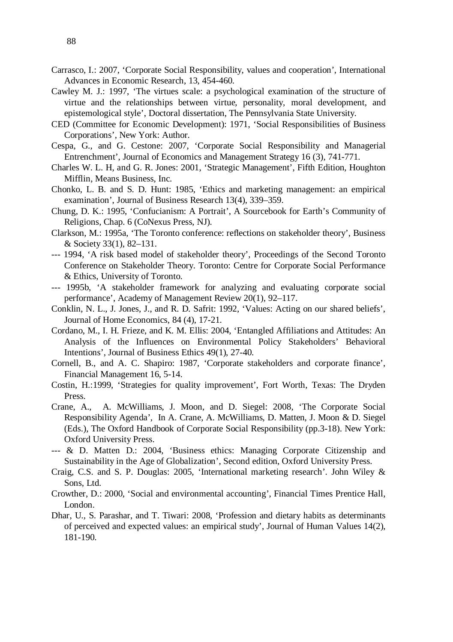- Cawley M. J.: 1997, 'The virtues scale: a psychological examination of the structure of virtue and the relationships between virtue, personality, moral development, and epistemological style', Doctoral dissertation, The Pennsylvania State University.
- CED (Committee for Economic Development): 1971, 'Social Responsibilities of Business Corporations', New York: Author.
- Cespa, G., and G. Cestone: 2007, 'Corporate Social Responsibility and Managerial Entrenchment', Journal of Economics and Management Strategy 16 (3), 741-771.
- Charles W. L. H, and G. R. Jones: 2001, 'Strategic Management', Fifth Edition, Houghton Mifflin, Means Business, Inc.
- Chonko, L. B. and S. D. Hunt: 1985, 'Ethics and marketing management: an empirical examination', Journal of Business Research 13(4), 339–359.
- Chung, D. K.: 1995, 'Confucianism: A Portrait', A Sourcebook for Earth's Community of Religions, Chap. 6 (CoNexus Press, NJ).
- Clarkson, M.: 1995a, 'The Toronto conference: reflections on stakeholder theory', Business & Society 33(1), 82–131.
- --- 1994, 'A risk based model of stakeholder theory', Proceedings of the Second Toronto Conference on Stakeholder Theory. Toronto: Centre for Corporate Social Performance & Ethics, University of Toronto.
- --- 1995b, 'A stakeholder framework for analyzing and evaluating corporate social performance', Academy of Management Review 20(1), 92–117.
- Conklin, N. L., J. Jones, J., and R. D. Safrit: 1992, 'Values: Acting on our shared beliefs', Journal of Home Economics, 84 (4), 17-21.
- Cordano, M., I. H. Frieze, and K. M. Ellis: 2004, 'Entangled Affiliations and Attitudes: An Analysis of the Influences on Environmental Policy Stakeholders' Behavioral Intentions', Journal of Business Ethics 49(1), 27-40.
- Cornell, B., and A. C. Shapiro: 1987, 'Corporate stakeholders and corporate finance', Financial Management 16, 5-14.
- Costin, H.:1999, 'Strategies for quality improvement', Fort Worth, Texas: The Dryden Press.
- Crane, A., A. McWilliams, J. Moon, and D. Siegel: 2008, 'The Corporate Social Responsibility Agenda', In A. Crane, A. McWilliams, D. Matten, J. Moon & D. Siegel (Eds.), The Oxford Handbook of Corporate Social Responsibility (pp.3-18). New York: Oxford University Press.
- --- & D. Matten D.: 2004, 'Business ethics: Managing Corporate Citizenship and Sustainability in the Age of Globalization', Second edition, Oxford University Press.
- Craig, C.S. and S. P. Douglas: 2005, 'International marketing research'. John Wiley & Sons, Ltd.
- Crowther, D.: 2000, 'Social and environmental accounting', Financial Times Prentice Hall, London.
- Dhar, U., S. Parashar, and T. Tiwari: 2008, 'Profession and dietary habits as determinants of perceived and expected values: an empirical study', Journal of Human Values 14(2), 181-190.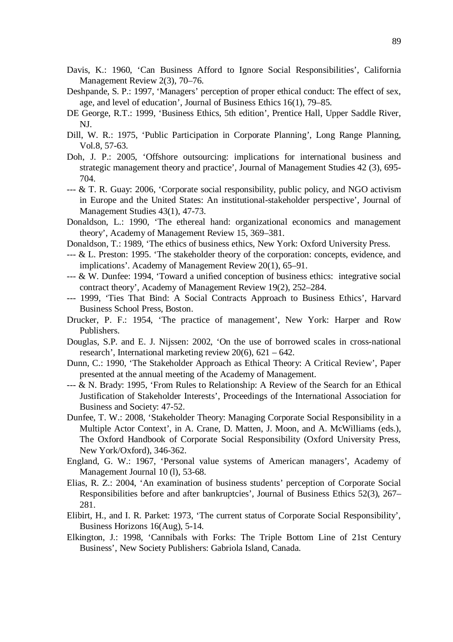- Davis, K.: 1960, 'Can Business Afford to Ignore Social Responsibilities', California Management Review 2(3), 70–76.
- Deshpande, S. P.: 1997, 'Managers' perception of proper ethical conduct: The effect of sex, age, and level of education', Journal of Business Ethics 16(1), 79–85.
- DE George, R.T.: 1999, 'Business Ethics, 5th edition', Prentice Hall, Upper Saddle River, NJ.
- Dill, W. R.: 1975, 'Public Participation in Corporate Planning', Long Range Planning, Vol.8, 57-63.
- Doh, J. P.: 2005, 'Offshore outsourcing: implications for international business and strategic management theory and practice', Journal of Management Studies 42 (3), 695- 704.
- --- & T. R. Guay: 2006, 'Corporate social responsibility, public policy, and NGO activism in Europe and the United States: An institutional-stakeholder perspective', Journal of Management Studies 43(1), 47-73.
- Donaldson, L.: 1990, 'The ethereal hand: organizational economics and management theory', Academy of Management Review 15, 369–381.
- Donaldson, T.: 1989, 'The ethics of business ethics, New York: Oxford University Press.
- --- & L. Preston: 1995. 'The stakeholder theory of the corporation: concepts, evidence, and implications'. Academy of Management Review 20(1), 65–91.
- $--$  & W. Dunfee: 1994, 'Toward a unified conception of business ethics: integrative social contract theory', Academy of Management Review 19(2), 252–284.
- --- 1999, 'Ties That Bind: A Social Contracts Approach to Business Ethics', Harvard Business School Press, Boston.
- Drucker, P. F.: 1954, 'The practice of management', New York: Harper and Row Publishers.
- Douglas, S.P. and E. J. Nijssen: 2002, 'On the use of borrowed scales in cross-national research', International marketing review 20(6), 621 – 642.
- Dunn, C.: 1990, 'The Stakeholder Approach as Ethical Theory: A Critical Review', Paper presented at the annual meeting of the Academy of Management.
- --- & N. Brady: 1995, 'From Rules to Relationship: A Review of the Search for an Ethical Justification of Stakeholder Interests', Proceedings of the International Association for Business and Society: 47-52.
- Dunfee, T. W.: 2008, 'Stakeholder Theory: Managing Corporate Social Responsibility in a Multiple Actor Context', in A. Crane, D. Matten, J. Moon, and A. McWilliams (eds.), The Oxford Handbook of Corporate Social Responsibility (Oxford University Press, New York/Oxford), 346-362.
- England, G. W.: 1967, 'Personal value systems of American managers', Academy of Management Journal 10 (1), 53-68.
- Elias, R. Z.: 2004, 'An examination of business students' perception of Corporate Social Responsibilities before and after bankruptcies', Journal of Business Ethics 52(3), 267– 281.
- Elibirt, H., and I. R. Parket: 1973, 'The current status of Corporate Social Responsibility', Business Horizons 16(Aug), 5-14.
- Elkington, J.: 1998, 'Cannibals with Forks: The Triple Bottom Line of 21st Century Business', New Society Publishers: Gabriola Island, Canada.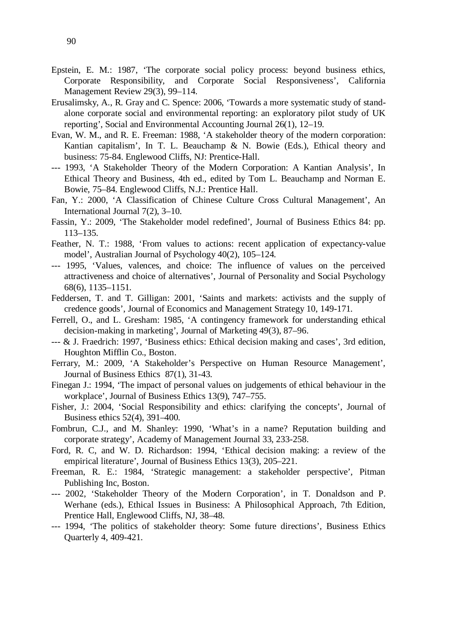- Epstein, E. M.: 1987, 'The corporate social policy process: beyond business ethics, Corporate Responsibility, and Corporate Social Responsiveness', California Management Review 29(3), 99–114.
- Erusalimsky, A., R. Gray and C. Spence: 2006, 'Towards a more systematic study of standalone corporate social and environmental reporting: an exploratory pilot study of UK reporting', Social and Environmental Accounting Journal 26(1), 12–19.
- Evan, W. M., and R. E. Freeman: 1988, 'A stakeholder theory of the modern corporation: Kantian capitalism', In T. L. Beauchamp & N. Bowie (Eds.), Ethical theory and business: 75-84. Englewood Cliffs, NJ: Prentice-Hall.
- --- 1993, 'A Stakeholder Theory of the Modern Corporation: A Kantian Analysis', In Ethical Theory and Business, 4th ed., edited by Tom L. Beauchamp and Norman E. Bowie, 75–84. Englewood Cliffs, N.J.: Prentice Hall.
- Fan, Y.: 2000, 'A Classification of Chinese Culture Cross Cultural Management', An International Journal 7(2), 3–10.
- Fassin, Y.: 2009, 'The Stakeholder model redefined', Journal of Business Ethics 84: pp. 113–135.
- Feather, N. T.: 1988, 'From values to actions: recent application of expectancy-value model', Australian Journal of Psychology 40(2), 105–124.
- --- 1995, 'Values, valences, and choice: The influence of values on the perceived attractiveness and choice of alternatives', Journal of Personality and Social Psychology 68(6), 1135–1151.
- Feddersen, T. and T. Gilligan: 2001, 'Saints and markets: activists and the supply of credence goods', Journal of Economics and Management Strategy 10, 149-171.
- Ferrell, O., and L. Gresham: 1985, 'A contingency framework for understanding ethical decision-making in marketing', Journal of Marketing 49(3), 87–96.
- --- & J. Fraedrich: 1997, 'Business ethics: Ethical decision making and cases', 3rd edition, Houghton Mifflin Co., Boston.
- Ferrary, M.: 2009, 'A Stakeholder's Perspective on Human Resource Management', Journal of Business Ethics 87(1), 31-43.
- Finegan J.: 1994, 'The impact of personal values on judgements of ethical behaviour in the workplace', Journal of Business Ethics 13(9), 747–755.
- Fisher, J.: 2004, 'Social Responsibility and ethics: clarifying the concepts', Journal of Business ethics 52(4), 391–400.
- Fombrun, C.J., and M. Shanley: 1990, 'What's in a name? Reputation building and corporate strategy', Academy of Management Journal 33, 233-258.
- Ford, R. C, and W. D. Richardson: 1994, 'Ethical decision making: a review of the empirical literature', Journal of Business Ethics 13(3), 205–221.
- Freeman, R. E.: 1984, 'Strategic management: a stakeholder perspective', Pitman Publishing Inc, Boston.
- --- 2002, 'Stakeholder Theory of the Modern Corporation', in T. Donaldson and P. Werhane (eds.), Ethical Issues in Business: A Philosophical Approach, 7th Edition, Prentice Hall, Englewood Cliffs, NJ, 38–48.
- --- 1994, 'The politics of stakeholder theory: Some future directions', Business Ethics Quarterly 4, 409-421.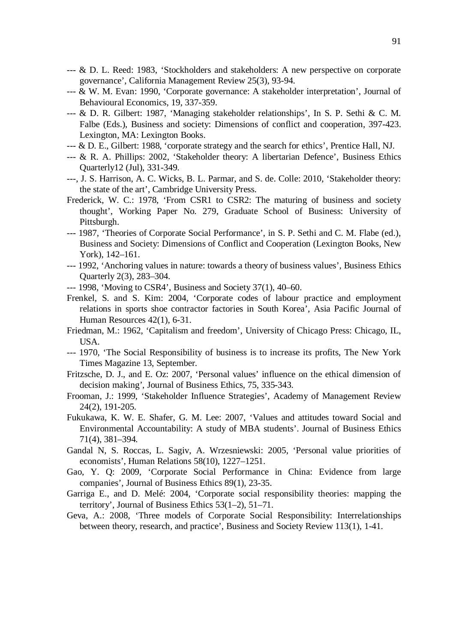- $-$ -- $\&$  D. L. Reed: 1983, 'Stockholders and stakeholders: A new perspective on corporate governance', California Management Review 25(3), 93-94.
- --- & W. M. Evan: 1990, 'Corporate governance: A stakeholder interpretation', Journal of Behavioural Economics, 19, 337-359.
- --- & D. R. Gilbert: 1987, 'Managing stakeholder relationships', In S. P. Sethi & C. M. Falbe (Eds.), Business and society: Dimensions of conflict and cooperation, 397-423. Lexington, MA: Lexington Books.
- --- & D. E., Gilbert: 1988, 'corporate strategy and the search for ethics', Prentice Hall, NJ.
- --- & R. A. Phillips: 2002, 'Stakeholder theory: A libertarian Defence', Business Ethics Quarterly12 (Jul), 331-349.
- ---, J. S. Harrison, A. C. Wicks, B. L. Parmar, and S. de. Colle: 2010, 'Stakeholder theory: the state of the art', Cambridge University Press.
- Frederick, W. C.: 1978, 'From CSR1 to CSR2: The maturing of business and society thought', Working Paper No. 279, Graduate School of Business: University of Pittsburgh.
- --- 1987, 'Theories of Corporate Social Performance', in S. P. Sethi and C. M. Flabe (ed.), Business and Society: Dimensions of Conflict and Cooperation (Lexington Books, New York), 142–161.
- --- 1992, 'Anchoring values in nature: towards a theory of business values', Business Ethics Quarterly 2(3), 283–304.
- --- 1998, 'Moving to CSR4', Business and Society 37(1), 40–60.
- Frenkel, S. and S. Kim: 2004, 'Corporate codes of labour practice and employment relations in sports shoe contractor factories in South Korea', Asia Pacific Journal of Human Resources 42(1), 6-31.
- Friedman, M.: 1962, 'Capitalism and freedom', University of Chicago Press: Chicago, IL, USA.
- --- 1970, 'The Social Responsibility of business is to increase its profits, The New York Times Magazine 13, September.
- Fritzsche, D. J., and E. Oz: 2007, 'Personal values' influence on the ethical dimension of decision making', Journal of Business Ethics, 75, 335-343.
- Frooman, J.: 1999, 'Stakeholder Influence Strategies', Academy of Management Review 24(2), 191-205.
- Fukukawa, K. W. E. Shafer, G. M. Lee: 2007, 'Values and attitudes toward Social and Environmental Accountability: A study of MBA students'. Journal of Business Ethics 71(4), 381–394.
- Gandal N, S. Roccas, L. Sagiv, A. Wrzesniewski: 2005, 'Personal value priorities of economists', Human Relations 58(10), 1227–1251.
- Gao, Y. Q: 2009, 'Corporate Social Performance in China: Evidence from large companies', Journal of Business Ethics 89(1), 23-35.
- Garriga E., and D. Melé: 2004, 'Corporate social responsibility theories: mapping the territory', Journal of Business Ethics 53(1–2), 51–71.
- Geva, A.: 2008, 'Three models of Corporate Social Responsibility: Interrelationships between theory, research, and practice', Business and Society Review 113(1), 1-41.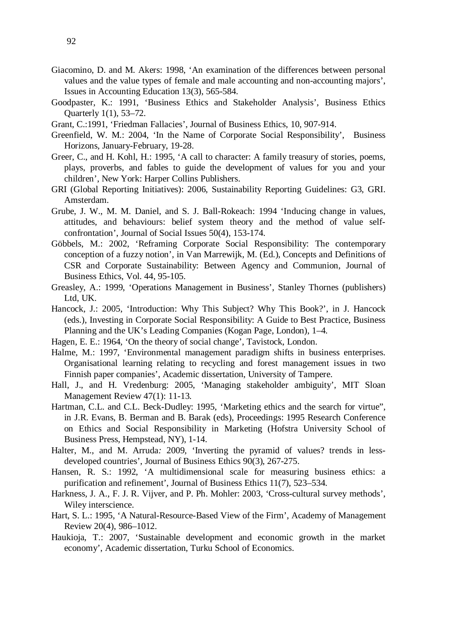- Giacomino, D. and M. Akers: 1998, 'An examination of the differences between personal values and the value types of female and male accounting and non-accounting majors', Issues in Accounting Education 13(3), 565-584.
- Goodpaster, K.: 1991, 'Business Ethics and Stakeholder Analysis', Business Ethics Quarterly 1(1), 53–72.
- Grant, C.:1991, 'Friedman Fallacies', Journal of Business Ethics, 10, 907-914.
- Greenfield, W. M.: 2004, 'In the Name of Corporate Social Responsibility', Business Horizons, January-February, 19-28.
- Greer, C., and H. Kohl, H.: 1995, 'A call to character: A family treasury of stories, poems, plays, proverbs, and fables to guide the development of values for you and your children', New York: Harper Collins Publishers.
- GRI (Global Reporting Initiatives): 2006, Sustainability Reporting Guidelines: G3, GRI. Amsterdam.
- Grube, J. W., M. M. Daniel, and S. J. Ball-Rokeach: 1994 'Inducing change in values, attitudes, and behaviours: belief system theory and the method of value selfconfrontation', Journal of Social Issues 50(4), 153-174.
- Göbbels, M.: 2002, 'Reframing Corporate Social Responsibility: The contemporary conception of a fuzzy notion', in Van Marrewijk, M. (Ed.), Concepts and Definitions of CSR and Corporate Sustainability: Between Agency and Communion, Journal of Business Ethics, Vol. 44, 95-105.
- Greasley, A.: 1999, 'Operations Management in Business', Stanley Thornes (publishers) Ltd, UK.
- Hancock, J.: 2005, 'Introduction: Why This Subject? Why This Book?', in J. Hancock (eds.), Investing in Corporate Social Responsibility: A Guide to Best Practice, Business Planning and the UK's Leading Companies (Kogan Page, London), 1–4.
- Hagen, E. E.: 1964, 'On the theory of social change', Tavistock, London.
- Halme, M.: 1997, 'Environmental management paradigm shifts in business enterprises. Organisational learning relating to recycling and forest management issues in two Finnish paper companies', Academic dissertation, University of Tampere.
- Hall, J., and H. Vredenburg: 2005, 'Managing stakeholder ambiguity', MIT Sloan Management Review 47(1): 11-13.
- Hartman, C.L. and C.L. Beck-Dudley: 1995, 'Marketing ethics and the search for virtue", in J.R. Evans, B. Berman and B. Barak (eds), Proceedings: 1995 Research Conference on Ethics and Social Responsibility in Marketing (Hofstra University School of Business Press, Hempstead, NY), 1-14.
- Halter, M., and M. Arruda*:* 2009*,* 'Inverting the pyramid of values? trends in lessdeveloped countries', Journal of Business Ethics 90(3), 267-275.
- Hansen, R. S.: 1992, 'A multidimensional scale for measuring business ethics: a purification and refinement', Journal of Business Ethics 11(7), 523–534.
- Harkness, J. A., F. J. R. Vijver, and P. Ph. Mohler: 2003, 'Cross-cultural survey methods', Wiley interscience.
- Hart, S. L.: 1995, 'A Natural-Resource-Based View of the Firm', Academy of Management Review 20(4), 986–1012.
- Haukioja, T.: 2007, 'Sustainable development and economic growth in the market economy', Academic dissertation, Turku School of Economics.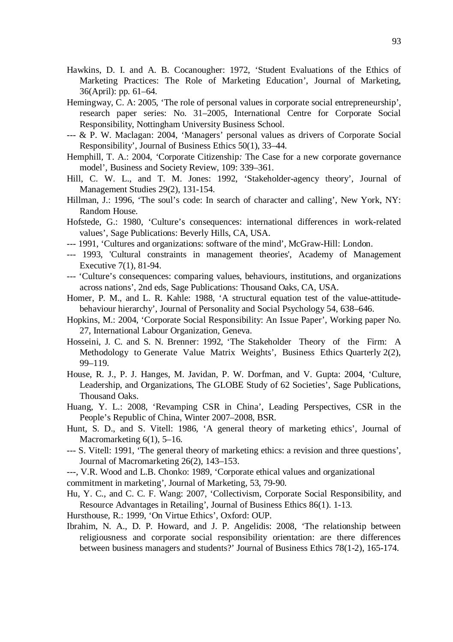- Hawkins, D. I. and A. B. Cocanougher: 1972, 'Student Evaluations of the Ethics of Marketing Practices: The Role of Marketing Education', Journal of Marketing, 36(April): pp. 61–64.
- Hemingway, C. A: 2005, 'The role of personal values in corporate social entrepreneurship', research paper series: No. 31–2005, International Centre for Corporate Social Responsibility, Nottingham University Business School.
- --- & P. W. Maclagan: 2004, 'Managers' personal values as drivers of Corporate Social Responsibility', Journal of Business Ethics 50(1), 33–44.
- Hemphill*,* T. A.: 2004*, '*Corporate Citizenship*:* The Case for a new corporate governance model', Business and Society Review, 109: 339–361.
- Hill, C. W. L., and T. M. Jones: 1992, 'Stakeholder-agency theory', Journal of Management Studies 29(2), 131-154.
- Hillman, J.: 1996, 'The soul's code: In search of character and calling', New York, NY: Random House.
- Hofstede, G.: 1980, 'Culture's consequences: international differences in work-related values', Sage Publications: Beverly Hills, CA, USA.
- --- 1991, 'Cultures and organizations: software of the mind', McGraw-Hill: London.
- --- 1993, 'Cultural constraints in management theories', Academy of Management Executive 7(1), 81-94.
- --- 'Culture's consequences: comparing values, behaviours, institutions, and organizations across nations', 2nd eds, Sage Publications: Thousand Oaks, CA, USA.
- Homer, P. M., and L. R. Kahle: 1988, 'A structural equation test of the value-attitudebehaviour hierarchy', Journal of Personality and Social Psychology 54, 638–646.
- Hopkins, M.: 2004, 'Corporate Social Responsibility: An Issue Paper', Working paper No. 27, International Labour Organization, Geneva.
- Hosseini, J. C. and S. N. Brenner: 1992, 'The Stakeholder Theory of the Firm: A Methodology to Generate Value Matrix Weights', Business Ethics Quarterly 2(2), 99–119.
- House, R. J., P. J. Hanges, M. Javidan, P. W. Dorfman, and V. Gupta: 2004, 'Culture, Leadership, and Organizations, The GLOBE Study of 62 Societies', Sage Publications, Thousand Oaks.
- Huang, Y. L.: 2008, 'Revamping CSR in China', Leading Perspectives, CSR in the People's Republic of China, Winter 2007–2008, BSR.
- Hunt, S. D., and S. Vitell: 1986, 'A general theory of marketing ethics', Journal of Macromarketing 6(1), 5–16.
- --- S. Vitell: 1991, 'The general theory of marketing ethics: a revision and three questions', Journal of Macromarketing 26(2), 143–153.
- ---, V.R. Wood and L.B. Chonko: 1989, 'Corporate ethical values and organizational
- commitment in marketing', Journal of Marketing, 53, 79-90.
- Hu, Y. C., and C. C. F. Wang: 2007, 'Collectivism, Corporate Social Responsibility, and Resource Advantages in Retailing', Journal of Business Ethics 86(1). 1-13.
- Hursthouse, R.: 1999, 'On Virtue Ethics', Oxford: OUP.
- Ibrahim, N. A., D. P. Howard, and J. P. Angelidis: 2008, 'The relationship between religiousness and corporate social responsibility orientation: are there differences between business managers and students?' Journal of Business Ethics 78(1-2), 165-174.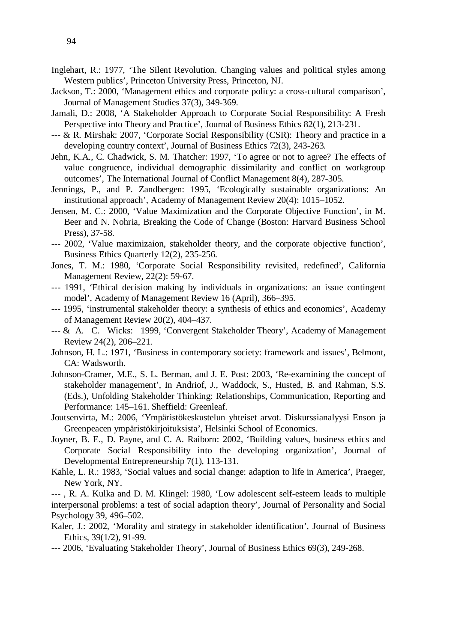- Inglehart, R.: 1977, 'The Silent Revolution. Changing values and political styles among Western publics', Princeton University Press, Princeton, NJ.
- Jackson, T.: 2000, 'Management ethics and corporate policy: a cross-cultural comparison', Journal of Management Studies 37(3), 349-369.
- Jamali, D.: 2008, 'A Stakeholder Approach to Corporate Social Responsibility: A Fresh Perspective into Theory and Practice', Journal of Business Ethics 82(1), 213-231.
- --- & R. Mirshak: 2007, 'Corporate Social Responsibility (CSR): Theory and practice in a developing country context', Journal of Business Ethics 72(3), 243-263.
- Jehn, K.A., C. Chadwick, S. M. Thatcher: 1997, 'To agree or not to agree? The effects of value congruence, individual demographic dissimilarity and conflict on workgroup outcomes', The International Journal of Conflict Management 8(4), 287-305.
- Jennings, P., and P. Zandbergen: 1995, 'Ecologically sustainable organizations: An institutional approach', Academy of Management Review 20(4): 1015–1052.
- Jensen, M. C.: 2000, 'Value Maximization and the Corporate Objective Function', in M. Beer and N. Nohria, Breaking the Code of Change (Boston: Harvard Business School Press), 37-58.
- --- 2002, 'Value maximizaion, stakeholder theory, and the corporate objective function', Business Ethics Quarterly 12(2), 235-256.
- Jones, T. M.: 1980, 'Corporate Social Responsibility revisited, redefined', California Management Review, 22(2): 59-67.
- --- 1991, 'Ethical decision making by individuals in organizations: an issue contingent model', Academy of Management Review 16 (April), 366–395.
- --- 1995, 'instrumental stakeholder theory: a synthesis of ethics and economics', Academy of Management Review 20(2), 404–437.
- --- & A. C. Wicks: 1999, 'Convergent Stakeholder Theory', Academy of Management Review 24(2), 206–221.
- Johnson, H. L.: 1971, 'Business in contemporary society: framework and issues', Belmont, CA: Wadsworth.
- Johnson-Cramer, M.E., S. L. Berman, and J. E. Post: 2003, 'Re-examining the concept of stakeholder management', In Andriof, J., Waddock, S., Husted, B. and Rahman, S.S. (Eds.), Unfolding Stakeholder Thinking: Relationships, Communication, Reporting and Performance: 145–161. Sheffield: Greenleaf.
- Joutsenvirta, M.: 2006, 'Ympäristökeskustelun yhteiset arvot. Diskurssianalyysi Enson ja Greenpeacen ympäristökirjoituksista', Helsinki School of Economics.
- [Joyner, B. E.](http://findarticles.com/p/search?tb=art&qa=Joyner%2C+Brenda+E), D. [Payne,](http://findarticles.com/p/search?tb=art&qa=Payne%2C+Dinah) and C. A. [Raiborn:](http://findarticles.com/p/search?tb=art&qa=Raiborn%2C+Cecily+A) 2002, 'Building values, business ethics and Corporate Social Responsibility into the developing organization', [Journal of](http://findarticles.com/p/articles/mi_qa3906)  [Developmental Entrepreneurship](http://findarticles.com/p/articles/mi_qa3906) 7(1), 113-131.
- Kahle, L. R.: 1983, 'Social values and social change: adaption to life in America', Praeger, New York, NY.
- --- , R. A. Kulka and D. M. Klingel: 1980, 'Low adolescent self-esteem leads to multiple interpersonal problems: a test of social adaption theory', Journal of Personality and Social Psychology 39, 496–502.
- Kaler, J.: 2002, 'Morality and strategy in stakeholder identification', Journal of Business Ethics, 39(1/2), 91-99.
- --- 2006, 'Evaluating Stakeholder Theory', Journal of Business Ethics 69(3), 249-268.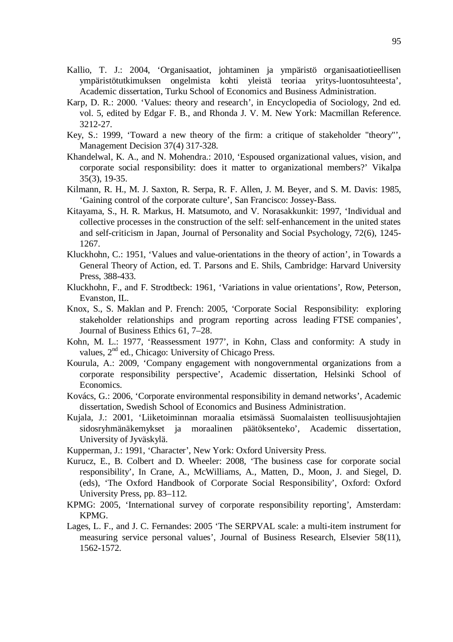- Kallio, T. J.: 2004, 'Organisaatiot, johtaminen ja ympäristö organisaatiotieellisen ympäristötutkimuksen ongelmista kohti yleistä teoriaa yritys-luontosuhteesta', Academic dissertation, Turku School of Economics and Business Administration.
- Karp, D. R.: 2000. 'Values: theory and research', in Encyclopedia of Sociology, 2nd ed. vol. 5, edited by Edgar F. B., and Rhonda J. V. M. New York: Macmillan Reference. 3212-27.
- Key, S.: 1999, 'Toward a new theory of the firm: a critique of stakeholder "theory"', Management Decision 37(4) 317-328.
- Khandelwal, K. A., and N. Mohendra.: 2010, 'Espoused organizational values, vision, and corporate social responsibility: does it matter to organizational members?' Vikalpa 35(3), 19-35.
- Kilmann, R. H., M. J. Saxton, R. Serpa, R. F. Allen, J. M. Beyer, and S. M. Davis: 1985, 'Gaining control of the corporate culture', San Francisco: Jossey-Bass.
- Kitayama, S., H. R. Markus, H. Matsumoto, and V. Norasakkunkit: 1997, 'Individual and collective processes in the construction of the self: self-enhancement in the united states and self-criticism in Japan, Journal of Personality and Social Psychology, 72(6), 1245- 1267.
- Kluckhohn, C.: 1951, 'Values and value-orientations in the theory of action', in Towards a General Theory of Action, ed. T. Parsons and E. Shils, Cambridge: Harvard University Press, 388-433.
- Kluckhohn, F., and F. Strodtbeck: 1961, 'Variations in value orientations', Row, Peterson, Evanston, IL.
- Knox, S., S. Maklan and P. French: 2005, 'Corporate Social Responsibility: exploring stakeholder relationships and program reporting across leading FTSE companies', Journal of Business Ethics 61, 7–28.
- Kohn, M. L.: 1977, 'Reassessment 1977', in Kohn, Class and conformity: A study in values, 2<sup>nd</sup> ed., Chicago: University of Chicago Press.
- Kourula, A.: 2009, 'Company engagement with nongovernmental organizations from a corporate responsibility perspective', Academic dissertation, Helsinki School of Economics.
- Kovács, G.: 2006, 'Corporate environmental responsibility in demand networks', Academic dissertation, Swedish School of Economics and Business Administration.
- Kujala, J.: 2001, 'Liiketoiminnan moraalia etsimässä Suomalaisten teollisuusjohtajien sidosryhmänäkemykset ja moraalinen päätöksenteko', Academic dissertation, University of Jyväskylä.
- Kupperman, J.: 1991, 'Character', New York: Oxford University Press.
- Kurucz, E., B. Colbert and D. Wheeler: 2008, 'The business case for corporate social responsibility', In Crane, A., McWilliams, A., Matten, D., Moon, J. and Siegel, D. (eds), 'The Oxford Handbook of Corporate Social Responsibility', Oxford: Oxford University Press, pp. 83–112.
- KPMG: 2005, 'International survey of corporate responsibility reporting', Amsterdam: KPMG.
- Lages, L. F., and J. C. Fernandes: 2005 '[The SERPVAL scale: a multi-item instrument for](http://ideas.repec.org/a/eee/jbrese/v58y2005i11p1562-1572.html)  [measuring service personal values'](http://ideas.repec.org/a/eee/jbrese/v58y2005i11p1562-1572.html), [Journal of Business Research,](http://ideas.repec.org/s/eee/jbrese.html) Elsevier 58(11), 1562-1572.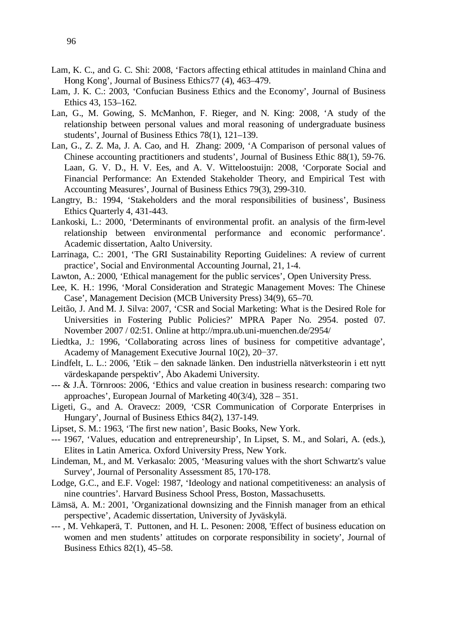- Lam, K. C., and G. C. Shi: 2008, 'Factors affecting ethical attitudes in mainland China and Hong Kong', Journal of Business Ethics77 (4), 463–479.
- Lam, J. K. C.: 2003, 'Confucian Business Ethics and the Economy', Journal of Business Ethics 43, 153–162.
- Lan, G., M. Gowing, S. McManhon, F. Rieger, and N. King: 2008, 'A study of the relationship between personal values and moral reasoning of undergraduate business students', Journal of Business Ethics 78(1), 121–139.
- Lan, G., Z. Z. Ma, J. A. Cao, and H. Zhang: 2009, 'A Comparison of personal values of Chinese accounting practitioners and students', Journal of Business Ethic 88(1), 59-76. Laan, G. V. D., H. V. Ees, and A. V. Witteloostuijn: 2008, 'Corporate Social and Financial Performance: An Extended Stakeholder Theory, and Empirical Test with Accounting Measures', Journal of Business Ethics 79(3), 299-310.
- Langtry, B.: 1994, 'Stakeholders and the moral responsibilities of business', Business Ethics Quarterly 4, 431-443.
- Lankoski, L.: 2000, 'Determinants of environmental profit. an analysis of the firm-level relationship between environmental performance and economic performance'. Academic dissertation, Aalto University.
- Larrinaga, C.: 2001, 'The GRI Sustainability Reporting Guidelines: A review of current practice', Social and Environmental Accounting Journal, 21, 1-4.
- Lawton, A.: 2000, 'Ethical management for the public services', Open University Press.
- Lee, K. H.: 1996, 'Moral Consideration and Strategic Management Moves: The Chinese Case', Management Decision (MCB University Press) 34(9), 65–70.
- Leitão, J. And M. J. Silva: 2007, 'CSR and Social Marketing: What is the Desired Role for Universities in Fostering Public Policies?' MPRA Paper No. 2954. posted 07. November 2007 / 02:51. Online at <http://mpra.ub.uni-muenchen.de/2954/>
- Liedtka, J.: 1996, 'Collaborating across lines of business for competitive advantage', Academy of Management Executive Journal  $10(2)$ ,  $20-37$ .
- Lindfelt, L. L.: 2006, 'Etik den saknade länken. Den industriella nätverksteorin i ett nytt värdeskapande perspektiv', Åbo Akademi University.
- --- & J.Å. Törnroos: 2006, 'Ethics and value creation in business research: comparing two approaches', European Journal of Marketing 40(3/4), 328 – 351.
- Ligeti, G., and A. Oravecz: 2009, 'CSR Communication of Corporate Enterprises in Hungary', Journal of Business Ethics 84(2), 137-149.
- Lipset, S. M.: 1963, 'The first new nation', Basic Books, New York.
- --- 1967, 'Values, education and entrepreneurship', In Lipset, S. M., and Solari, A. (eds.), Elites in Latin America. Oxford University Press, New York.
- Lindeman, M., and M. Verkasalo: 2005, 'Measuring values with the short Schwartz's value Survey', Journal of Personality Assessment 85, 170-178.
- Lodge, G.C., and E.F. Vogel: 1987, 'Ideology and national competitiveness: an analysis of nine countries'. Harvard Business School Press, Boston, Massachusetts.
- Lämsä, A. M.: 2001, 'Organizational downsizing and the Finnish manager from an ethical perspective', Academic dissertation, University of Jyväskylä.
- --- , M. Vehkaperä, T. Puttonen, and H. L. Pesonen: 2008, 'Effect of business education on women and men students' attitudes on corporate responsibility in society', Journal of Business Ethics 82(1), 45–58.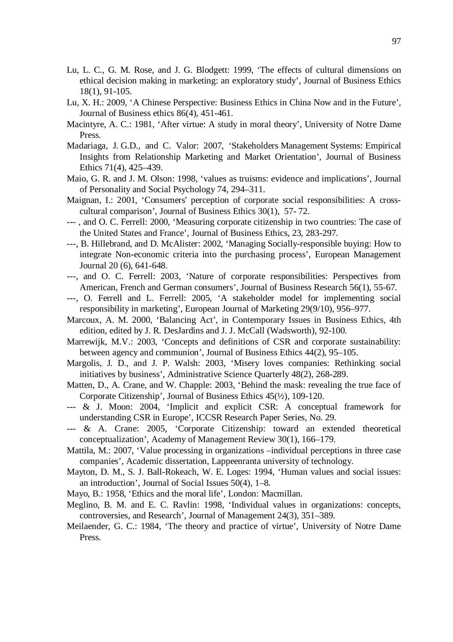- Lu, L. C., G. M. Rose, and J. G. Blodgett: 1999, 'The effects of cultural dimensions on ethical decision making in marketing: an exploratory study', Journal of Business Ethics 18(1), 91-105.
- Lu, X. H.: 2009, 'A Chinese Perspective: Business Ethics in China Now and in the Future', Journal of Business ethics 86(4), 451-461.
- Macintyre, A. C.: 1981, 'After virtue: A study in moral theory', University of Notre Dame Press.
- Madariaga, J. G.D., and C. Valor: 2007, 'Stakeholders Management Systems: Empirical Insights from Relationship Marketing and Market Orientation', Journal of Business Ethics 71(4), 425–439.
- Maio, G. R. and J. M. Olson: 1998, 'values as truisms: evidence and implications', Journal of Personality and Social Psychology 74, 294–311.
- Maignan, I.: 2001, 'Consumers' perception of corporate social responsibilities: A crosscultural comparison', Journal of Business Ethics 30(1), 57- 72.
- --- , and O. C. Ferrell: 2000, 'Measuring corporate citizenship in two countries: The case of the United States and France', Journal of Business Ethics, 23, 283-297.
- ---, B. Hillebrand, and D. McAlister: 2002, 'Managing Socially-responsible buying: How to integrate Non-economic criteria into the purchasing process', European Management Journal 20 (6), 641-648.
- ---, and O. C. Ferrell: 2003, 'Nature of corporate responsibilities: Perspectives from American, French and German consumers', Journal of Business Research 56(1), 55-67.
- ---, O. Ferrell and L. Ferrell: 2005, 'A stakeholder model for implementing social responsibility in marketing', European Journal of Marketing 29(9/10), 956–977.
- Marcoux, A. M. 2000, 'Balancing Act', in Contemporary Issues in Business Ethics, 4th edition, edited by J. R. DesJardins and J. J. McCall (Wadsworth), 92-100.
- Marrewijk, M.V.: 2003, 'Concepts and definitions of CSR and corporate sustainability: between agency and communion', Journal of Business Ethics 44(2), 95–105.
- Margolis, J. D., and J. P. Walsh: 2003, 'Misery loves companies: Rethinking social initiatives by business', Administrative Science Quarterly 48(2), 268-289.
- Matten, D., A. Crane, and W. Chapple: 2003, 'Behind the mask: revealing the true face of Corporate Citizenship', Journal of Business Ethics 45(½), 109-120.
- --- & J. Moon: 2004, 'Implicit and explicit CSR: A conceptual framework for understanding CSR in Europe', ICCSR Research Paper Series, No. 29.
- --- & A. Crane: 2005, 'Corporate Citizenship: toward an extended theoretical conceptualization', Academy of Management Review 30(1), 166–179.
- Mattila, M.: 2007, 'Value processing in organizations –individual perceptions in three case companies', Academic dissertation, Lappeenranta university of technology.
- Mayton, D. M., S. J. Ball-Rokeach, W. E. Loges: 1994, 'Human values and social issues: an introduction', Journal of Social Issues 50(4), 1–8.
- Mayo, B.: 1958, 'Ethics and the moral life', London: Macmillan.
- Meglino, B. M. and E. C. Ravlin: 1998, 'Individual values in organizations: concepts, controversies, and Research', Journal of Management 24(3), 351–389.
- Meilaender, G. C.: 1984, 'The theory and practice of virtue', University of Notre Dame Press.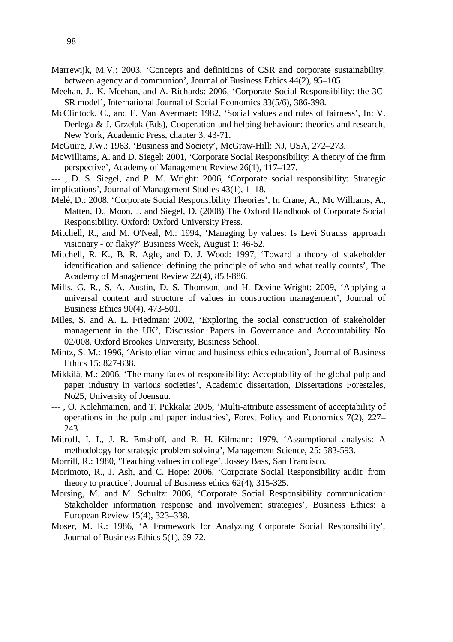- Marrewijk, M.V.: 2003, 'Concepts and definitions of CSR and corporate sustainability: between agency and communion', Journal of Business Ethics 44(2), 95–105.
- Meehan, J., K. Meehan, and A. Richards: 2006, 'Corporate Social Responsibility: the 3C-SR model', International Journal of Social Economics 33(5/6), 386-398.
- McClintock, C., and E. Van Avermaet: 1982, 'Social values and rules of fairness', In: V. Derlega & J. Grzelak (Eds), Cooperation and helping behaviour: theories and research, New York, Academic Press, chapter 3, 43-71.
- McGuire, J.W.: 1963, 'Business and Society', McGraw-Hill: NJ, USA, 272–273.
- McWilliams, A. and D. Siegel: 2001, 'Corporate Social Responsibility: A theory of the firm perspective', Academy of Management Review 26(1), 117–127.
- --- , D. S. Siegel, and P. M. Wright: 2006, 'Corporate social responsibility: Strategic implications', Journal of Management Studies 43(1), 1–18.
- Melé, D.: 2008, 'Corporate Social Responsibility Theories', In Crane, A., Mc Williams, A., Matten, D., Moon, J. and Siegel, D. (2008) The Oxford Handbook of Corporate Social Responsibility. Oxford: Oxford University Press.
- Mitchell, R., and M. O'Neal, M.: 1994, 'Managing by values: Is Levi Strauss' approach visionary - or flaky?' Business Week, August 1: 46-52.
- Mitchell, R. K., B. R. Agle, and D. J. Wood: 1997, 'Toward a theory of stakeholder identification and salience: defining the principle of who and what really counts', The Academy of Management Review 22(4), 853-886.
- Mills, G. R., S. A. Austin, D. S. Thomson, and H. Devine-Wright: 2009, 'Applying a universal content and structure of values in construction management', Journal of Business Ethics 90(4), 473-501.
- Miles, S. and A. L. Friedman: 2002, 'Exploring the social construction of stakeholder management in the UK', Discussion Papers in Governance and Accountability No 02/008, Oxford Brookes University, Business School.
- Mintz, S. M.: 1996, 'Aristotelian virtue and business ethics education', Journal of Business Ethics 15: 827-838.
- Mikkilä, M.: 2006, 'The many faces of responsibility: Acceptability of the global pulp and paper industry in various societies', Academic dissertation, Dissertations Forestales, No25, University of Joensuu.
- --- , O. Kolehmainen, and T. Pukkala: 2005, 'Multi-attribute assessment of acceptability of operations in the pulp and paper industries', Forest Policy and Economics 7(2), 227– 243.
- Mitroff, I. I., J. R. Emshoff, and R. H. Kilmann: 1979, 'Assumptional analysis: A methodology for strategic problem solving', Management Science, 25: 583-593.
- Morrill, R.: 1980, 'Teaching values in college', Jossey Bass, San Francisco.
- Morimoto, R., J. Ash, and C. Hope: 2006, 'Corporate Social Responsibility audit: from theory to practice', Journal of Business ethics 62(4), 315-325.
- Morsing, M. and M. Schultz: 2006, 'Corporate Social Responsibility communication: Stakeholder information response and involvement strategies', Business Ethics: a European Review 15(4), 323–338.
- Moser, M. R.: 1986, 'A Framework for Analyzing Corporate Social Responsibility', Journal of Business Ethics 5(1), 69-72.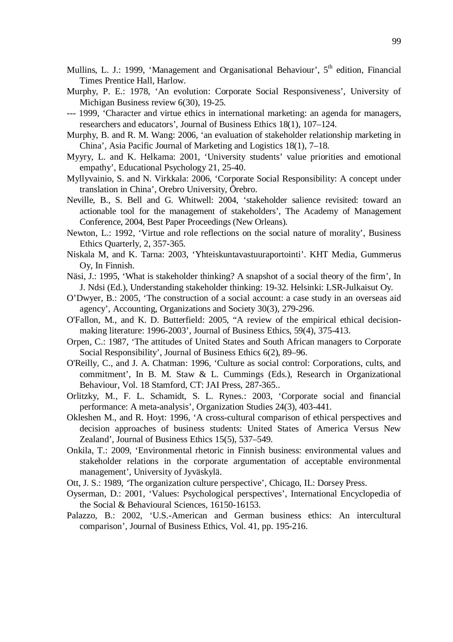- Mullins, L. J.: 1999, 'Management and Organisational Behaviour', 5<sup>th</sup> edition, Financial Times Prentice Hall, Harlow.
- Murphy, P. E.: 1978, 'An evolution: Corporate Social Responsiveness', University of Michigan Business review 6(30), 19-25.
- --- 1999, 'Character and virtue ethics in international marketing: an agenda for managers, researchers and educators', Journal of Business Ethics 18(1), 107–124.
- Murphy, B. and R. M. Wang: 2006, 'an evaluation of stakeholder relationship marketing in China', Asia Pacific Journal of Marketing and Logistics 18(1), 7–18.
- Myyry, L. and K. Helkama: 2001, 'University students' value priorities and emotional empathy', Educational Psychology 21, 25-40.
- Myllyvainio, S. and N. Virkkala: 2006, 'Corporate Social Responsibility: A concept under translation in China', Orebro University, Örebro.
- Neville, B., S. Bell and G. Whitwell: 2004, 'stakeholder salience revisited: toward an actionable tool for the management of stakeholders', The Academy of Management Conference, 2004, Best Paper Proceedings (New Orleans).
- Newton, L.: 1992, 'Virtue and role reflections on the social nature of morality', Business Ethics Quarterly, 2, 357-365.
- Niskala M, and K. Tarna: 2003, 'Yhteiskuntavastuuraportointi'. KHT Media, Gummerus Oy, In Finnish.
- Näsi, J.: 1995, 'What is stakeholder thinking? A snapshot of a social theory of the firm', In J. Ndsi (Ed.), Understanding stakeholder thinking: 19-32. Helsinki: LSR-Julkaisut Oy.
- O'Dwyer, B.: 2005, 'The construction of a social account: a case study in an overseas aid agency', Accounting, Organizations and Society 30(3), 279-296.
- O'Fallon, M., and K. D. Butterfield: 2005, "A review of the empirical ethical decisionmaking literature: 1996-2003', Journal of Business Ethics, 59(4), 375-413.
- Orpen, C.: 1987, 'The attitudes of United States and South African managers to Corporate Social Responsibility', Journal of Business Ethics 6(2), 89–96.
- O'Reilly, C., and J. A. Chatman: 1996, 'Culture as social control: Corporations, cults, and commitment', In B. M. Staw & L. Cummings (Eds.), Research in Organizational Behaviour, Vol. 18 Stamford, CT: JAI Press, 287-365..
- Orlitzky, M., F. L. Schamidt, S. L. Rynes.: 2003, 'Corporate social and financial performance: A meta-analysis', Organization Studies 24(3), 403-441.
- Okleshen M., and R. Hoyt: 1996, 'A cross-cultural comparison of ethical perspectives and decision approaches of business students: United States of America Versus New Zealand', Journal of Business Ethics 15(5), 537–549.
- Onkila, T.: 2009, 'Environmental rhetoric in Finnish business: environmental values and stakeholder relations in the corporate argumentation of acceptable environmental management', University of Jyväskylä.
- Ott, J. S.: 1989, *'*The organization culture perspective'*,* Chicago, IL: Dorsey Press.
- Oyserman, D.: 2001, 'Values: Psychological perspectives', International Encyclopedia of the Social & Behavioural Sciences, 16150-16153.
- Palazzo, B.: 2002, 'U.S.-American and German business ethics: An intercultural comparison', Journal of Business Ethics, Vol. 41, pp. 195-216.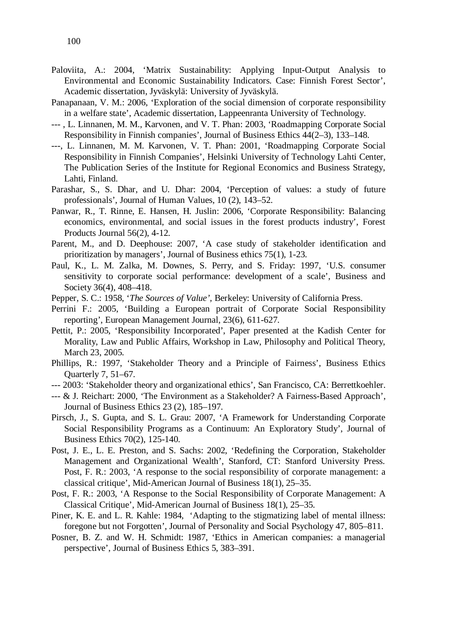- Paloviita, A.: 2004, 'Matrix Sustainability: Applying Input-Output Analysis to Environmental and Economic Sustainability Indicators. Case: Finnish Forest Sector', Academic dissertation, Jyväskylä: University of Jyväskylä.
- Panapanaan, V. M.: 2006, 'Exploration of the social dimension of corporate responsibility in a welfare state', Academic dissertation, Lappeenranta University of Technology.
- --- , L. Linnanen, M. M., Karvonen, and V. T. Phan: 2003, 'Roadmapping Corporate Social Responsibility in Finnish companies', Journal of Business Ethics 44(2–3), 133–148.
- ---, L. Linnanen, M. M. Karvonen, V. T. Phan: 2001, 'Roadmapping Corporate Social Responsibility in Finnish Companies', Helsinki University of Technology Lahti Center, The Publication Series of the Institute for Regional Economics and Business Strategy, Lahti, Finland.
- Parashar, S., S. Dhar, and U. Dhar: 2004, 'Perception of values: a study of future professionals', Journal of Human Values, 10 (2), 143–52.
- Panwar, R., T. Rinne, E. Hansen, H. Juslin: 2006, 'Corporate Responsibility: Balancing economics, environmental, and social issues in the forest products industry', Forest Products Journal 56(2), 4-12.
- Parent, M., and D. Deephouse: 2007, 'A case study of stakeholder identification and prioritization by managers', Journal of Business ethics 75(1), 1-23.
- Paul, K., L. M. Zalka, M. Downes, S. Perry, and S. Friday: 1997, 'U.S. consumer sensitivity to corporate social performance: development of a scale', Business and Society 36(4), 408–418.
- Pepper, S. C.: 1958, '*The Sources of Value',* Berkeley: University of California Press.
- Perrini F.: 2005, 'Building a European portrait of Corporate Social Responsibility reporting', European Management Journal, 23(6), 611-627.
- Pettit, P.: 2005, 'Responsibility Incorporated', Paper presented at the Kadish Center for Morality, Law and Public Affairs, Workshop in Law, Philosophy and Political Theory, March 23, 2005.
- Phillips, R.: 1997, 'Stakeholder Theory and a Principle of Fairness', Business Ethics Quarterly 7, 51–67.
- --- 2003: 'Stakeholder theory and organizational ethics', San Francisco, CA: Berrettkoehler.
- --- & J. Reichart: 2000, 'The Environment as a Stakeholder? A Fairness-Based Approach', Journal of Business Ethics 23 (2), 185–197.
- Pirsch, J., S. Gupta, and S. L. Grau: 2007, 'A Framework for Understanding Corporate Social Responsibility Programs as a Continuum: An Exploratory Study', Journal of Business Ethics 70(2), 125-140.
- Post, J. E., L. E. Preston, and S. Sachs: 2002, 'Redefining the Corporation, Stakeholder Management and Organizational Wealth', Stanford, CT: Stanford University Press. Post, F. R.: 2003, 'A response to the social responsibility of corporate management: a classical critique', Mid-American Journal of Business 18(1), 25–35.
- Post, F. R.: 2003, 'A Response to the Social Responsibility of Corporate Management: A Classical Critique', Mid-American Journal of Business 18(1), 25–35.
- Piner, K. E. and L. R. Kahle: 1984, 'Adapting to the stigmatizing label of mental illness: foregone but not Forgotten', Journal of Personality and Social Psychology 47, 805–811.
- Posner, B. Z. and W. H. Schmidt: 1987, 'Ethics in American companies: a managerial perspective', Journal of Business Ethics 5, 383–391.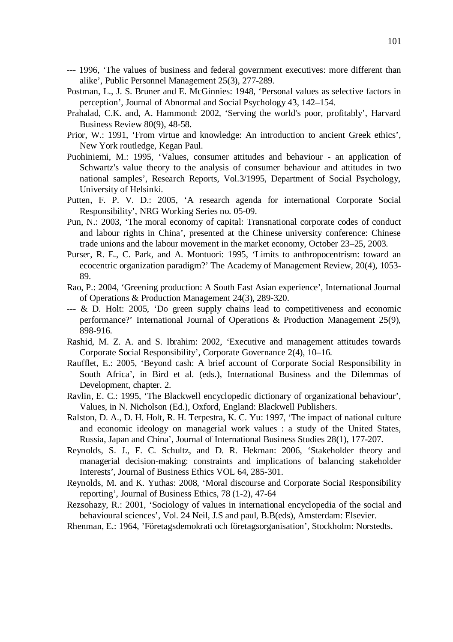- --- 1996, 'The values of business and federal government executives: more different than alike', Public Personnel Management 25(3), 277-289.
- Postman, L., J. S. Bruner and E. McGinnies: 1948, 'Personal values as selective factors in perception', Journal of Abnormal and Social Psychology 43, 142–154.
- Prahalad, C.K. and, A. Hammond: 2002, 'Serving the world's poor, profitably', Harvard Business Review 80(9), 48-58.
- Prior, W.: 1991, 'From virtue and knowledge: An introduction to ancient Greek ethics', New York routledge, Kegan Paul.
- Puohiniemi, M.: 1995, 'Values, consumer attitudes and behaviour an application of Schwartz's value theory to the analysis of consumer behaviour and attitudes in two national samples', Research Reports, Vol.3/1995, Department of Social Psychology, University of Helsinki.
- Putten, F. P. V. D.: 2005, 'A research agenda for international Corporate Social Responsibility', NRG Working Series no. 05-09.
- Pun, N.: 2003, 'The moral economy of capital: Transnational corporate codes of conduct and labour rights in China', presented at the Chinese university conference: Chinese trade unions and the labour movement in the market economy, October 23–25, 2003.
- Purser, R. E., C. Park, and A. Montuori: 1995, 'Limits to anthropocentrism: toward an ecocentric organization paradigm?' The Academy of Management Review, 20(4), 1053- 89.
- Rao, P.: 2004, 'Greening production: A South East Asian experience', International Journal of Operations & Production Management 24(3), 289-320.
- $\leftarrow$  & D. Holt: 2005, 'Do green supply chains lead to competitiveness and economic performance?' International Journal of Operations & Production Management 25(9), 898-916.
- Rashid, M. Z. A. and S. Ibrahim: 2002, 'Executive and management attitudes towards Corporate Social Responsibility', Corporate Governance 2(4), 10–16.
- Raufflet, E.: 2005, 'Beyond cash: A brief account of Corporate Social Responsibility in South Africa', in Bird et al. (eds.), International Business and the Dilemmas of Development, chapter. 2.
- Ravlin, E. C.: 1995, 'The Blackwell encyclopedic dictionary of organizational behaviour', Values, in N. Nicholson (Ed.), Oxford, England: Blackwell Publishers.
- Ralston, D. A., D. H. Holt, R. H. Terpestra, K. C. Yu: 1997, 'The impact of national culture and economic ideology on managerial work values : a study of the United States, Russia, Japan and China', Journal of International Business Studies 28(1), 177-207.
- Reynolds, S. J., F. C. Schultz, and D. R. Hekman: 2006, 'Stakeholder theory and managerial decision-making: constraints and implications of balancing stakeholder Interests', Journal of Business Ethics VOL 64, 285-301.
- Reynolds, M. and K. Yuthas: 2008, 'Moral discourse and Corporate Social Responsibility reporting', Journal of Business Ethics, 78 (1-2), 47-64
- Rezsohazy, R.: 2001, 'Sociology of values in international encyclopedia of the social and behavioural sciences', Vol. 24 Neil, J.S and paul, B.B(eds), Amsterdam: Elsevier.
- Rhenman, E.: 1964, 'Företagsdemokrati och företagsorganisation', Stockholm: Norstedts.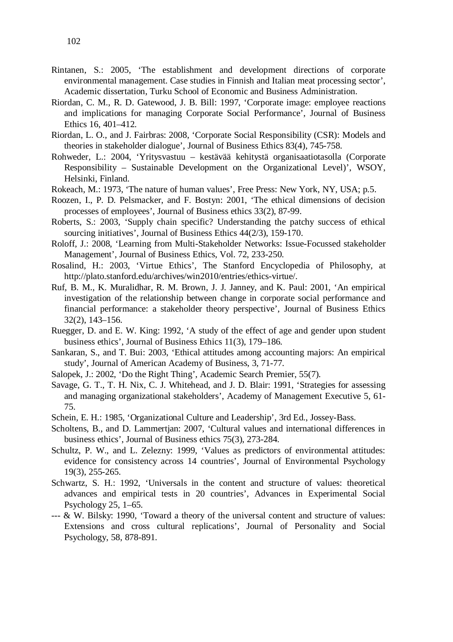- Rintanen, S.: 2005, 'The establishment and development directions of corporate environmental management. Case studies in Finnish and Italian meat processing sector', Academic dissertation, Turku School of Economic and Business Administration.
- Riordan, C. M., R. D. Gatewood, J. B. Bill: 1997, 'Corporate image: employee reactions and implications for managing Corporate Social Performance', Journal of Business Ethics 16, 401–412.
- Riordan, L. O., and J. Fairbras: 2008, 'Corporate Social Responsibility (CSR): Models and theories in stakeholder dialogue', Journal of Business Ethics 83(4), 745-758.
- Rohweder, L.: 2004, 'Yritysvastuu kestävää kehitystä organisaatiotasolla (Corporate Responsibility – Sustainable Development on the Organizational Level)', WSOY, Helsinki, Finland.
- Rokeach, M.: 1973, 'The nature of human values', Free Press: New York, NY, USA; p.5.
- Roozen, I., P. D. Pelsmacker, and F. Bostyn: 2001, 'The ethical dimensions of decision processes of employees', Journal of Business ethics 33(2), 87-99.
- Roberts, S.: 2003, 'Supply chain specific? Understanding the patchy success of ethical sourcing initiatives', Journal of Business Ethics 44(2/3), 159-170.
- Roloff, J.: 2008, 'Learning from Multi-Stakeholder Networks: Issue-Focussed stakeholder Management', Journal of Business Ethics, Vol. 72, 233-250.
- Rosalind, H.: 2003, 'Virtue Ethics', The Stanford Encyclopedia of Philosophy*,* at http://plato.stanford.edu/archives/win2010/entries/ethics-virtue/.
- Ruf, B. M., K. Muralidhar, R. M. Brown, J. J. Janney, and K. Paul: 2001, 'An empirical investigation of the relationship between change in corporate social performance and financial performance: a stakeholder theory perspective', Journal of Business Ethics 32(2), 143–156.
- Ruegger, D. and E. W. King: 1992, 'A study of the effect of age and gender upon student business ethics', Journal of Business Ethics 11(3), 179–186.
- Sankaran, S., and T. Bui: 2003, 'Ethical attitudes among accounting majors: An empirical study', Journal of American Academy of Business, 3, 71-77.
- Salopek, J.: 2002, 'Do the Right Thing', Academic Search Premier, 55(7).
- Savage, G. T., T. H. Nix, C. J. Whitehead, and J. D. Blair: 1991, 'Strategies for assessing and managing organizational stakeholders', Academy of Management Executive 5, 61- 75.
- Schein, E. H.: 1985, 'Organizational Culture and Leadership', 3rd Ed., Jossey-Bass.
- Scholtens, B., and D. Lammertjan: 2007, 'Cultural values and international differences in business ethics', Journal of Business ethics 75(3), 273-284.
- Schultz, P. W., and L. Zelezny: 1999, 'Values as predictors of environmental attitudes: evidence for consistency across 14 countries', Journal of Environmental Psychology 19(3), 255-265.
- Schwartz, S. H.: 1992, 'Universals in the content and structure of values: theoretical advances and empirical tests in 20 countries', Advances in Experimental Social Psychology 25, 1–65.
- --- & W. Bilsky: 1990, 'Toward a theory of the universal content and structure of values: Extensions and cross cultural replications', [Journal of Personality and Social](http://en.wikipedia.org/wiki/Journal_of_Personality_and_Social_Psychology)  [Psychology,](http://en.wikipedia.org/wiki/Journal_of_Personality_and_Social_Psychology) 58, 878-891.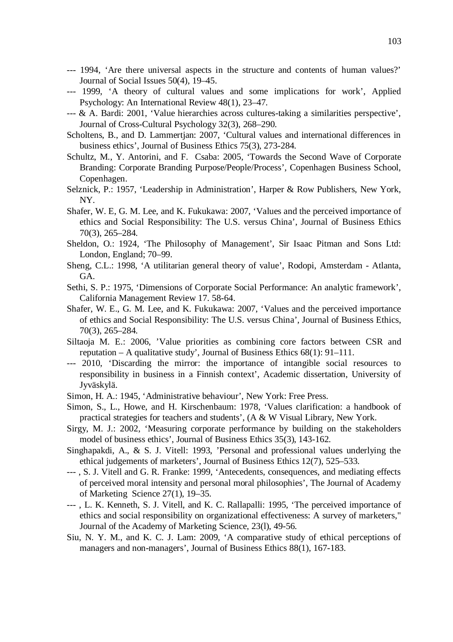- --- 1994, 'Are there universal aspects in the structure and contents of human values?' Journal of Social Issues 50(4), 19–45.
- --- 1999, 'A theory of cultural values and some implications for work', Applied Psychology: An International Review 48(1), 23–47.
- --- & A. Bardi: 2001, 'Value hierarchies across cultures-taking a similarities perspective', Journal of Cross-Cultural Psychology 32(3), 268–290.
- Scholtens, B., and D. Lammertjan: 2007, 'Cultural values and international differences in business ethics', Journal of Business Ethics 75(3), 273-284.
- Schultz, M., Y. Antorini, and F. Csaba: 2005, 'Towards the Second Wave of Corporate Branding: Corporate Branding Purpose/People/Process', Copenhagen Business School, Copenhagen.
- Selznick, P.: 1957, 'Leadership in Administration', Harper & Row Publishers, New York, NY.
- Shafer, W. E, G. M. Lee, and K. Fukukawa: 2007, 'Values and the perceived importance of ethics and Social Responsibility: The U.S. versus China', Journal of Business Ethics 70(3), 265–284.
- Sheldon, O.: 1924, 'The Philosophy of Management', Sir Isaac Pitman and Sons Ltd: London, England; 70–99.
- Sheng, C.L.: 1998, 'A utilitarian general theory of value', Rodopi, Amsterdam Atlanta, GA.
- Sethi, S. P.: 1975, 'Dimensions of Corporate Social Performance: An analytic framework', California Management Review 17. 58-64.
- Shafer, W. E., G. M. Lee, and K. Fukukawa: 2007, 'Values and the perceived importance of ethics and Social Responsibility: The U.S. versus China', Journal of Business Ethics, 70(3), 265–284.
- Siltaoja M. E.: 2006, 'Value priorities as combining core factors between CSR and reputation – A qualitative study', Journal of Business Ethics 68(1): 91–111.
- --- 2010, 'Discarding the mirror: the importance of intangible social resources to responsibility in business in a Finnish context', Academic dissertation, University of Jyväskylä.
- Simon, H. A.: 1945, 'Administrative behaviour', New York: Free Press.
- Simon, S., L., Howe, and H. Kirschenbaum: 1978, 'Values clarification: a handbook of practical strategies for teachers and students', (A & W Visual Library, New York.
- Sirgy, M. J.: 2002, 'Measuring corporate performance by building on the stakeholders model of business ethics', Journal of Business Ethics 35(3), 143-162.
- Singhapakdi, A., & S. J. Vitell: 1993, 'Personal and professional values underlying the ethical judgements of marketers', Journal of Business Ethics 12(7), 525–533.
- --- , S. J. Vitell and G. R. Franke: 1999, 'Antecedents, consequences, and mediating effects of perceived moral intensity and personal moral philosophies', The Journal of Academy of Marketing Science 27(1), 19–35.
- --- , L. K. Kenneth, S. J. Vitell, and K. C. Rallapalli: 1995, 'The perceived importance of ethics and social responsibility on organizational effectiveness: A survey of marketers," Journal of the Academy of Marketing Science, 23(l), 49-56.
- Siu, N. Y. M., and K. C. J. Lam: 2009, 'A comparative study of ethical perceptions of managers and non-managers', Journal of Business Ethics 88(1), 167-183.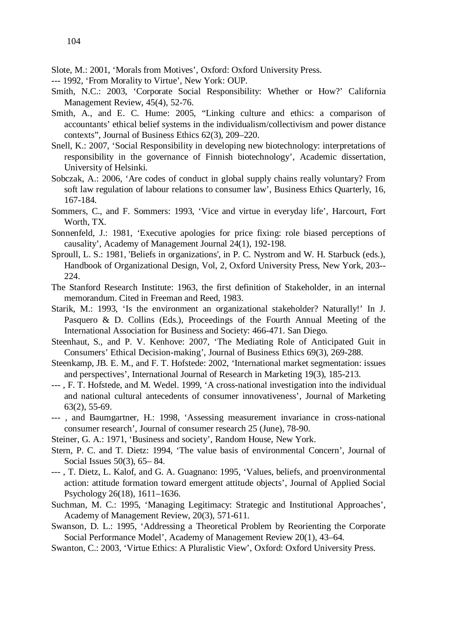- Slote, M.: 2001, 'Morals from Motives', Oxford: Oxford University Press.
- --- 1992, 'From Morality to Virtue', New York: OUP.
- Smith, N.C.: 2003, 'Corporate Social Responsibility: Whether or How?' California Management Review, 45(4), 52-76.
- Smith, A., and E. C. Hume: 2005, "Linking culture and ethics: a comparison of accountants' ethical belief systems in the individualism/collectivism and power distance contexts", Journal of Business Ethics 62(3), 209–220.
- Snell, K.: 2007, 'Social Responsibility in developing new biotechnology: interpretations of responsibility in the governance of Finnish biotechnology', Academic dissertation, University of Helsinki.
- Sobczak, A.: 2006, 'Are codes of conduct in global supply chains really voluntary? From soft law regulation of labour relations to consumer law', Business Ethics Quarterly, 16, 167-184.
- Sommers, C., and F. Sommers: 1993, 'Vice and virtue in everyday life', Harcourt, Fort Worth, TX.
- Sonnenfeld, J.: 1981, 'Executive apologies for price fixing: role biased perceptions of causality', Academy of Management Journal 24(1), 192-198.
- Sproull, L. S.: 1981, 'Beliefs in organizations', in P. C. Nystrom and W. H. Starbuck (eds.), Handbook of Organizational Design, Vol, 2, Oxford University Press, New York, 203-- 224.
- The Stanford Research Institute: 1963, the first definition of Stakeholder, in an internal memorandum. Cited in Freeman and Reed, 1983.
- Starik, M.: 1993, 'Is the environment an organizational stakeholder? Naturally!' In J. Pasquero & D. Collins (Eds.), Proceedings of the Fourth Annual Meeting of the International Association for Business and Society: 466-471. San Diego.
- Steenhaut, S., and P. V. Kenhove: 2007, 'The Mediating Role of Anticipated Guit in Consumers' Ethical Decision-making', Journal of Business Ethics 69(3), 269-288.
- Steenkamp, JB. E. M., and F. T. Hofstede: 2002, 'International market segmentation: issues and perspectives', International Journal of Research in Marketing 19(3), 185-213.
- --- , F. T. Hofstede, and M. Wedel. 1999, 'A cross-national investigation into the individual and national cultural antecedents of consumer innovativeness', Journal of Marketing 63(2), 55-69.
- --- , and Baumgartner, H.: 1998, 'Assessing measurement invariance in cross-national consumer research', Journal of consumer research 25 (June), 78-90.
- Steiner, G. A.: 1971, 'Business and society', Random House, New York.
- Stern, P. C. and T. Dietz: 1994, 'The value basis of environmental Concern', Journal of Social Issues 50(3), 65– 84.
- --- , T. Dietz, L. Kalof, and G. A. Guagnano: 1995, 'Values, beliefs, and proenvironmental action: attitude formation toward emergent attitude objects', Journal of Applied Social Psychology 26(18), 1611–1636.
- Suchman, M. C.: 1995, 'Managing Legitimacy: Strategic and Institutional Approaches', Academy of Management Review, 20(3), 571-611.
- Swanson, D. L.: 1995, 'Addressing a Theoretical Problem by Reorienting the Corporate Social Performance Model', Academy of Management Review 20(1), 43–64.
- Swanton, C.: 2003, 'Virtue Ethics: A Pluralistic View', Oxford: Oxford University Press.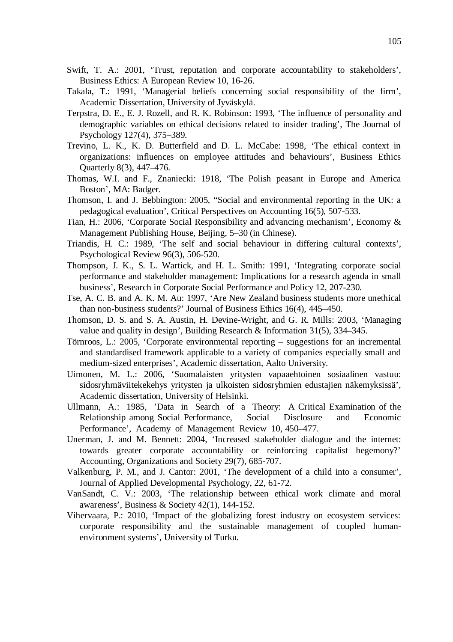- Swift, T. A.: 2001, 'Trust, reputation and corporate accountability to stakeholders', Business Ethics: A European Review 10, 16-26.
- Takala, T.: 1991, 'Managerial beliefs concerning social responsibility of the firm', Academic Dissertation, University of Jyväskylä.
- Terpstra, D. E., E. J. Rozell, and R. K. Robinson: 1993, 'The influence of personality and demographic variables on ethical decisions related to insider trading', The Journal of Psychology 127(4), 375–389.
- Trevino, L. K., K. D. Butterfield and D. L. McCabe: 1998, 'The ethical context in organizations: influences on employee attitudes and behaviours', Business Ethics Quarterly 8(3), 447–476.
- Thomas, W.I. and F., Znaniecki: 1918, 'The Polish peasant in Europe and America Boston', MA: Badger.
- Thomson, I. and J. Bebbington: 2005, "Social and environmental reporting in the UK: a pedagogical evaluation', Critical Perspectives on Accounting 16(5), 507-533.
- Tian, H.: 2006, 'Corporate Social Responsibility and advancing mechanism', Economy & Management Publishing House, Beijing, 5–30 (in Chinese).
- Triandis, H. C.: 1989, 'The self and social behaviour in differing cultural contexts', Psychological Review 96(3), 506-520.
- Thompson, J. K., S. L. Wartick, and H. L. Smith: 1991, 'Integrating corporate social performance and stakeholder management: Implications for a research agenda in small business', Research in Corporate Social Performance and Policy 12, 207-230.
- Tse, A. C. B. and A. K. M. Au: 1997, 'Are New Zealand business students more unethical than non-business students?' Journal of Business Ethics 16(4), 445–450.
- Thomson, D. S. and S. A. Austin, H. Devine-Wright, and G. R. Mills: 2003, 'Managing value and quality in design', Building Research & Information 31(5), 334–345.
- Törnroos, L.: 2005, 'Corporate environmental reporting suggestions for an incremental and standardised framework applicable to a variety of companies especially small and medium-sized enterprises', Academic dissertation, Aalto University.
- Uimonen, M. L.: 2006, 'Suomalaisten yritysten vapaaehtoinen sosiaalinen vastuu: sidosryhmäviitekekehys yritysten ja ulkoisten sidosryhmien edustajien näkemyksissä', Academic dissertation, University of Helsinki.
- Ullmann, A.: 1985, 'Data in Search of a Theory: A Critical Examination of the Relationship among Social Performance, Social Disclosure and Economic Performance', Academy of Management Review 10, 450–477.
- Unerman, J. and M. Bennett: 2004, 'Increased stakeholder dialogue and the internet: towards greater corporate accountability or reinforcing capitalist hegemony?' Accounting, Organizations and Society 29(7), 685-707.
- Valkenburg, P. M., and J. Cantor: 2001, ['The development of a child into a consumer',](http://www.ccam-ascor.nl/images/stories/publications/Journal_PDF_ENG/2001_valkcantor_dev_child_consumer_jadp.pdf) Journal of Applied Developmental Psychology, 22, 61-72.
- VanSandt, C. V.: 2003, 'The relationship between ethical work climate and moral awareness', Business & Society 42(1), 144-152.
- Vihervaara, P.: 2010, 'Impact of the globalizing forest industry on ecosystem services: corporate responsibility and the sustainable management of coupled humanenvironment systems', University of Turku.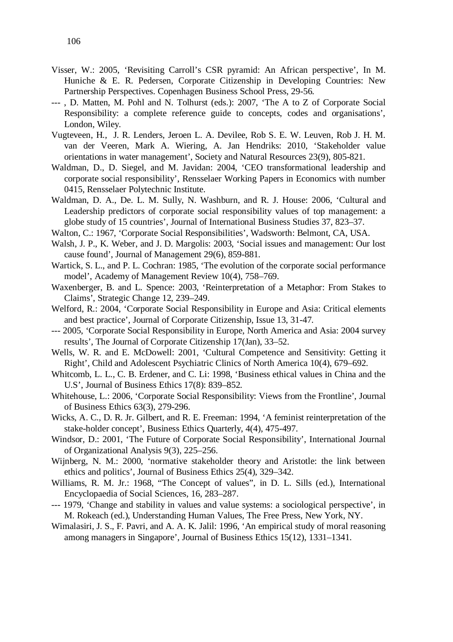- Visser, W.: 2005, 'Revisiting Carroll's CSR pyramid: An African perspective', In M. Huniche & E. R. Pedersen, Corporate Citizenship in Developing Countries: New Partnership Perspectives. Copenhagen Business School Press, 29-56.
- --- , D. Matten, M. Pohl and N. Tolhurst (eds.): 2007, 'The A to Z of Corporate Social Responsibility: a complete reference guide to concepts, codes and organisations', London, Wiley.
- Vugteveen, H., J. R. Lenders, Jeroen L. A. Devilee, Rob S. E. W. Leuven, Rob J. H. M. van der Veeren, Mark A. Wiering, A. Jan Hendriks: 2010, 'Stakeholder value orientations in water management', Society and Natural Resources 23(9), 805-821.
- Waldman, D., D. Siegel, and M. Javidan: 2004, 'CEO transformational leadership and corporate social responsibility', [Rensselaer Working Papers in Economics](http://ideas.repec.org/s/rpi/rpiwpe.html) with number 0415, Rensselaer Polytechnic Institute.
- Waldman, D. A., De. L. M. Sully, N. Washburn, and R. J. House: 2006, 'Cultural and Leadership predictors of corporate social responsibility values of top management: a globe study of 15 countries', Journal of International Business Studies 37, 823–37.
- Walton, C.: 1967, 'Corporate Social Responsibilities', Wadsworth: Belmont, CA, USA.
- Walsh, J. P., K. Weber, and J. D. Margolis: 2003, 'Social issues and management: Our lost cause found', Journal of Management 29(6), 859-881.
- Wartick, S. L., and P. L. Cochran: 1985, 'The evolution of the corporate social performance model', Academy of Management Review 10(4), 758–769.
- Waxenberger, B. and L. Spence: 2003, 'Reinterpretation of a Metaphor: From Stakes to Claims', Strategic Change 12, 239–249.
- Welford, R.: 2004, 'Corporate Social Responsibility in Europe and Asia: Critical elements and best practice', Journal of Corporate Citizenship, Issue 13, 31-47.
- --- 2005, 'Corporate Social Responsibility in Europe, North America and Asia: 2004 survey results', The Journal of Corporate Citizenship 17(Jan), 33–52.
- Wells, W. R. and E. McDowell: 2001, 'Cultural Competence and Sensitivity: Getting it Right', Child and Adolescent Psychiatric Clinics of North America 10(4), 679–692.
- Whitcomb, L. L., C. B. Erdener, and C. Li: 1998, 'Business ethical values in China and the U.S', Journal of Business Ethics 17(8): 839–852.
- Whitehouse, L.: 2006, 'Corporate Social Responsibility: Views from the Frontline', Journal of Business Ethics 63(3), 279-296.
- Wicks, A. C., D. R. Jr. Gilbert, and R. E. Freeman: 1994, 'A feminist reinterpretation of the stake-holder concept', Business Ethics Quarterly, 4(4), 475-497.
- Windsor, D.: 2001, 'The Future of Corporate Social Responsibility', International Journal of Organizational Analysis 9(3), 225–256.
- Wijnberg, N. M.: 2000, 'normative stakeholder theory and Aristotle: the link between ethics and politics', Journal of Business Ethics 25(4), 329–342.
- Williams, R. M. Jr.: 1968, "The Concept of values", in D. L. Sills (ed.), International Encyclopaedia of Social Sciences, 16, 283–287.
- --- 1979, 'Change and stability in values and value systems: a sociological perspective', in M. Rokeach (ed.), Understanding Human Values, The Free Press, New York, NY.
- Wimalasiri, J. S., F. Pavri, and A. A. K. Jalil: 1996, 'An empirical study of moral reasoning among managers in Singapore', Journal of Business Ethics 15(12), 1331–1341.